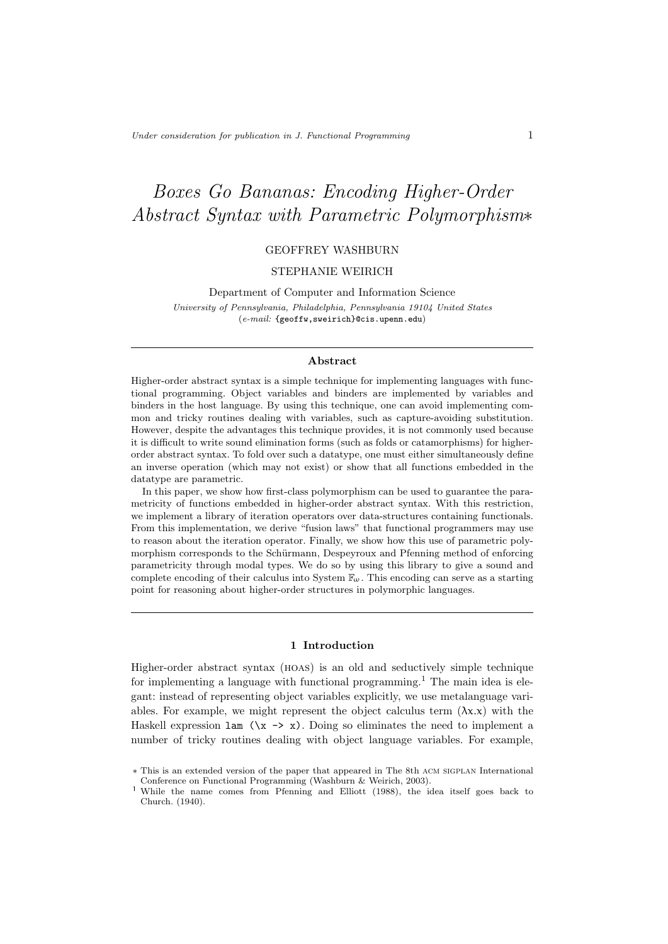# Boxes Go Bananas: Encoding Higher-Order Abstract Syntax with Parametric Polymorphism∗

# GEOFFREY WASHBURN

# STEPHANIE WEIRICH

Department of Computer and Information Science University of Pennsylvania, Philadelphia, Pennsylvania 19104 United States (e-mail: {geoffw,sweirich}@cis.upenn.edu)

#### Abstract

Higher-order abstract syntax is a simple technique for implementing languages with functional programming. Object variables and binders are implemented by variables and binders in the host language. By using this technique, one can avoid implementing common and tricky routines dealing with variables, such as capture-avoiding substitution. However, despite the advantages this technique provides, it is not commonly used because it is difficult to write sound elimination forms (such as folds or catamorphisms) for higherorder abstract syntax. To fold over such a datatype, one must either simultaneously define an inverse operation (which may not exist) or show that all functions embedded in the datatype are parametric.

In this paper, we show how first-class polymorphism can be used to guarantee the parametricity of functions embedded in higher-order abstract syntax. With this restriction, we implement a library of iteration operators over data-structures containing functionals. From this implementation, we derive "fusion laws" that functional programmers may use to reason about the iteration operator. Finally, we show how this use of parametric polymorphism corresponds to the Schürmann, Despeyroux and Pfenning method of enforcing parametricity through modal types. We do so by using this library to give a sound and complete encoding of their calculus into System  $\mathbb{F}_{\omega}$ . This encoding can serve as a starting point for reasoning about higher-order structures in polymorphic languages.

# 1 Introduction

Higher-order abstract syntax (hoas) is an old and seductively simple technique for implementing a language with functional programming.<sup>1</sup> The main idea is elegant: instead of representing object variables explicitly, we use metalanguage variables. For example, we might represent the object calculus term  $(\lambda x.x)$  with the Haskell expression  $\text{lam} (\x \rightarrow x)$ . Doing so eliminates the need to implement a number of tricky routines dealing with object language variables. For example,

<sup>∗</sup> This is an extended version of the paper that appeared in The th acm sigplan International Conference on Functional Programming (Washburn & Weirich, 2003).

<sup>&</sup>lt;sup>1</sup> While the name comes from Pfenning and Elliott (1988), the idea itself goes back to Church. (1940).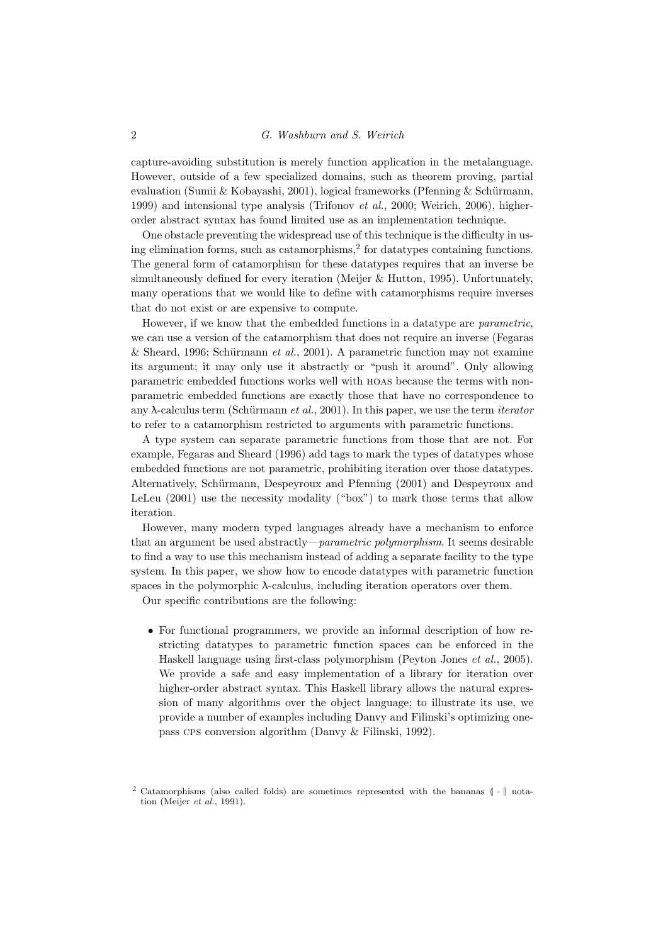# 2 G. Washburn and S. Weirich

capture-avoiding substitution is merely function application in the metalanguage. However, outside of a few specialized domains, such as theorem proving, partial evaluation (Sumii & Kobayashi, 2001), logical frameworks (Pfenning & Schürmann, 1999) and intensional type analysis (Trifonov et al., 2000; Weirich, 2006), higherorder abstract syntax has found limited use as an implementation technique.

One obstacle preventing the widespread use of this technique is the difficulty in using elimination forms, such as catamorphisms, $^{2}$  for datatypes containing functions. The general form of catamorphism for these datatypes requires that an inverse be simultaneously defined for every iteration (Meijer & Hutton, 1995). Unfortunately, many operations that we would like to define with catamorphisms require inverses that do not exist or are expensive to compute.

However, if we know that the embedded functions in a datatype are parametric, we can use a version of the catamorphism that does not require an inverse (Fegaras & Sheard, 1996; Schürmann et al., 2001). A parametric function may not examine its argument; it may only use it abstractly or "push it around". Only allowing parametric embedded functions works well with hoas because the terms with nonparametric embedded functions are exactly those that have no correspondence to any  $\lambda$ -calculus term (Schürmann et al., 2001). In this paper, we use the term *iterator* to refer to a catamorphism restricted to arguments with parametric functions.

A type system can separate parametric functions from those that are not. For example, Fegaras and Sheard (1996) add tags to mark the types of datatypes whose embedded functions are not parametric, prohibiting iteration over those datatypes. Alternatively, Schürmann, Despeyroux and Pfenning (2001) and Despeyroux and LeLeu (2001) use the necessity modality ("box") to mark those terms that allow iteration.

However, many modern typed languages already have a mechanism to enforce that an argument be used abstractly—parametric polymorphism. It seems desirable to find a way to use this mechanism instead of adding a separate facility to the type system. In this paper, we show how to encode datatypes with parametric function spaces in the polymorphic  $\lambda$ -calculus, including iteration operators over them.

Our specific contributions are the following:

• For functional programmers, we provide an informal description of how restricting datatypes to parametric function spaces can be enforced in the Haskell language using first-class polymorphism (Peyton Jones et al., 2005). We provide a safe and easy implementation of a library for iteration over higher-order abstract syntax. This Haskell library allows the natural expression of many algorithms over the object language; to illustrate its use, we provide a number of examples including Danvy and Filinski's optimizing onepass cps conversion algorithm (Danvy & Filinski, 1992).

 $2$  Catamorphisms (also called folds) are sometimes represented with the bananas  $( \cdot )$  notation (Meijer et al., 1991).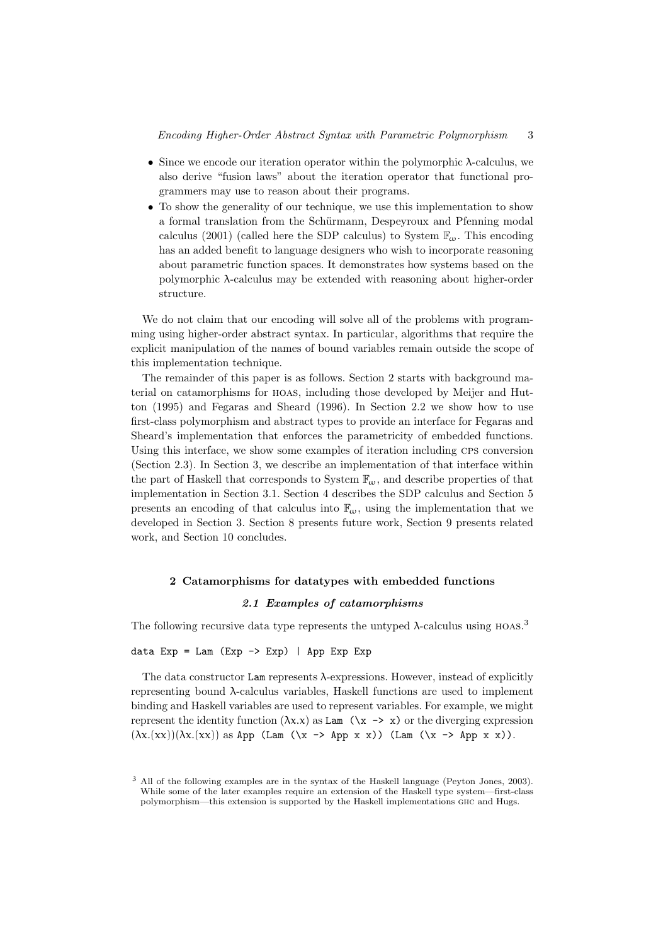- Since we encode our iteration operator within the polymorphic  $\lambda$ -calculus, we also derive "fusion laws" about the iteration operator that functional programmers may use to reason about their programs.
- To show the generality of our technique, we use this implementation to show a formal translation from the Schürmann, Despeyroux and Pfenning modal calculus (2001) (called here the SDP calculus) to System  $\mathbb{F}_{\omega}$ . This encoding has an added benefit to language designers who wish to incorporate reasoning about parametric function spaces. It demonstrates how systems based on the polymorphic λ-calculus may be extended with reasoning about higher-order structure.

We do not claim that our encoding will solve all of the problems with programming using higher-order abstract syntax. In particular, algorithms that require the explicit manipulation of the names of bound variables remain outside the scope of this implementation technique.

The remainder of this paper is as follows. Section 2 starts with background material on catamorphisms for hoas, including those developed by Meijer and Hutton (1995) and Fegaras and Sheard (1996). In Section 2.2 we show how to use first-class polymorphism and abstract types to provide an interface for Fegaras and Sheard's implementation that enforces the parametricity of embedded functions. Using this interface, we show some examples of iteration including CPS conversion (Section 2.3). In Section 3, we describe an implementation of that interface within the part of Haskell that corresponds to System  $\mathbb{F}_{\omega}$ , and describe properties of that implementation in Section 3.1. Section 4 describes the SDP calculus and Section 5 presents an encoding of that calculus into  $\mathbb{F}_{\omega}$ , using the implementation that we developed in Section 3. Section 8 presents future work, Section 9 presents related work, and Section 10 concludes.

# 2 Catamorphisms for datatypes with embedded functions

# 2.1 Examples of catamorphisms

The following recursive data type represents the untyped  $\lambda$ -calculus using HOAS.<sup>3</sup>

#### data  $Exp = Lam (Exp -> Exp)$  | App  $Exp Exp$

The data constructor Lam represents  $\lambda$ -expressions. However, instead of explicitly representing bound λ-calculus variables, Haskell functions are used to implement binding and Haskell variables are used to represent variables. For example, we might represent the identity function  $(\lambda x.x)$  as Lam  $(\lambda x \rightarrow x)$  or the diverging expression  $(\lambda x.(xx))(\lambda x.(xx))$  as App (Lam  $(\lambda x \rightarrow App x x)$ ) (Lam  $(\lambda x \rightarrow App x x)$ ).

<sup>3</sup> All of the following examples are in the syntax of the Haskell language (Peyton Jones, 2003). While some of the later examples require an extension of the Haskell type system—first-class polymorphism—this extension is supported by the Haskell implementations ghc and Hugs.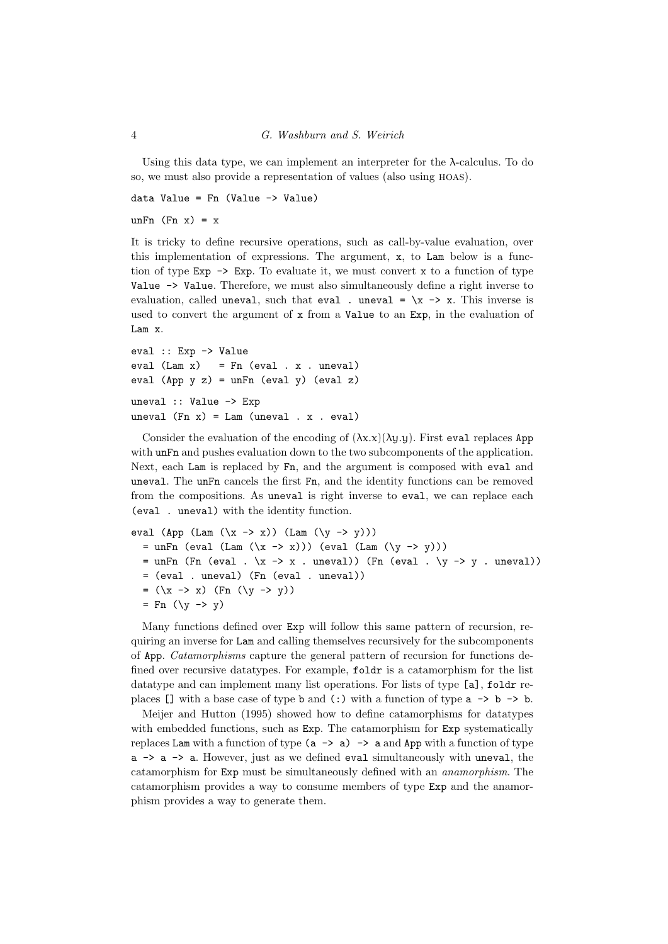Using this data type, we can implement an interpreter for the  $\lambda$ -calculus. To do so, we must also provide a representation of values (also using hoas).

data Value =  $Fn$  (Value  $\rightarrow$  Value)

unFn  $(Fn x) = x$ 

It is tricky to define recursive operations, such as call-by-value evaluation, over this implementation of expressions. The argument, x, to Lam below is a function of type  $Exp \rightarrow Exp$ . To evaluate it, we must convert x to a function of type Value -> Value. Therefore, we must also simultaneously define a right inverse to evaluation, called uneval, such that eval . uneval =  $\x \rightarrow x$ . This inverse is used to convert the argument of  $x$  from a Value to an Exp, in the evaluation of Lam x.

```
eval :: Exp -> Value
eval (Lam x) = Fn (eval x . uneval)eval (App y z) = unFn (eval y) (eval z)
uneval :: Value -> Exp
uneval (Fn x) = Lam (uneval x, eval)
```
Consider the evaluation of the encoding of  $(\lambda x.x)(\lambda y.y)$ . First eval replaces App with  $\text{unFn}$  and pushes evaluation down to the two subcomponents of the application. Next, each Lam is replaced by Fn, and the argument is composed with eval and uneval. The unFn cancels the first Fn, and the identity functions can be removed from the compositions. As uneval is right inverse to eval, we can replace each (eval . uneval) with the identity function.

```
eval (App (Lam (\x \rightarrow x)) (Lam (\y \rightarrow y)))
  = unFn (eval (Lam (\xrightarrow x))) (eval (Lam (\yrightarrow y)))
  = unFn (Fn (eval . \x \rightarrow x . uneval)) (Fn (eval . \y \rightarrow y . uneval))
  = (eval . uneval) (Fn (eval . uneval))
  = (\x \rightarrow x) (Fn (\y \rightarrow y))= Fn (\y \rightarrow y)
```
Many functions defined over Exp will follow this same pattern of recursion, requiring an inverse for Lam and calling themselves recursively for the subcomponents of App. Catamorphisms capture the general pattern of recursion for functions defined over recursive datatypes. For example, foldr is a catamorphism for the list datatype and can implement many list operations. For lists of type [a], folder replaces  $\Box$  with a base case of type b and (:) with a function of type  $a \rightarrow b \rightarrow b$ .

Meijer and Hutton (1995) showed how to define catamorphisms for datatypes with embedded functions, such as Exp. The catamorphism for Exp systematically replaces Lam with a function of type  $(a \rightarrow a)$   $\rightarrow$  a and App with a function of type a -> a -> a. However, just as we defined eval simultaneously with uneval, the catamorphism for Exp must be simultaneously defined with an anamorphism. The catamorphism provides a way to consume members of type Exp and the anamorphism provides a way to generate them.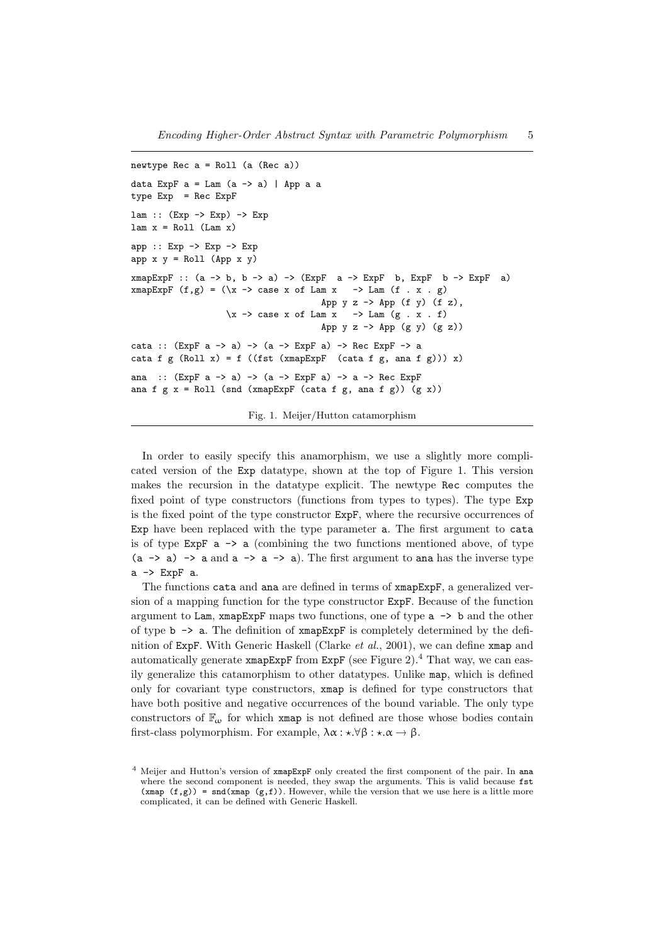```
newtype Rec a = Roll (a (Rec a))
data ExpF a = Lam (a \rightarrow a) | App a a
type Exp = Rec ExpF
lam :: (Exp -> Exp) -> Exp
lam x = Roll (Lam x)app :: Exp -> Exp -> Exp
app x y = Rol1 (App x y)
xmapExpF :: (a \rightarrow b, b \rightarrow a) \rightarrow (ExpF \ a \rightarrow ExpF \ b, ExpF \ b \rightarrow ExpF \ a)xmapExpF (f,g) = (\xrightarrow x \ -> \) case x of Lam x \rightarrow Lam (f \cdot x \cdot g)App y \, z \rightarrow App (f \, y) (f \, z),
                       \x \rightarrow case x of Lam x \rightarrow Lam (g \cdot x \cdot f)App y \, z \rightarrow App (g \, y) \, (g \, z)cata :: (ExpF a -> a) -> (a -> ExpF a) -> Rec ExpF -> a
cata f g (Roll x) = f ((fst (xmapExpF (cata f g, ana f g))) x)
ana :: (ExpF a \rightarrow a) \rightarrow (a \rightarrow ExpF a) \rightarrow a \rightarrow Rec ExpFana f g x = Roll (snd (xmapExpF (cata f g, ana f g)) (g x))
```
Fig. 1. Meijer/Hutton catamorphism

In order to easily specify this anamorphism, we use a slightly more complicated version of the Exp datatype, shown at the top of Figure 1. This version makes the recursion in the datatype explicit. The newtype Rec computes the fixed point of type constructors (functions from types to types). The type Exp is the fixed point of the type constructor ExpF, where the recursive occurrences of Exp have been replaced with the type parameter a. The first argument to cata is of type  $ExpF$  a  $\rightarrow$  a (combining the two functions mentioned above, of type  $(a \rightarrow a) \rightarrow a$  and  $a \rightarrow a \rightarrow a$ ). The first argument to ana has the inverse type a -> ExpF a.

The functions cata and ana are defined in terms of xmapExpF, a generalized version of a mapping function for the type constructor ExpF. Because of the function argument to Lam, xmapExpF maps two functions, one of type a -> b and the other of type  $b \rightarrow a$ . The definition of  $xmapExpF$  is completely determined by the definition of ExpF. With Generic Haskell (Clarke et al., 2001), we can define xmap and automatically generate xmapExpF from ExpF (see Figure 2).<sup>4</sup> That way, we can easily generalize this catamorphism to other datatypes. Unlike map, which is defined only for covariant type constructors, xmap is defined for type constructors that have both positive and negative occurrences of the bound variable. The only type constructors of  $\mathbb{F}_{\omega}$  for which xmap is not defined are those whose bodies contain first-class polymorphism. For example,  $\lambda \alpha : \star. \forall \beta : \star. \alpha \rightarrow \beta$ .

 $<sup>4</sup>$  Meijer and Hutton's version of  $x$ mapExpF only created the first component of the pair. In ana</sup> where the second component is needed, they swap the arguments. This is valid because fst  $(xmap (f,g)) = \text{snd}(xmap (g,f))$ . However, while the version that we use here is a little more complicated, it can be defined with Generic Haskell.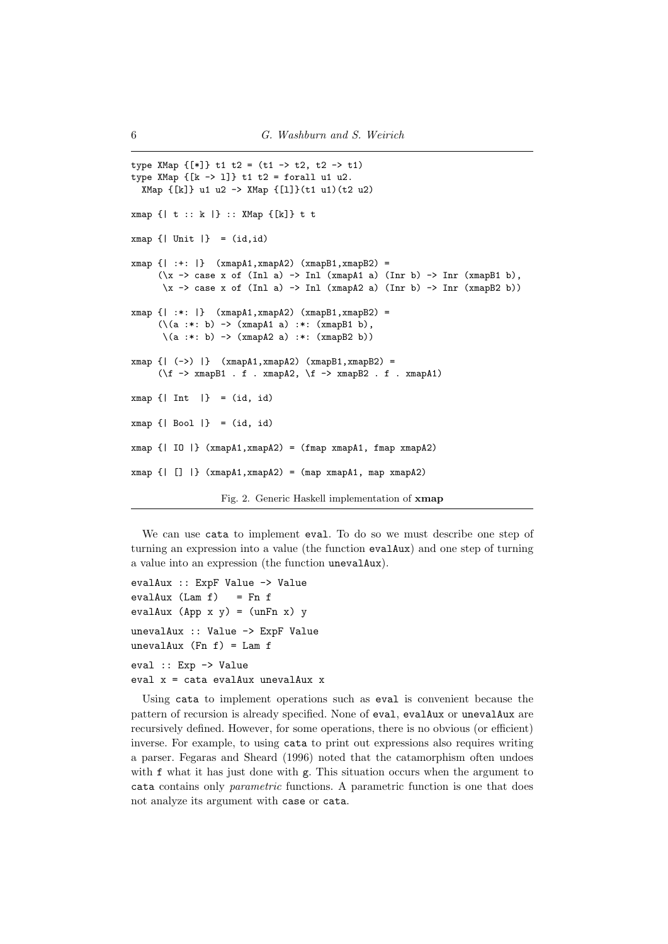```
type XMap {F*} t1 t2 = (t1 -> t2, t2 -> t1)
type XMap {[k -> l]} t1 t2 = forall u1 u2.
  XMap {[k]} u1 u2 -> XMap {[l]}(t1 u1)(t2 u2)
xmap {| t :: k |} :: XMap {[k]} t t
xmap {| Unit |} = (id,id)
xmap {| :+: |} (xmapA1,xmapA2) (xmapB1,xmapB2) =
      (\x \rightarrow \case x \text{ of } (Inl a) \rightarrow Inl (xmapA1 a) (Inr b) \rightarrow Inr (xmapB1 b),
      \langle x \rangle -> case x of (Inl a) -> Inl (xmapA2 a) (Inr b) -> Inr (xmapB2 b))
xmap \{ | :*: | \} (xmap A1, xmap A2) (xmap B1, xmap B2) =
      (\{a : *: b) \rightarrow (xmapA1 a) : *: (xmapB1 b),\(a :*: b) -> (xmapA2 a) :*: (xmapB2 b))
xmap {| (->) |} (xmapA1,xmapA2) (xmapB1,xmapB2) =
      (\forall f \rightarrow xmapB1 . f . xmapA2, \forall f \rightarrow xmapB2 . f . xmapA1)
xmap {| Int |} = (id, id)
xmap \{ | Bool | \} = (id, id)xmap {| IO |} (xmapA1,xmapA2) = (fmap xmapA1, fmap xmapA2)
xmap \{ | [] | \} (xmapA1, xmapA2) = (map xmapA1, map xmapA2)Fig. 2. Generic Haskell implementation of xmap
```
We can use cata to implement eval. To do so we must describe one step of turning an expression into a value (the function evalAux) and one step of turning a value into an expression (the function unevalAux).

```
evalAux :: ExpF Value -> Value
evalAux (Lam f) = Fn fevalAux (App \times y) = (unFn \times) yunevalAux :: Value -> ExpF Value
unevalAux (Fn f) = Lam feval :: Exp -> Value
eval x = cata evalAux unevalAux x
```
Using cata to implement operations such as eval is convenient because the pattern of recursion is already specified. None of eval, evalAux or unevalAux are recursively defined. However, for some operations, there is no obvious (or efficient) inverse. For example, to using cata to print out expressions also requires writing a parser. Fegaras and Sheard (1996) noted that the catamorphism often undoes with f what it has just done with g. This situation occurs when the argument to cata contains only parametric functions. A parametric function is one that does not analyze its argument with case or cata.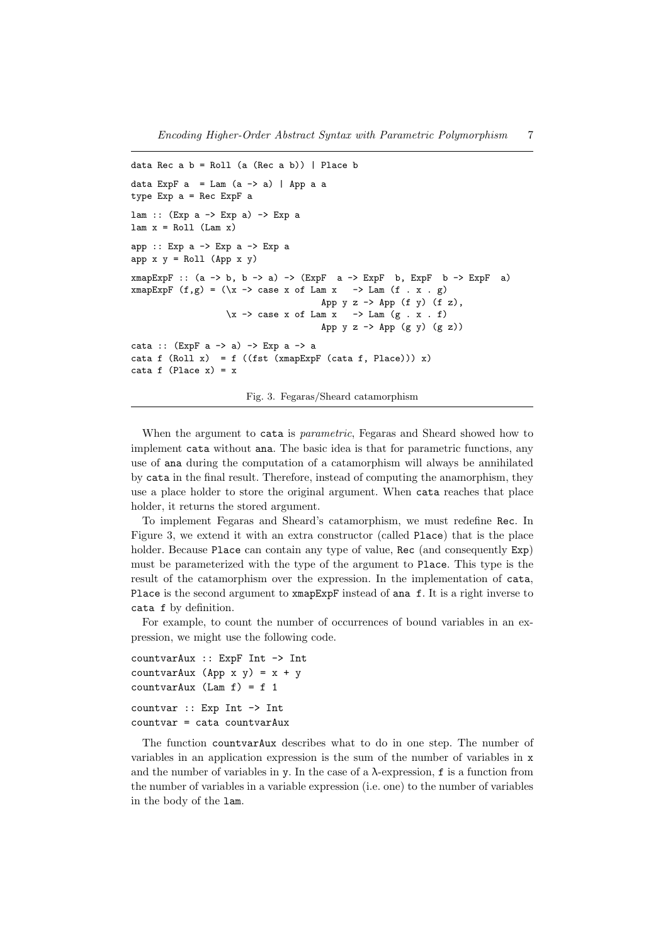```
data Rec a b = Roll (a (Rec a b)) | Place bdata ExpF a = Lam (a \rightarrow a) | App a a
type Exp a = Rec ExpF a
lam :: (Exp a -> Exp a) -> Exp a
lam x = Roll (Lam x)app :: Exp a -> Exp a -> Exp a
app x y = Rol1 (App x y)
xmapExpF :: (a \rightarrow b, b \rightarrow a) \rightarrow (ExpF \ a \rightarrow ExpF \ b, ExpF \ b \rightarrow ExpF \ a)xmapExpF (f,g) = (\xrightarrow x \ -> \) case x of Lam x \rightarrow Lam (f \cdot x \cdot g)App y \, z \rightarrow App (f \, y) (f \, z),
                      \x \rightarrow case x of Lam x \rightarrow Lam (g \cdot x \cdot f)App y z \rightarrow App (g \, y) (g \, z)cata :: (ExpF a -> a) -> Exp a -> a
cata f (Roll x) = f ((fst (xmapExpF (cata f, Place))) x)
cata f (Place x) = x
```
Fig. 3. Fegaras/Sheard catamorphism

When the argument to cata is *parametric*, Fegaras and Sheard showed how to implement cata without ana. The basic idea is that for parametric functions, any use of ana during the computation of a catamorphism will always be annihilated by cata in the final result. Therefore, instead of computing the anamorphism, they use a place holder to store the original argument. When cata reaches that place holder, it returns the stored argument.

To implement Fegaras and Sheard's catamorphism, we must redefine Rec. In Figure 3, we extend it with an extra constructor (called Place) that is the place holder. Because Place can contain any type of value, Rec (and consequently  $Exp$ ) must be parameterized with the type of the argument to Place. This type is the result of the catamorphism over the expression. In the implementation of cata, Place is the second argument to xmapExpF instead of ana f. It is a right inverse to cata f by definition.

For example, to count the number of occurrences of bound variables in an expression, we might use the following code.

```
countvarAux :: ExpF Int -> Int
countvarAux (App x y) = x + ycountvarAux (Lam f) = f 1countvar :: Exp Int -> Int
countvar = cata countvarAux
```
The function countvarAux describes what to do in one step. The number of variables in an application expression is the sum of the number of variables in x and the number of variables in y. In the case of a  $\lambda$ -expression, f is a function from the number of variables in a variable expression (i.e. one) to the number of variables in the body of the lam.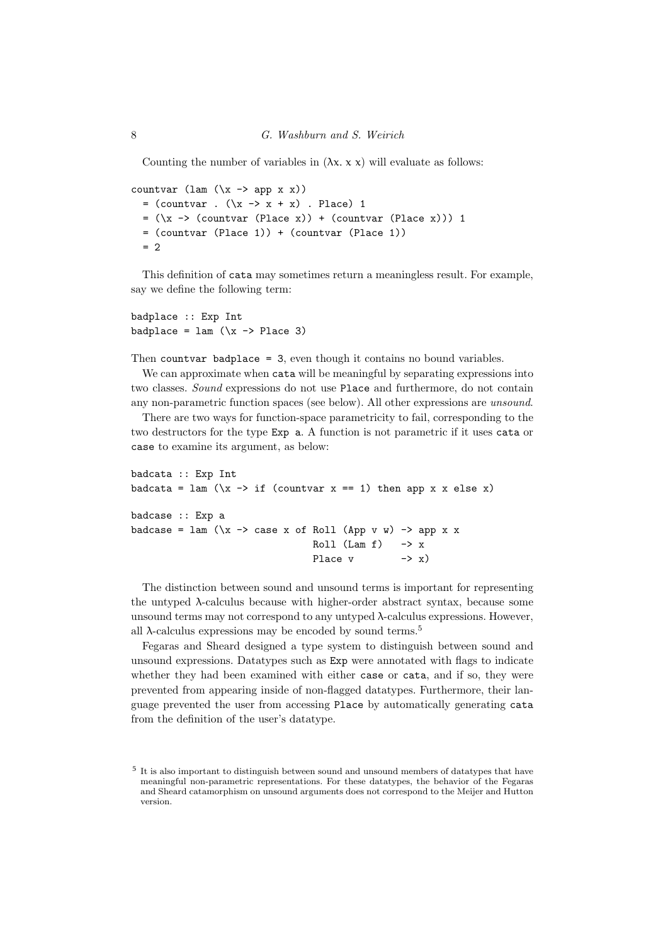Counting the number of variables in  $(\lambda x. x x)$  will evaluate as follows:

countvar (lam  $(\x \rightarrow x)$ )  $=$  (countvar .  $(\x \rightarrow x + x)$  . Place) 1  $= (\x \rightarrow (\text{counter (Place x)}) + (\text{counter (Place x)})) 1$ = (countvar (Place 1)) + (countvar (Place 1))  $= 2$ 

This definition of cata may sometimes return a meaningless result. For example, say we define the following term:

badplace :: Exp Int badplace =  $\text{lam} (\x \rightarrow \text{Place} 3)$ 

Then countvar badplace = 3, even though it contains no bound variables.

We can approximate when cata will be meaningful by separating expressions into two classes. Sound expressions do not use Place and furthermore, do not contain any non-parametric function spaces (see below). All other expressions are unsound.

There are two ways for function-space parametricity to fail, corresponding to the two destructors for the type Exp a. A function is not parametric if it uses cata or case to examine its argument, as below:

```
badcata :: Exp Int
badcata = lam (\x \rightarrow x \text{ if } (counter x == 1) \text{ then } app x x \text{ else } x)badcase :: Exp a
badcase = \text{lam} (\x \rightarrow \text{case} x \text{ of } \text{Roll} (\text{App } v \text{ w}) \rightarrow \text{app} x \text{ x})Roll (Lam f) \rightarrow xPlace v \rightarrow x)
```
The distinction between sound and unsound terms is important for representing the untyped λ-calculus because with higher-order abstract syntax, because some unsound terms may not correspond to any untyped λ-calculus expressions. However, all  $\lambda$ -calculus expressions may be encoded by sound terms.<sup>5</sup>

Fegaras and Sheard designed a type system to distinguish between sound and unsound expressions. Datatypes such as Exp were annotated with flags to indicate whether they had been examined with either case or cata, and if so, they were prevented from appearing inside of non-flagged datatypes. Furthermore, their language prevented the user from accessing Place by automatically generating cata from the definition of the user's datatype.

<sup>5</sup> It is also important to distinguish between sound and unsound members of datatypes that have meaningful non-parametric representations. For these datatypes, the behavior of the Fegaras and Sheard catamorphism on unsound arguments does not correspond to the Meijer and Hutton version.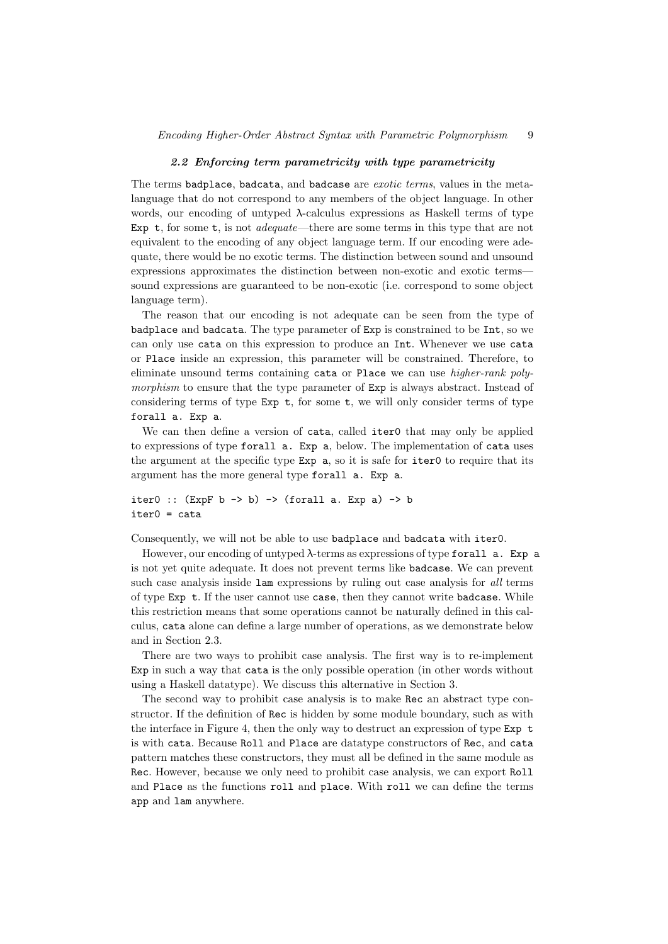#### 2.2 Enforcing term parametricity with type parametricity

The terms badplace, badcata, and badcase are *exotic terms*, values in the metalanguage that do not correspond to any members of the object language. In other words, our encoding of untyped λ-calculus expressions as Haskell terms of type Exp  $t$ , for some  $t$ , is not *adequate*—there are some terms in this type that are not equivalent to the encoding of any object language term. If our encoding were adequate, there would be no exotic terms. The distinction between sound and unsound expressions approximates the distinction between non-exotic and exotic terms sound expressions are guaranteed to be non-exotic (i.e. correspond to some object language term).

The reason that our encoding is not adequate can be seen from the type of badplace and badcata. The type parameter of Exp is constrained to be Int, so we can only use cata on this expression to produce an Int. Whenever we use cata or Place inside an expression, this parameter will be constrained. Therefore, to eliminate unsound terms containing cata or Place we can use higher-rank polymorphism to ensure that the type parameter of  $Exp$  is always abstract. Instead of considering terms of type  $Exp t$ , for some t, we will only consider terms of type forall a. Exp a.

We can then define a version of cata, called iter0 that may only be applied to expressions of type forall a. Exp a, below. The implementation of cata uses the argument at the specific type Exp a, so it is safe for iter0 to require that its argument has the more general type forall a. Exp a.

iter0 ::  $(\text{ExpF } b \rightarrow b) \rightarrow (\text{for all } a. \text{Exp } a) \rightarrow b$ iter0 = cata

Consequently, we will not be able to use badplace and badcata with iter0.

However, our encoding of untyped λ-terms as expressions of type forall a. Exp a is not yet quite adequate. It does not prevent terms like badcase. We can prevent such case analysis inside lam expressions by ruling out case analysis for all terms of type Exp t. If the user cannot use case, then they cannot write badcase. While this restriction means that some operations cannot be naturally defined in this calculus, cata alone can define a large number of operations, as we demonstrate below and in Section 2.3.

There are two ways to prohibit case analysis. The first way is to re-implement Exp in such a way that cata is the only possible operation (in other words without using a Haskell datatype). We discuss this alternative in Section 3.

The second way to prohibit case analysis is to make Rec an abstract type constructor. If the definition of Rec is hidden by some module boundary, such as with the interface in Figure 4, then the only way to destruct an expression of type Exp t is with cata. Because Roll and Place are datatype constructors of Rec, and cata pattern matches these constructors, they must all be defined in the same module as Rec. However, because we only need to prohibit case analysis, we can export Roll and Place as the functions roll and place. With roll we can define the terms app and lam anywhere.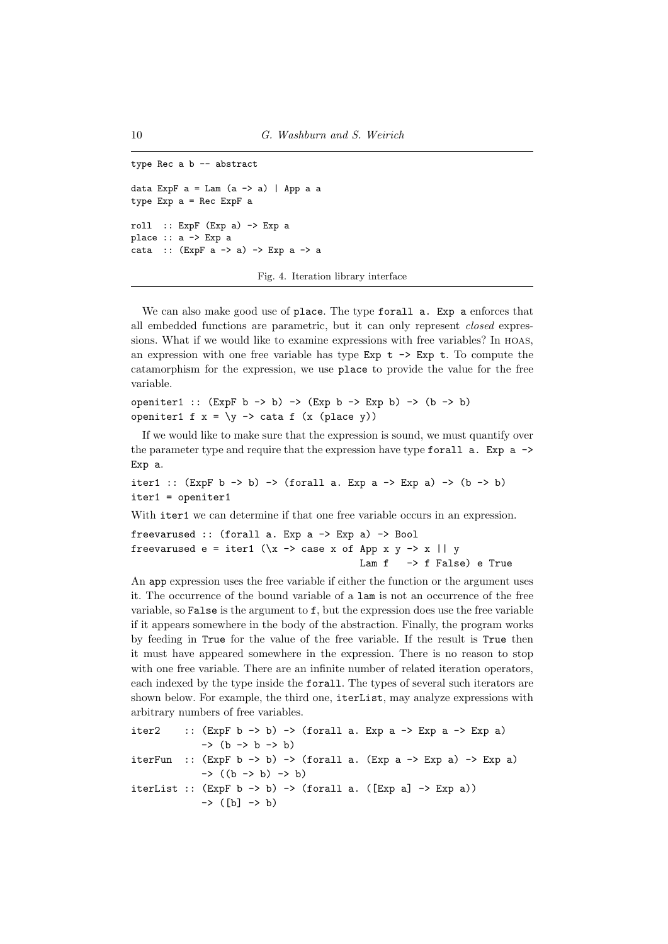```
type Rec a b -- abstract
data ExpF a = Lam (a \rightarrow a) | App a a
type Exp a = Rec ExpF a
roll :: ExpF (Exp a) \rightarrow Exp a
place :: a -> Exp a
cata :: (ExpF a -> a) -> Exp a -> a
```
Fig. 4. Iteration library interface

We can also make good use of place. The type forall a. Exp a enforces that all embedded functions are parametric, but it can only represent closed expressions. What if we would like to examine expressions with free variables? In hoas, an expression with one free variable has type  $Exp t - > Exp t$ . To compute the catamorphism for the expression, we use place to provide the value for the free variable.

```
openiter1 :: (\text{ExpF } b \rightarrow b) \rightarrow (\text{Exp } b \rightarrow \text{Exp } b) \rightarrow (b \rightarrow b)openiter1 f x = \y \rightarrow \text{cata } f(x (\text{place } y))
```
If we would like to make sure that the expression is sound, we must quantify over the parameter type and require that the expression have type for all  $a$ . Exp  $a \rightarrow$ Exp a.

```
iter1 :: (\text{ExpF } b \rightarrow b) \rightarrow (\text{for all a. Exp } a \rightarrow \text{Exp } a) \rightarrow (b \rightarrow b)iter1 = openiter1
```
With iter1 we can determine if that one free variable occurs in an expression.

```
freevarused :: (forall a. Exp a -> Exp a) -> Bool
freevarused e = iter1 (\x \rightarrow x case x of App x y -> x || y
                                            Lam f \rightarrow f False) e True
```
An app expression uses the free variable if either the function or the argument uses it. The occurrence of the bound variable of a lam is not an occurrence of the free variable, so False is the argument to f, but the expression does use the free variable if it appears somewhere in the body of the abstraction. Finally, the program works by feeding in True for the value of the free variable. If the result is True then it must have appeared somewhere in the expression. There is no reason to stop with one free variable. There are an infinite number of related iteration operators, each indexed by the type inside the forall. The types of several such iterators are shown below. For example, the third one, iterList, may analyze expressions with arbitrary numbers of free variables.

```
iter2 :: (ExpF b \rightarrow b) \rightarrow (for all a. Exp a \rightarrow Exp a \rightarrow Exp a)-> (b -> b -> b)
iterFun :: (ExpF b \rightarrow b) \rightarrow (for all a. (Exp a \rightarrow Exp a) \rightarrow Exp a)\rightarrow ((b -> b) -> b)
iterList :: (ExpF b \rightarrow b) \rightarrow (for all a. ([Exp a] \rightarrow Exp a))-> ([b] -> b)
```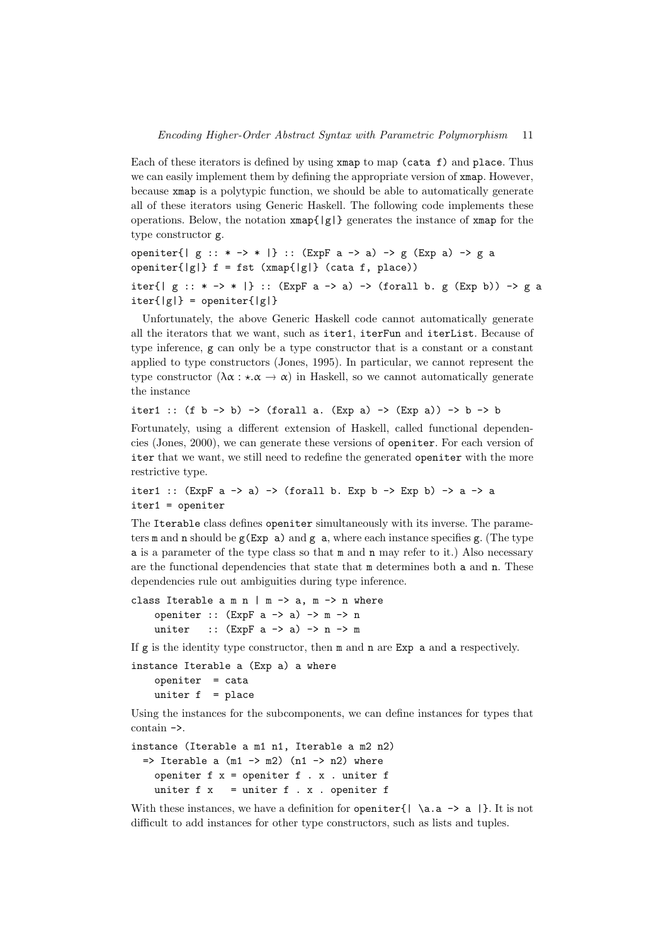Each of these iterators is defined by using xmap to map (cata f) and place. Thus we can easily implement them by defining the appropriate version of  $xmap$ . However, because xmap is a polytypic function, we should be able to automatically generate all of these iterators using Generic Haskell. The following code implements these operations. Below, the notation  $\text{xmap} \{ |g| \}$  generates the instance of  $\text{xmap}$  for the type constructor g.

```
openiter{| g : : * -\rangle * |} :: (ExpF a -> a) -> g (Exp a) -> g a
openiter\{|g|\} f = fst (xmap\{|g|\} (cata f, place))
iter{| g : : * \rightarrow * | :: (ExpF a -> a) -> (forall b. g (Exp b)) -> g a
iter{ |g| } = openiter{ |g| }
```
Unfortunately, the above Generic Haskell code cannot automatically generate all the iterators that we want, such as iter1, iterFun and iterList. Because of type inference, g can only be a type constructor that is a constant or a constant applied to type constructors (Jones, 1995). In particular, we cannot represent the type constructor  $(\lambda \alpha : \star \alpha \rightarrow \alpha)$  in Haskell, so we cannot automatically generate the instance

iter1 :: (f b -> b) -> (forall a. (Exp a) -> (Exp a)) -> b -> b

Fortunately, using a different extension of Haskell, called functional dependencies (Jones, 2000), we can generate these versions of openiter. For each version of iter that we want, we still need to redefine the generated openiter with the more restrictive type.

```
iter1 :: (ExpF a -> a) -> (for all b. Exp b -> Exp b) -> a -> aiter1 = openiter
```
The Iterable class defines openiter simultaneously with its inverse. The parameters m and n should be  $g(Exp a)$  and g a, where each instance specifies g. (The type a is a parameter of the type class so that m and n may refer to it.) Also necessary are the functional dependencies that state that m determines both a and n. These dependencies rule out ambiguities during type inference.

class Iterable  $a \text{ m } n \mid m \rightarrow a, m \rightarrow n$  where openiter ::  $(ExpF a \rightarrow a) \rightarrow m \rightarrow n$ uniter ::  $(\text{ExpF a} \rightarrow a) \rightarrow n \rightarrow m$ 

If  $g$  is the identity type constructor, then  $m$  and  $n$  are Exp a and a respectively.

```
instance Iterable a (Exp a) a where
   openiter = cata
   uniter f = place
```
Using the instances for the subcomponents, we can define instances for types that contain ->.

```
instance (Iterable a m1 n1, Iterable a m2 n2)
 \Rightarrow Iterable a (m1 -> m2) (n1 -> n2) where
   openiter f x = openiter f . x . uniter funiter f(x) = uniter f(x), openiter f(x)
```
With these instances, we have a definition for openiter  $\{ | \{a.a \rightarrow a | \} \}$ . It is not difficult to add instances for other type constructors, such as lists and tuples.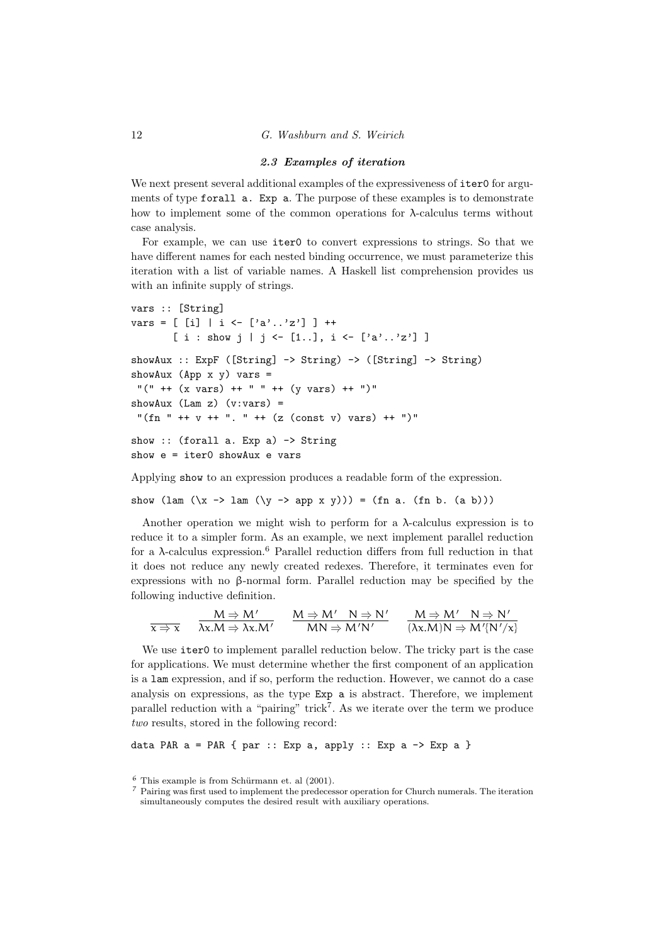#### 2.3 Examples of iteration

We next present several additional examples of the expressiveness of iter0 for arguments of type forall a. Exp a. The purpose of these examples is to demonstrate how to implement some of the common operations for  $\lambda$ -calculus terms without case analysis.

For example, we can use iter0 to convert expressions to strings. So that we have different names for each nested binding occurrence, we must parameterize this iteration with a list of variable names. A Haskell list comprehension provides us with an infinite supply of strings.

```
vars :: [String]
vars = [ [i] | i \leftarrow [ 'a' \dots 'z' ] ] ++[ i : show j | j \leftarrow [1..], i \leftarrow ['a'..'z'] ]showAux :: ExpF ([String] -> String) -> ([String] -> String)
showAux (App \times y) vars =
 "(" + (x \text{ vars}) + + " " + (y \text{ vars}) + + ")"showAux (Lam z) (v:vars) =
 "(fn " ++ y ++ ". " ++ (z (const y) vars) ++ ")"
show :: (forall a. Exp a) -> String
show e = iter0 showAux e vars
```
Applying show to an expression produces a readable form of the expression.

show (lam  $(\x \rightarrow \text{lam } (\y \rightarrow \text{ app } x y))) = (\text{fn } a. (\text{fn } b. (a b)))$ 

Another operation we might wish to perform for a  $\lambda$ -calculus expression is to reduce it to a simpler form. As an example, we next implement parallel reduction for a  $\lambda$ -calculus expression.<sup>6</sup> Parallel reduction differs from full reduction in that it does not reduce any newly created redexes. Therefore, it terminates even for expressions with no β-normal form. Parallel reduction may be specified by the following inductive definition.

$$
\frac{M \Rightarrow M'}{\chi \Rightarrow \chi} \quad \frac{M \Rightarrow M'}{\lambda \chi.M \Rightarrow \lambda \chi.M'} \quad \frac{M \Rightarrow M' \quad N \Rightarrow N'}{MN \Rightarrow M'N'} \quad \frac{M \Rightarrow M' \quad N \Rightarrow N'}{(\lambda \chi.M)N \Rightarrow M'\{N'/\chi\}}
$$

We use iter0 to implement parallel reduction below. The tricky part is the case for applications. We must determine whether the first component of an application is a lam expression, and if so, perform the reduction. However, we cannot do a case analysis on expressions, as the type Exp a is abstract. Therefore, we implement parallel reduction with a "pairing" trick<sup>7</sup>. As we iterate over the term we produce two results, stored in the following record:

data PAR  $a = PAR \{ par : : Exp a, apply : : Exp a -> Exp a \}$ 

 $6$  This example is from Schürmann et. al  $(2001)$ .

<sup>7</sup> Pairing was first used to implement the predecessor operation for Church numerals. The iteration simultaneously computes the desired result with auxiliary operations.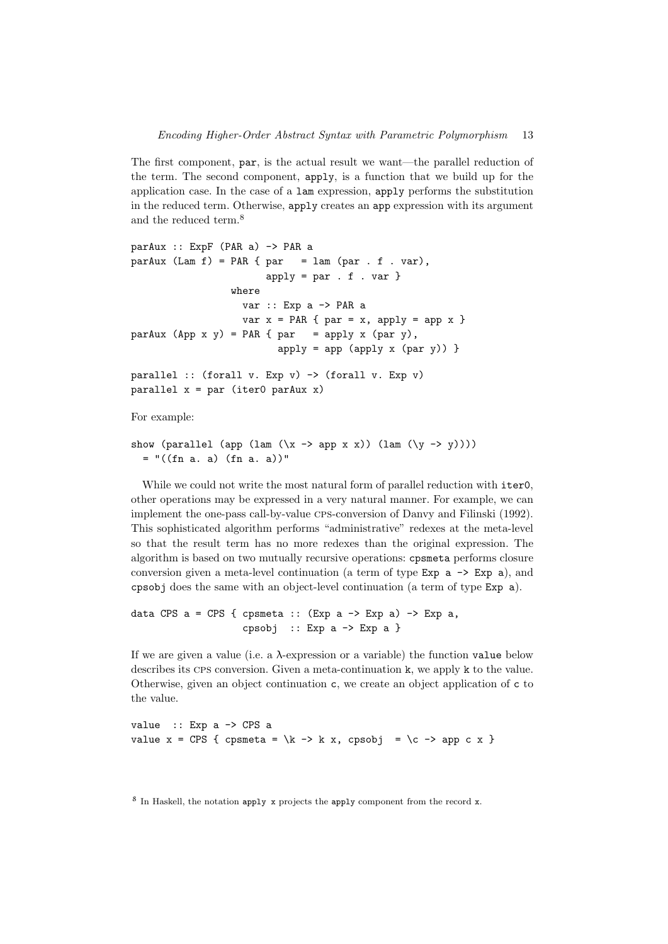The first component, par, is the actual result we want—the parallel reduction of the term. The second component, apply, is a function that we build up for the application case. In the case of a lam expression, apply performs the substitution in the reduced term. Otherwise, apply creates an app expression with its argument and the reduced term.<sup>8</sup>

```
parAux :: ExpF (PAR a) -> PAR a
parAux (Lam f) = PAR { par = lam (par . f . var),
                       apply = par : f : varwhere
                   var :: Exp a -> PAR a
                  var x = PAR { par = x, apply = app x }
parAux (App \ x \ y) = PAR \{ par = apply x (par y),apply = app (apply x (par y))parallel :: (forall v. Exp v) -> (forall v. Exp v)
```
parallel  $x = par$  (iter0 parAux x)

For example:

```
show (parallel (app (lam (\x \rightarrow) app x x)) (lam (\y \rightarrow y)))
  = "((fn a. a) (fn a. a))"
```
While we could not write the most natural form of parallel reduction with iter0, other operations may be expressed in a very natural manner. For example, we can implement the one-pass call-by-value cps-conversion of Danvy and Filinski (1992). This sophisticated algorithm performs "administrative" redexes at the meta-level so that the result term has no more redexes than the original expression. The algorithm is based on two mutually recursive operations: cpsmeta performs closure conversion given a meta-level continuation (a term of type  $Exp a \rightarrow Exp a$ ), and cpsobj does the same with an object-level continuation (a term of type Exp a).

```
data CPS a = CPS { cpsmeta :: (Exp a -> Exp a) -> Exp a,
                    cpsobj :: Exp a \rightarrow Exp a
```
If we are given a value (i.e. a  $\lambda$ -expression or a variable) the function value below describes its CPS conversion. Given a meta-continuation k, we apply k to the value. Otherwise, given an object continuation c, we create an object application of c to the value.

value :: Exp a -> CPS a value  $x = CPS$  { cpsmeta = \k -> k x, cpsobj = \c -> app c x }

<sup>8</sup> In Haskell, the notation apply x projects the apply component from the record x.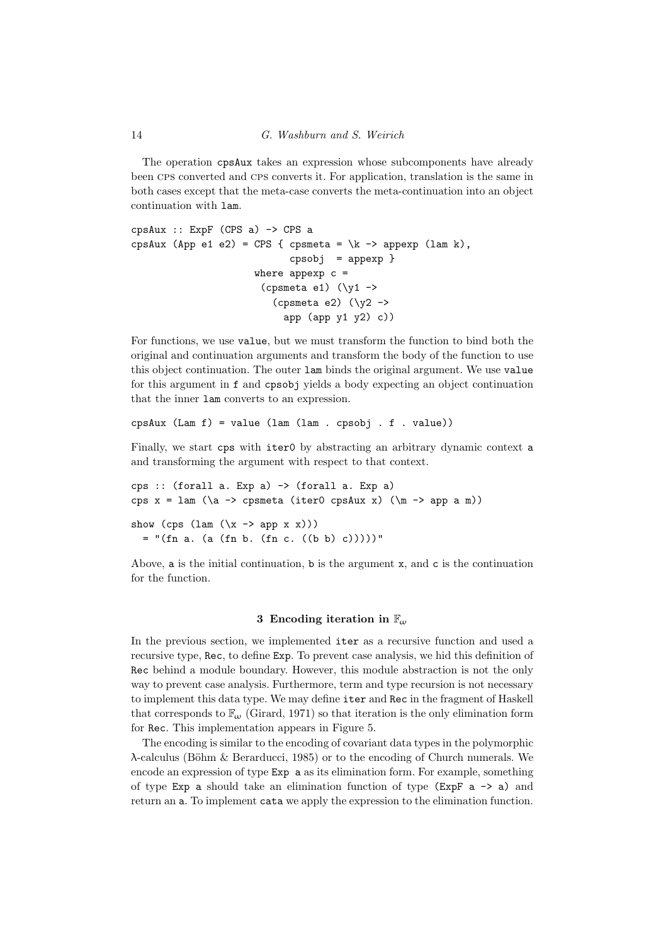The operation cpsAux takes an expression whose subcomponents have already been cps converted and cps converts it. For application, translation is the same in both cases except that the meta-case converts the meta-continuation into an object continuation with lam.

```
cpsAux :: ExpF (CPS a) -> CPS a
cpsAux (App e1 e2) = CPS { cpsmeta = \kappa -> appexp (lam k),
                            cpsobj = appexp }
                     where appexp c =(cpsmeta e1) (\y1 -\)(cpsmeta e2) (\y2 -\)app (app y1 y2) c))
```
For functions, we use value, but we must transform the function to bind both the original and continuation arguments and transform the body of the function to use this object continuation. The outer lam binds the original argument. We use value for this argument in f and cpsobj yields a body expecting an object continuation that the inner lam converts to an expression.

cpsAux (Lam f) = value (lam (lam . cpsobj . f . value))

Finally, we start cps with iter0 by abstracting an arbitrary dynamic context a and transforming the argument with respect to that context.

```
cps :: (forall a. Exp a) -> (forall a. Exp a)
cps x = \text{lam } (\a -> \text{cpsmeta } (iter0 \text{ cpsAux } x) (\m -> \text{app } a \text{ m}))show (cps (lam (\xrightarrow x \rightarrow app x x)))
  = "(fn a. (a (fn b. (fn c. ((b b) c)))))"
```
Above, a is the initial continuation, b is the argument  $x$ , and  $c$  is the continuation for the function.

# 3 Encoding iteration in  $\mathbb{F}_{\omega}$

In the previous section, we implemented iter as a recursive function and used a recursive type, Rec, to define Exp. To prevent case analysis, we hid this definition of Rec behind a module boundary. However, this module abstraction is not the only way to prevent case analysis. Furthermore, term and type recursion is not necessary to implement this data type. We may define iter and Rec in the fragment of Haskell that corresponds to  $\mathbb{F}_{\omega}$  (Girard, 1971) so that iteration is the only elimination form for Rec. This implementation appears in Figure 5.

The encoding is similar to the encoding of covariant data types in the polymorphic  $\lambda$ -calculus (Böhm & Berarducci, 1985) or to the encoding of Church numerals. We encode an expression of type Exp a as its elimination form. For example, something of type Exp a should take an elimination function of type (ExpF  $a \rightarrow a$ ) and return an a. To implement cata we apply the expression to the elimination function.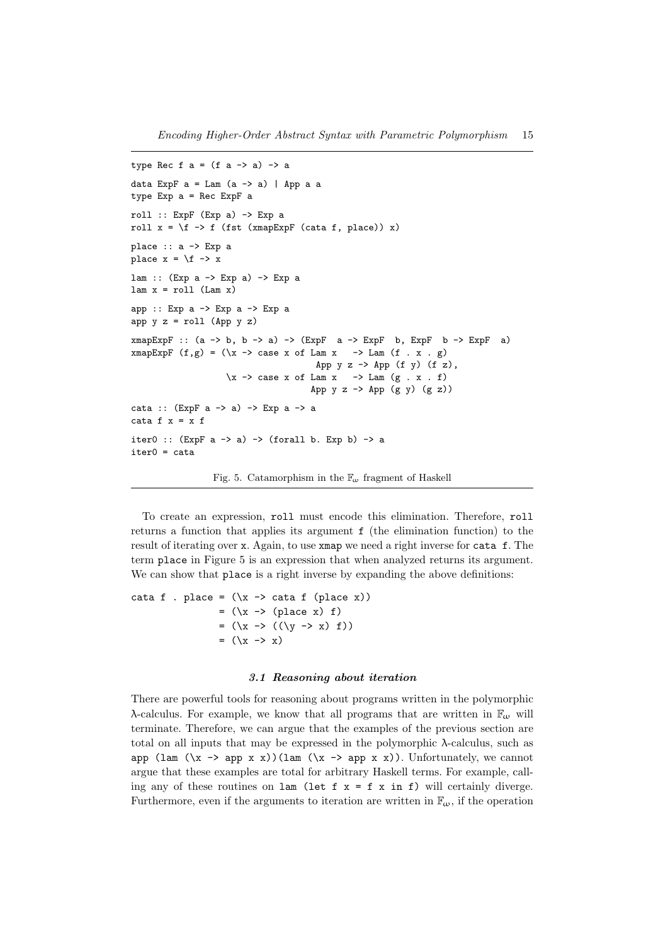```
type Rec f a = (f a \rightarrow a) \rightarrow adata ExpF a = Lam (a \rightarrow a) | App a a
type Exp a = Rec ExpF a
roll :: ExpF (Exp a) \rightarrow Exp aroll x = \{ f \rightarrow f \text{ (fst } (xmapExpF \text{ (cata f, place)) } x) \}place :: a -> Exp a
place x = \{f \rightarrow xlam :: (Exp a -> Exp a) -> Exp a
lam x = roll (Lam x)app :: Exp a \rightarrow Exp a \rightarrow Exp aapp y = roll (App y =)
xmapExpF :: (a \rightarrow b, b \rightarrow a) \rightarrow (ExpF \ a \rightarrow ExpF \ b, ExpF \ b \rightarrow ExpF \ a)xmapExpF (f,g) = (\xrightarrow x \rightarrow case x \text{ of } Lam \xrightarrow y \text{ Lam } (f \xrightarrow x \xrightarrow g)App y z \rightarrow App (f y) (f z),
                         \x \rightarrow case x of Lam x \rightarrow Lam (g \cdot x \cdot f)App y \, z \rightarrow App (g \, y) (g \, z)cata :: (ExpF a -> a) -> Exp a -> a
cata f x = x fiter0 :: (ExpF a \rightarrow a) \rightarrow (for all b. Exp b) \rightarrow aiter0 = cata
```
Fig. 5. Catamorphism in the  $\mathbb{F}_{\omega}$  fragment of Haskell

To create an expression, roll must encode this elimination. Therefore, roll returns a function that applies its argument f (the elimination function) to the result of iterating over x. Again, to use xmap we need a right inverse for cata f. The term place in Figure 5 is an expression that when analyzed returns its argument. We can show that **place** is a right inverse by expanding the above definitions:

```
cata f . place = (\x \rightarrow x \text{ data f } (place x))= (\x \rightarrow (place x) f)
                       = (\x \rightarrow (\x \rightarrow \x) f))= (\x \rightarrow x)
```
#### 3.1 Reasoning about iteration

There are powerful tools for reasoning about programs written in the polymorphic λ-calculus. For example, we know that all programs that are written in  $\mathbb{F}_{\omega}$  will terminate. Therefore, we can argue that the examples of the previous section are total on all inputs that may be expressed in the polymorphic  $\lambda$ -calculus, such as app (lam  $(\xrightarrow x)(\tan (\xrightarrow x))$ )(lam  $(\xrightarrow x)$ ). Unfortunately, we cannot argue that these examples are total for arbitrary Haskell terms. For example, calling any of these routines on lam (let  $f \times = f \times in f$ ) will certainly diverge. Furthermore, even if the arguments to iteration are written in  $\mathbb{F}_{\omega}$ , if the operation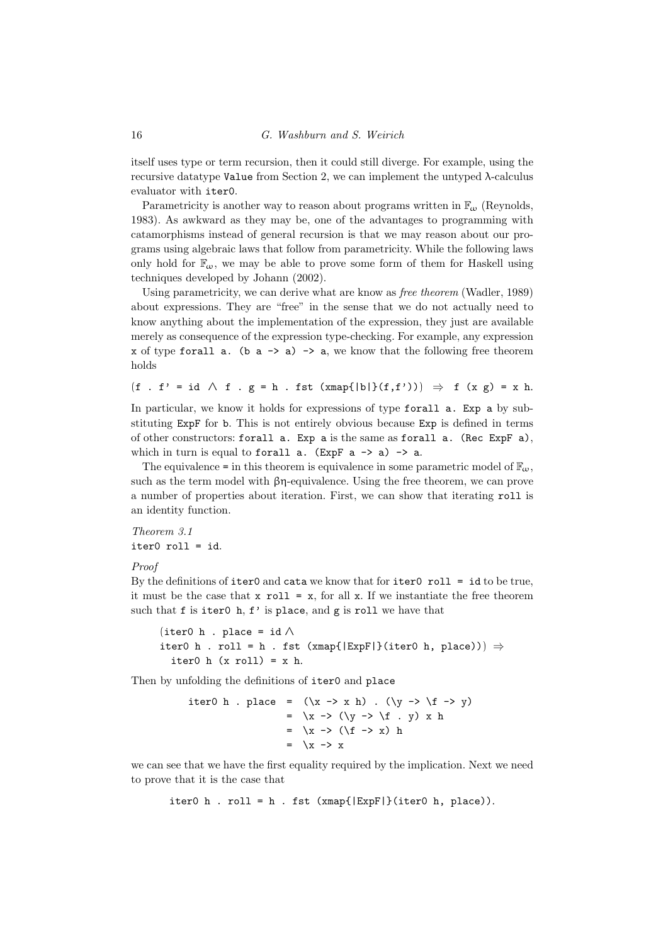itself uses type or term recursion, then it could still diverge. For example, using the recursive datatype Value from Section 2, we can implement the untyped  $\lambda$ -calculus evaluator with iter0.

Parametricity is another way to reason about programs written in  $\mathbb{F}_{\omega}$  (Reynolds, 1983). As awkward as they may be, one of the advantages to programming with catamorphisms instead of general recursion is that we may reason about our programs using algebraic laws that follow from parametricity. While the following laws only hold for  $\mathbb{F}_{\omega}$ , we may be able to prove some form of them for Haskell using techniques developed by Johann (2002).

Using parametricity, we can derive what are know as free theorem (Wadler, 1989) about expressions. They are "free" in the sense that we do not actually need to know anything about the implementation of the expression, they just are available merely as consequence of the expression type-checking. For example, any expression x of type forall a. (b a  $\rightarrow$  a)  $\rightarrow$  a, we know that the following free theorem holds

```
(f f \cdot f') = id \wedge f \cdot g = h \cdot fst (xmap{ |b|}(f,f')) ) \Rightarrow f (x g) = x h.
```
In particular, we know it holds for expressions of type forall a. Exp a by substituting ExpF for b. This is not entirely obvious because Exp is defined in terms of other constructors: forall a. Exp a is the same as forall a. (Rec ExpF a), which in turn is equal to forall  $a$ . (ExpF  $a \rightarrow a$ )  $\rightarrow a$ .

The equivalence = in this theorem is equivalence in some parametric model of  $\mathbb{F}_{\omega}$ , such as the term model with  $\beta$ η-equivalence. Using the free theorem, we can prove a number of properties about iteration. First, we can show that iterating roll is an identity function.

Theorem 3.1 iter0 roll = id.

#### Proof

By the definitions of  $\texttt{iter0}$  and  $\texttt{cata}$  we know that for  $\texttt{iter0}$   $\texttt{roll} = \texttt{id}$  to be true, it must be the case that  $x$  roll =  $x$ , for all  $x$ . If we instantiate the free theorem such that  $f$  is iter0  $h$ ,  $f'$  is place, and  $g$  is roll we have that

```
(iter0 h . place = id ∧iter0 h . roll = h . fst (xmap{|ExpF|\}(iter0 h, place))) \Rightarrowiter0 h (x roll) = x h.
```
Then by unfolding the definitions of iter0 and place

\n
$$
\text{iter0 } h \quad \text{place} = (\x \to x h) \quad (\y \to \f \to y) \\
 = \x \to (\y \to \f \quad y) \quad x h \\
 = \x \to (\f \to x) h \\
 = \x \to x
$$
\n

we can see that we have the first equality required by the implication. Next we need to prove that it is the case that

iter0 h . roll = h . fst  $(xmap{|ExpF|})(iter0 h, place)).$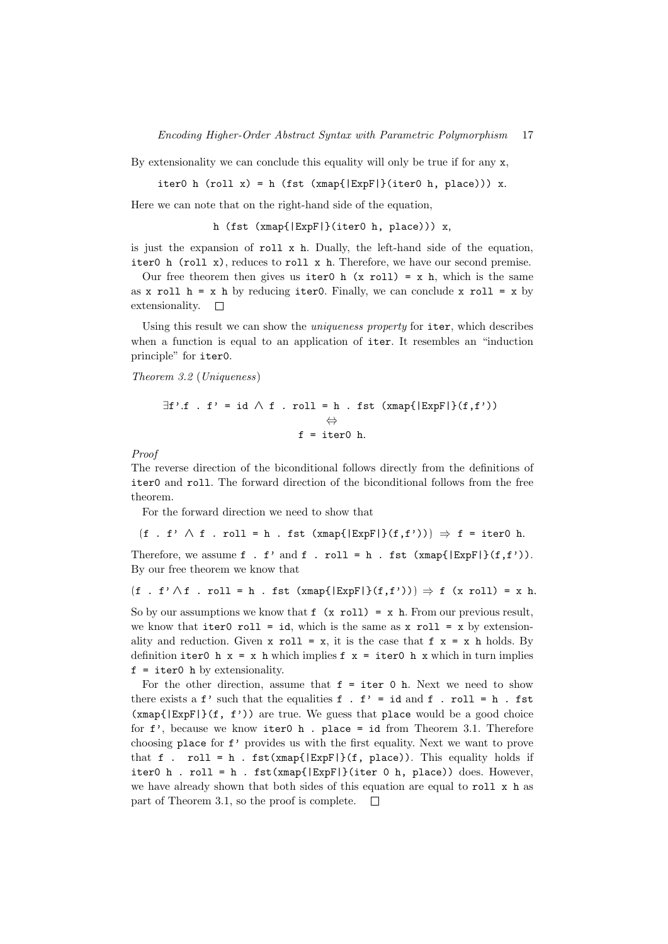By extensionality we can conclude this equality will only be true if for any  $x$ ,

iter0 h (roll  $x$ ) = h (fst (xmap{|ExpF|}(iter0 h, place))) x.

Here we can note that on the right-hand side of the equation,

h (fst (xmap{|ExpF|}(iter0 h, place))) x,

is just the expansion of roll x h. Dually, the left-hand side of the equation, iter0 h (roll x), reduces to roll x h. Therefore, we have our second premise.

Our free theorem then gives us iter0 h  $(x \text{ roll}) = x h$ , which is the same as x roll  $h = x h$  by reducing iter0. Finally, we can conclude x roll = x by extensionality.  $\square$ 

Using this result we can show the *uniqueness property* for iter, which describes when a function is equal to an application of iter. It resembles an "induction principle" for iter0.

Theorem 3.2 (Uniqueness)

$$
\exists f'.f . f' = id \land f . roll = h . fst (xmap{|\text{ExpF}|}(f, f'))
$$

$$
\Leftrightarrow
$$

$$
f = iter0 h.
$$

Proof

The reverse direction of the biconditional follows directly from the definitions of iter0 and roll. The forward direction of the biconditional follows from the free theorem.

For the forward direction we need to show that

 $(f f \cdot f' \wedge f \cdot r$ oll = h . fst  $(xmap{[ExpF]}(f,f'))$   $\Rightarrow$  f = iter0 h. Therefore, we assume f . f' and f . roll = h . fst  $(xmap{|ExpF|}(f,f'))$ .

By our free theorem we know that

 $(f f \cdot f') \wedge f$ . roll = h . fst  $(xmap{[ExpF]}(f,f'))$   $\Rightarrow$  f  $(x \text{ roll}) = x$  h.

So by our assumptions we know that  $f(x \text{ roll}) = x h$ . From our previous result, we know that iter0 roll = id, which is the same as  $x$  roll =  $x$  by extensionality and reduction. Given  $x$  roll =  $x$ , it is the case that  $f \times x = x$  h holds. By definition iter0 h  $x = x$  h which implies  $f(x) = iter0$  h x which in turn implies  $f = iter0$  h by extensionality.

For the other direction, assume that  $f = iter 0$  h. Next we need to show there exists a  $f'$  such that the equalities  $f$  .  $f' = id$  and  $f$  .  $roll = h$  .  $fst$  $(xmap{|ExpF|}(f, f'))$  are true. We guess that place would be a good choice for  $f'$ , because we know iter0 h. place = id from Theorem 3.1. Therefore choosing place for f' provides us with the first equality. Next we want to prove that f . roll = h . fst(xmap{ $|ExpF|$ }(f, place)). This equality holds if iter0 h . roll = h . fst(xmap{ $|ExpF|$ }(iter 0 h, place)) does. However, we have already shown that both sides of this equation are equal to roll  $x$  h as part of Theorem 3.1, so the proof is complete.  $\square$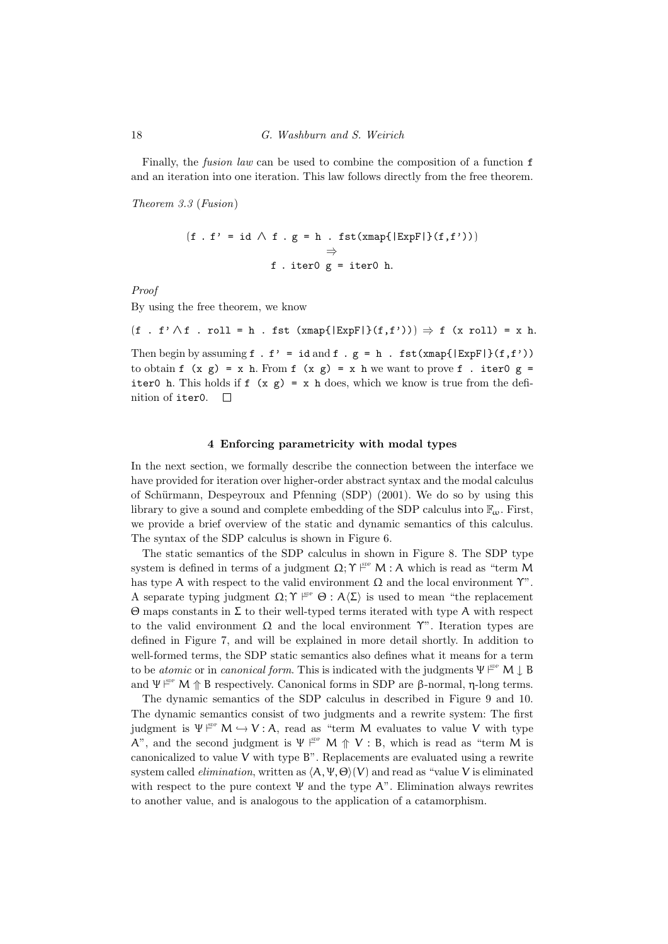Finally, the *fusion law* can be used to combine the composition of a function **f** and an iteration into one iteration. This law follows directly from the free theorem.

Theorem 3.3 (Fusion)

$$
(f f \cdot f') = id \wedge f \cdot g = h \cdot fst(xmap\{|ExpF|\}(f, f')))
$$
  

$$
\Rightarrow
$$
  

$$
f \cdot iter0 g = iter0 h.
$$

Proof

By using the free theorem, we know

 $(f f \cdot f') \wedge f$ . roll = h . fst  $(xmap{[ExpF]}(f,f'))$   $\Rightarrow$  f  $(x \text{ roll}) = x$  h. Then begin by assuming  $f : f' = id$  and  $f : g = h : fst(xmap{|\text{ExpF}|}(f, f'))$ 

to obtain f  $(x g) = x h$ . From f  $(x g) = x h$  we want to prove f . iter0 g = iter0 h. This holds if  $f(x g) = x h$  does, which we know is true from the definition of iter0.  $\square$ 

#### 4 Enforcing parametricity with modal types

In the next section, we formally describe the connection between the interface we have provided for iteration over higher-order abstract syntax and the modal calculus of Schürmann, Despeyroux and Pfenning (SDP) (2001). We do so by using this library to give a sound and complete embedding of the SDP calculus into  $\mathbb{F}_{\alpha}$ . First, we provide a brief overview of the static and dynamic semantics of this calculus. The syntax of the SDP calculus is shown in Figure 6.

The static semantics of the SDP calculus in shown in Figure 8. The SDP type system is defined in terms of a judgment  $\Omega$ ;  $\Upsilon \vDash^{\text{p}} M$  : A which is read as "term M has type A with respect to the valid environment  $\Omega$  and the local environment  $\Upsilon$ ". A separate typing judgment  $\Omega; \Upsilon \vDash^{\text{sp}} \Theta : A\langle \Sigma \rangle$  is used to mean "the replacement" Θ maps constants in Σ to their well-typed terms iterated with type A with respect to the valid environment  $\Omega$  and the local environment  $\Upsilon$ ". Iteration types are defined in Figure 7, and will be explained in more detail shortly. In addition to well-formed terms, the SDP static semantics also defines what it means for a term to be *atomic* or in *canonical form*. This is indicated with the judgments  $\Psi^{\text{sep}}$  M  $\downarrow$  B and  $\Psi \vDash^{s_{DP}} M \uparrow B$  respectively. Canonical forms in SDP are β-normal, η-long terms.

The dynamic semantics of the SDP calculus in described in Figure 9 and 10. The dynamic semantics consist of two judgments and a rewrite system: The first judgment is  $\Psi \stackrel{\text{spp}}{\vdash} M \hookrightarrow V : A$ , read as "term M evaluates to value V with type A", and the second judgment is  $\Psi \stackrel{\text{sp}}{=} M \uparrow V : B$ , which is read as "term M is canonicalized to value  $V$  with type  $B$ ". Replacements are evaluated using a rewrite system called *elimination*, written as  $\langle A, \Psi, \Theta \rangle$  (V) and read as "value V is eliminated with respect to the pure context  $\Psi$  and the type A". Elimination always rewrites to another value, and is analogous to the application of a catamorphism.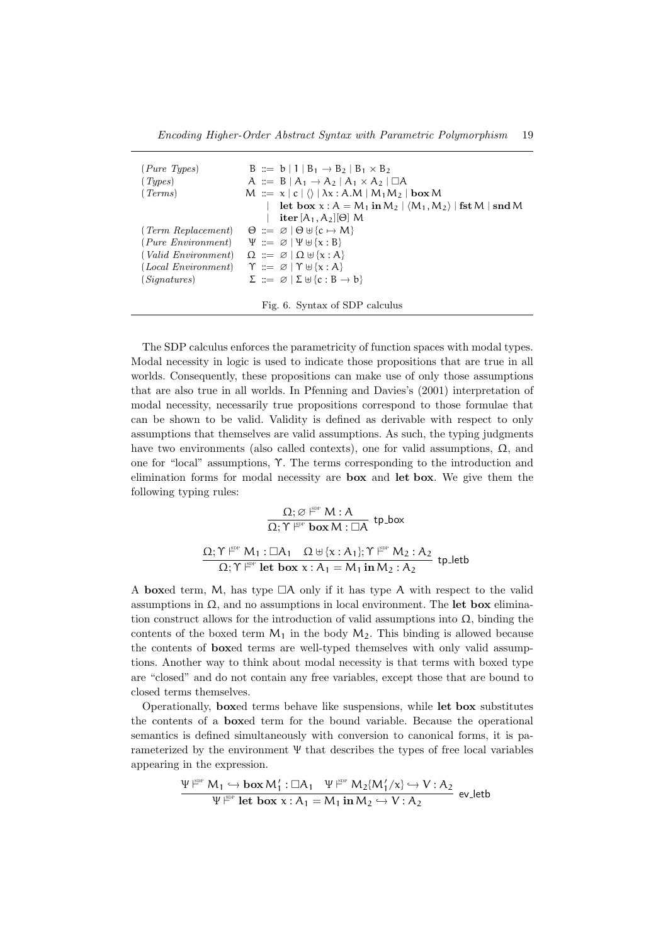| (Pure Types)           | $B ::= b \mid 1 \mid B_1 \rightarrow B_2 \mid B_1 \times B_2$                    |
|------------------------|----------------------------------------------------------------------------------|
| (Types)                | A ::= $B   A_1 \rightarrow A_2   A_1 \times A_2   \square A$                     |
| (Terms)                | $M := x  c  \langle \rangle   \lambda x : A.M   M_1 M_2   \textbf{box } M$       |
|                        | let box $x : A = M_1$ in $M_2   \langle M_1, M_2 \rangle  $ fst M   snd M        |
|                        | $\text{iter } [A_1, A_2][\Theta]$ M                                              |
| $(Term\; Replacement)$ | $\Theta \coloneqq \emptyset \mid \Theta \cup \{\mathbf{c} \mapsto \mathbf{M}\}\$ |
| (Pure Environment)     | $\Psi ::= \emptyset   \Psi \oplus {\mathbf{x} : B}$                              |
| $(Valid\ Environment)$ | $\Omega := \emptyset   \Omega \oplus \{x : A\}$                                  |
| (Local Environment)    | $\Upsilon ::= \emptyset   \Upsilon \oplus \{x : A\}$                             |
| (Sianatures)           | $\Sigma ::= \emptyset   \Sigma \uplus \{c : B \rightarrow b\}$                   |
|                        |                                                                                  |
|                        | Fig. 6. Syntax of SDP calculus                                                   |

The SDP calculus enforces the parametricity of function spaces with modal types. Modal necessity in logic is used to indicate those propositions that are true in all worlds. Consequently, these propositions can make use of only those assumptions that are also true in all worlds. In Pfenning and Davies's (2001) interpretation of modal necessity, necessarily true propositions correspond to those formulae that can be shown to be valid. Validity is defined as derivable with respect to only assumptions that themselves are valid assumptions. As such, the typing judgments have two environments (also called contexts), one for valid assumptions,  $\Omega$ , and one for "local" assumptions, Υ. The terms corresponding to the introduction and elimination forms for modal necessity are box and let box. We give them the following typing rules:

$$
\cfrac{\Omega;\varnothing\stackrel{\text{gpp}}{\longmapsto}M:A}{\Omega;\Upsilon\stackrel{\text{gpp}}{\longmapsto}b\textbf{ox}M:\square A} \text{ tp-box}\\[1mm]\cfrac{\Omega;\Upsilon\stackrel{\text{gpp}}{\longmapsto}M_1:\square A_1\quad \Omega\uplus\{x:A_1\};\Upsilon\stackrel{\text{gpp}}{\longmapsto}M_2:A_2}{\Omega;\Upsilon\stackrel{\text{gpp}}{\longmapsto}B}\text{ tpt}\text{letb}
$$

A boxed term, M, has type  $\Box A$  only if it has type A with respect to the valid assumptions in  $\Omega$ , and no assumptions in local environment. The let box elimination construct allows for the introduction of valid assumptions into  $\Omega$ , binding the contents of the boxed term  $M_1$  in the body  $M_2$ . This binding is allowed because the contents of boxed terms are well-typed themselves with only valid assumptions. Another way to think about modal necessity is that terms with boxed type are "closed" and do not contain any free variables, except those that are bound to closed terms themselves.

Operationally, boxed terms behave like suspensions, while let box substitutes the contents of a boxed term for the bound variable. Because the operational semantics is defined simultaneously with conversion to canonical forms, it is parameterized by the environment Ψ that describes the types of free local variables appearing in the expression.

$$
\frac{\Psi \nrightarrow{\mathbb{P}} M_1 \hookrightarrow \mathbf{box}\, M_1':\Box A_1 \quad \Psi \nrightarrow{\mathbb{P}} M_2\{M_1/x\} \hookrightarrow V:A_2}{\Psi \nrightarrow{\mathbb{P}} \mathbf{let\, box}\,\, x:A_1=M_1\,\mathbf{in}\, M_2 \hookrightarrow V:A_2} \text{ ev\_letb}
$$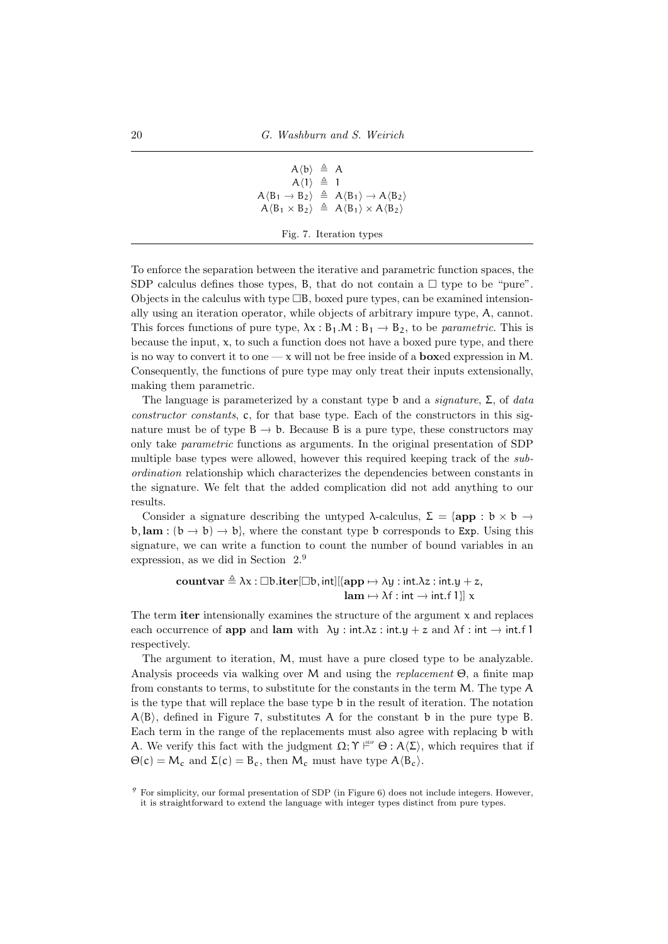$$
\begin{array}{rcl} A\langle b\rangle & \triangleq & A \\ A\langle 1\rangle & \triangleq & 1 \\ A\langle B_1 \rightarrow B_2 \rangle & \triangleq & A\langle B_1\rangle \rightarrow A\langle B_2\rangle \\ A\langle B_1 \times B_2 \rangle & \triangleq & A\langle B_1\rangle \times A\langle B_2\rangle \end{array}
$$

Fig. 7. Iteration types

To enforce the separation between the iterative and parametric function spaces, the SDP calculus defines those types, B, that do not contain a  $\Box$  type to be "pure". Objects in the calculus with type  $\Box B$ , boxed pure types, can be examined intensionally using an iteration operator, while objects of arbitrary impure type, A, cannot. This forces functions of pure type,  $\lambda x : B_1.M : B_1 \to B_2$ , to be *parametric*. This is because the input,  $x$ , to such a function does not have a boxed pure type, and there is no way to convert it to one  $-\infty$  will not be free inside of a **boxed** expression in M. Consequently, the functions of pure type may only treat their inputs extensionally, making them parametric.

The language is parameterized by a constant type b and a signature,  $\Sigma$ , of data constructor constants, c, for that base type. Each of the constructors in this signature must be of type  $B \to b$ . Because B is a pure type, these constructors may only take parametric functions as arguments. In the original presentation of SDP multiple base types were allowed, however this required keeping track of the subordination relationship which characterizes the dependencies between constants in the signature. We felt that the added complication did not add anything to our results.

Consider a signature describing the untyped  $\lambda$ -calculus,  $\Sigma = \{ \text{app} : b \times b \rightarrow$  $\mathfrak{b}$ , lam :  $(\mathfrak{b} \to \mathfrak{b}) \to \mathfrak{b}$ , where the constant type b corresponds to Exp. Using this signature, we can write a function to count the number of bound variables in an expression, as we did in Section 2.<sup>9</sup>

> countvar  $\triangleq \lambda x : \Box b$ .iter $[\Box b, \text{int}][\{\text{app} \mapsto \lambda y : \text{int.}\lambda z : \text{int.}\,y + z,$  $\textbf{lam} \mapsto \lambda f : \textbf{int} \rightarrow \textbf{int}.f 1$ ] x

The term iter intensionally examines the structure of the argument  $x$  and replaces each occurrence of app and lam with  $\lambda y : \text{int.}\lambda z : \text{int.}y + z$  and  $\lambda f : \text{int} \rightarrow \text{int.}f$ respectively.

The argument to iteration, M, must have a pure closed type to be analyzable. Analysis proceeds via walking over M and using the replacement  $\Theta$ , a finite map from constants to terms, to substitute for the constants in the term M. The type A is the type that will replace the base type b in the result of iteration. The notation  $A\langle B\rangle$ , defined in Figure 7, substitutes A for the constant b in the pure type B. Each term in the range of the replacements must also agree with replacing b with A. We verify this fact with the judgment  $\Omega$ ;  $\Upsilon \vDash^{\text{pp}} \Theta$  :  $A\langle \Sigma \rangle$ , which requires that if  $\Theta(c) = M_c$  and  $\Sigma(c) = B_c$ , then  $M_c$  must have type  $A \langle B_c \rangle$ .

 $9\degree$  For simplicity, our formal presentation of SDP (in Figure 6) does not include integers. However, it is straightforward to extend the language with integer types distinct from pure types.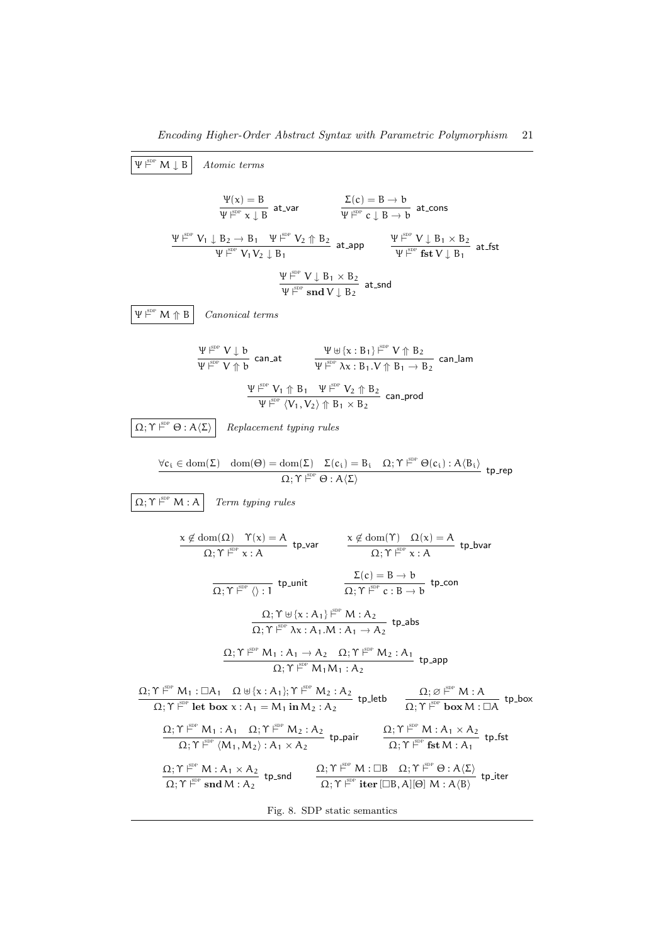$$
\frac{\Psi^{\text{gen}} \vee \mathbf{I} \mathbf{B}}{\Psi^{\text{gen}} \vee \mathbf{I} \mathbf{L} \mathbf{B}} \text{ at } \mathbf{var} \qquad \frac{\mathbf{I}(c) = B \rightarrow b}{\Psi^{\text{gen}} \times \mathbf{I} \mathbf{B}} \text{ at } \mathbf{var} \qquad \frac{\mathbf{I}(c) = B \rightarrow b}{\Psi^{\text{gen}} \times \mathbf{I} \mathbf{B} \rightarrow b} \text{ at } \mathbf{cones}
$$
\n
$$
\frac{\Psi^{\text{gen}} \vee \mathbf{I} \mathbf{L} \mathbf{B} \mathbf{I}}{\Psi^{\text{gen}} \vee \mathbf{I} \mathbf{B} \mathbf{I}} \text{ at } \mathbf{var} \qquad \frac{\mathbf{I}(c) = B \rightarrow b}{\Psi^{\text{gen}} \times \mathbf{I} \mathbf{B} \mathbf{I}} \text{ at } \mathbf{cones}
$$
\n
$$
\frac{\Psi^{\text{gen}} \vee \mathbf{I} \mathbf{B} \mathbf{I}}{\Psi^{\text{gen}} \vee \mathbf{I} \mathbf{B} \mathbf{I}} \text{ Canonical terms}
$$
\n
$$
\frac{\Psi^{\text{gen}} \vee \mathbf{I} \mathbf{B} \mathbf{I}}{\Psi^{\text{gen}} \vee \mathbf{I} \mathbf{B}} \text{ Canat\n
$$
\frac{\Psi^{\text{gen}} \vee \mathbf{I} \mathbf{B} \mathbf{I}}{\Psi^{\text{gen}} \vee \mathbf{I} \mathbf{B} \mathbf{B}} \text{ Canat\n
$$
\frac{\Psi^{\text{gen}} \vee \mathbf{I} \mathbf{B} \mathbf{I}}{\Psi^{\text{gen}} \vee \mathbf{I} \mathbf{B} \mathbf{I}} \text{ Ne} \Psi^{\text{gen}} \text{ Ne} \text{ Se} \text{ can.}\end{aligned}
$$
\n
$$
\frac{\mathbf{I} \mathbf{I} \mathbf{I} \mathbf{I} \mathbf{I}}{\mathbf{I} \mathbf{I} \mathbf{I} \mathbf{I}} \text{ Ne} \text{ Se} \text{ Se} \text
$$
$$
$$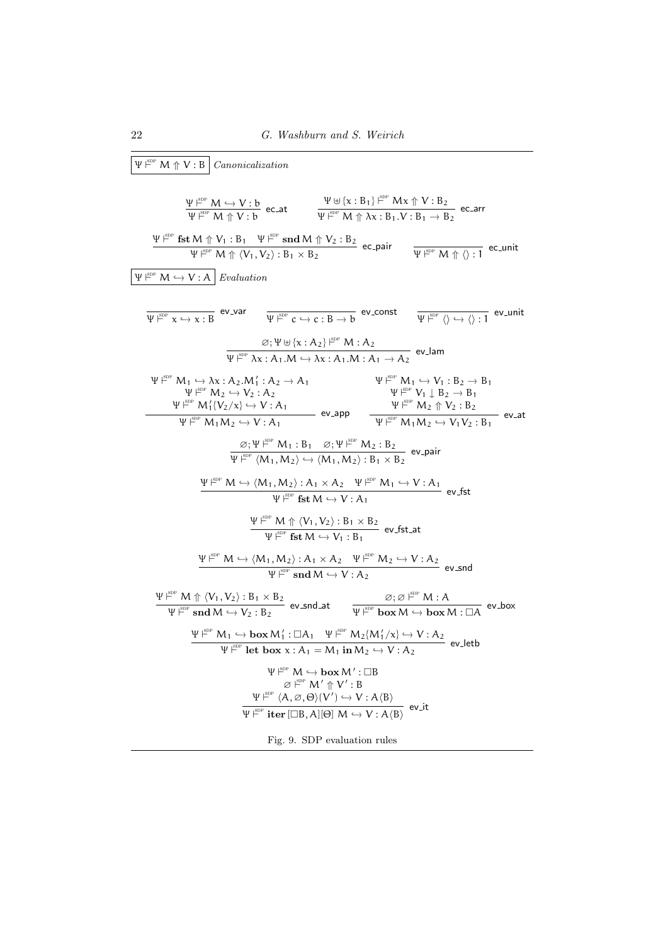$\Psi \stackrel{\text{SDP}}{\sim} M \uparrow V : B$  Canonicalization

$$
\frac{\Psi^{\text{E}}}{\Psi^{\text{E}}}\frac{M \hookrightarrow V:b}{M \uparrow V:b} \text{ e.c.at}
$$
\n
$$
\frac{\Psi^{\text{E}}}{\Psi^{\text{E}}}\frac{W}{M \uparrow Nx:B_{1} \vee B_{2}} \text{ e.c.ar}
$$
\n
$$
\frac{\Psi^{\text{E}}}{\Psi^{\text{E}}}\frac{W}{M \uparrow Nx:B_{1} \vee B_{2}} \text{ e.c.ar}
$$
\n
$$
\frac{\Psi^{\text{E}}}{\Psi^{\text{E}}}\frac{fst M \uparrow V_{1}:B_{1} \Psi^{\text{E}}}{M \uparrow V_{1},V_{2}):B_{1} \times B_{2}} \text{ e.c.pair}
$$
\n
$$
\frac{\Psi^{\text{E}}}{\Psi^{\text{E}}}\frac{W}{M \uparrow V_{2}:A} \text{ Evaluate for } \Psi^{\text{E}}\frac{W}{M \uparrow V_{2}:B_{2}} \text{ e.c.par}
$$
\n
$$
\frac{\Psi^{\text{E}}}{\Psi^{\text{E}}}\frac{W}{N \rightarrow V:A} \text{ Evaluate for } \Psi^{\text{E}}\frac{W}{N \rightarrow V:A} \text{ and } \Psi^{\text{E}}\frac{W}{N \rightarrow V:A} \text{ and } \Psi^{\text{E}}\frac{W}{N \rightarrow V:A} \text{ and } \Psi^{\text{E}}\frac{W}{N \rightarrow V:A} \text{ and } \Psi^{\text{E}}\frac{W}{N \rightarrow V:A} \text{ and } \Psi^{\text{E}}\frac{W}{N \rightarrow V:A} \text{ and } \Psi^{\text{E}}\frac{W}{N \rightarrow V:A} \text{ and } \Psi^{\text{E}}\frac{W}{N \rightarrow V:A} \text{ and } \Psi^{\text{E}}\frac{W}{N \rightarrow V:A} \text{ and } \Psi^{\text{E}}\frac{W}{N \rightarrow V:A} \text{ and } \Psi^{\text{E}}\frac{W}{N \rightarrow V:A} \text{ and } \Psi^{\text{E}}\frac{W}{N \rightarrow V:A} \text{ and } \Psi^{\text{E}}\frac{W}{N \rightarrow V:A} \text{ and } \Psi^{\text{E}}\frac{W}{N \rightarrow V:A} \text{ and } \Psi^{\text{E}}\frac{W}{N \rightarrow V:A} \text{ and } \Psi^{\text{E}}\frac{W}{N \rightarrow V:A} \text{ and } \Psi^{\text{E}}\frac
$$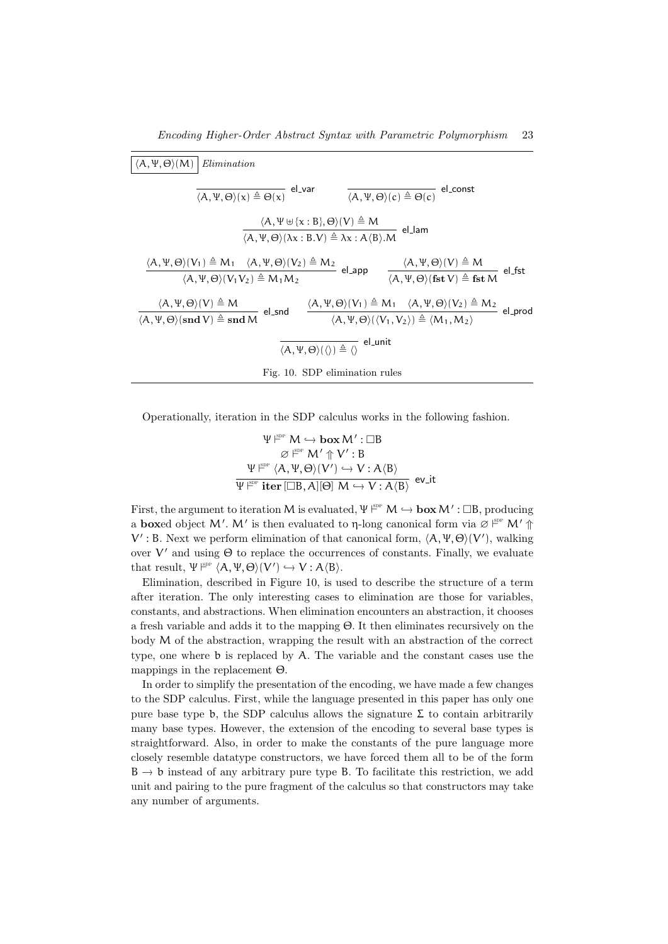| $\langle A,\Psi,\Theta\rangle(M)$ Elimination                                                                                                                                                                                                                                                                                                                             |  |  |  |  |  |  |  |
|---------------------------------------------------------------------------------------------------------------------------------------------------------------------------------------------------------------------------------------------------------------------------------------------------------------------------------------------------------------------------|--|--|--|--|--|--|--|
| $\overline{\langle A,\Psi,\Theta\rangle(c)} \triangleq \Theta(c)$ el_const<br>$\overline{\langle A,\Psi,\Theta\rangle(x)} \triangleq \Theta(x)$ el_var                                                                                                                                                                                                                    |  |  |  |  |  |  |  |
| $\frac{\langle A,\Psi\uplus{\{\mathbf{x}:\mathbf{B}\},\Theta\}}{\langle A,\Psi,\Theta\rangle(\lambda\mathbf{x}:\mathbf{B}.\mathbf{V})\triangleq\lambda\mathbf{x}:\mathbf{A}\langle\mathbf{B}\rangle.\mathbf{M}}$ el_lam                                                                                                                                                   |  |  |  |  |  |  |  |
| $\frac{\langle A,\Psi,\Theta\rangle(V_1)\triangleq M_1\quad \langle A,\Psi,\Theta\rangle(V_2)\triangleq M_2}{\langle A,\Psi,\Theta\rangle(V_1V_2)\triangleq M_1M_2}~~\text{el\_app}~~\frac{\langle A,\Psi,\Theta\rangle(V)\triangleq M}{\langle A,\Psi,\Theta\rangle(\text{fst }V)\triangleq \text{fst }M}~~\text{el\_fst}$                                               |  |  |  |  |  |  |  |
| $\frac{\langle A,\Psi,\Theta\rangle(V)\triangleq M}{\langle A,\Psi,\Theta\rangle(\operatorname{snd}\nolimits V)\triangleq\operatorname{snd}\nolimits}$ el.snd $\frac{\langle A,\Psi,\Theta\rangle(V_1)\triangleq M_1\quad \langle A,\Psi,\Theta\rangle(V_2)\triangleq M_2}{\langle A,\Psi,\Theta\rangle(\langle V_1,V_2\rangle)\triangleq\langle M_1,M_2\rangle}$ el.prod |  |  |  |  |  |  |  |
| $\overline{\langle A,\Psi,\Theta\rangle(\langle\rangle)\triangleq\langle\rangle}$ el_unit                                                                                                                                                                                                                                                                                 |  |  |  |  |  |  |  |
| Fig. 10. SDP elimination rules                                                                                                                                                                                                                                                                                                                                            |  |  |  |  |  |  |  |

Operationally, iteration in the SDP calculus works in the following fashion.

$$
\begin{array}{c}\Psi \stackrel{\text{\tiny{\rm SDP}}}{\longmapsto} M \hookrightarrow {\bf box}\,M': \square B \\ \varnothing \stackrel{\text{\tiny{\rm SDP}}}{\longmapsto} M' \Uparrow V': B\\ \Psi \stackrel{\text{\tiny{\rm SDP}}}{\longmapsto} \langle A, \Psi, \Theta \rangle(V') \hookrightarrow V: A \langle B \rangle \\ \overline{\Psi \stackrel{\text{\tiny{\rm SDP}}}{\longmapsto} {\bf iter}\, [\square B, A][\Theta]\,M \hookrightarrow V: A \langle B \rangle} \end{array} {\bf ev\_it}
$$

First, the argument to iteration M is evaluated,  $\Psi \xrightarrow{\text{spp}} M \hookrightarrow \text{box } M' : \Box B$ , producing a **box**ed object M'. M' is then evaluated to η-long canonical form via  $Ø \stackrel{\text{SPP}}{\sim} M' \uparrow$ V': B. Next we perform elimination of that canonical form,  $\langle A, \Psi, \Theta \rangle$  (V'), walking over  $V'$  and using  $\Theta$  to replace the occurrences of constants. Finally, we evaluate that result,  $\Psi \xrightarrow{\text{gpp}} \langle A, \Psi, \Theta \rangle(V') \hookrightarrow V : A \langle B \rangle.$ 

Elimination, described in Figure 10, is used to describe the structure of a term after iteration. The only interesting cases to elimination are those for variables, constants, and abstractions. When elimination encounters an abstraction, it chooses a fresh variable and adds it to the mapping Θ. It then eliminates recursively on the body M of the abstraction, wrapping the result with an abstraction of the correct type, one where b is replaced by A. The variable and the constant cases use the mappings in the replacement Θ.

In order to simplify the presentation of the encoding, we have made a few changes to the SDP calculus. First, while the language presented in this paper has only one pure base type b, the SDP calculus allows the signature  $\Sigma$  to contain arbitrarily many base types. However, the extension of the encoding to several base types is straightforward. Also, in order to make the constants of the pure language more closely resemble datatype constructors, we have forced them all to be of the form  $B \rightarrow b$  instead of any arbitrary pure type B. To facilitate this restriction, we add unit and pairing to the pure fragment of the calculus so that constructors may take any number of arguments.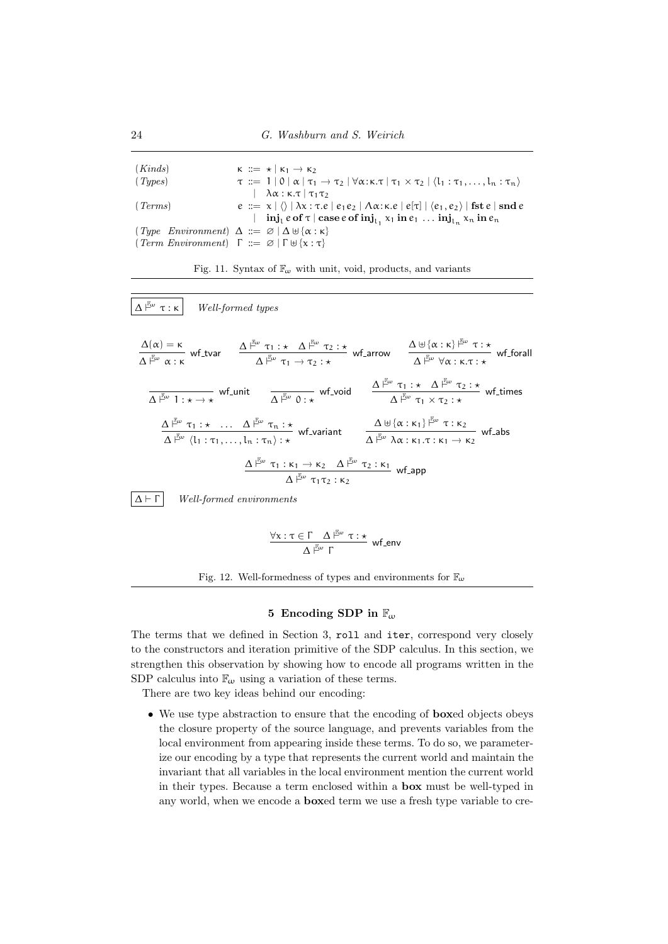| (Kinds)                                                                              |  | $K \nightharpoonup = \star   K_1 \rightarrow K_2$                                                                                                             |
|--------------------------------------------------------------------------------------|--|---------------------------------------------------------------------------------------------------------------------------------------------------------------|
| (Types)                                                                              |  | $\tau := 1   0   \alpha   \tau_1 \rightarrow \tau_2   \forall \alpha: \kappa. \tau   \tau_1 \times \tau_2   \langle l_1: \tau_1, \ldots, l_n: \tau_n \rangle$ |
|                                                                                      |  | $\lambda \alpha$ : $\kappa$ . $\tau$   $\tau_1 \tau_2$                                                                                                        |
| (Terms)                                                                              |  | $e := x   \langle \rangle   \lambda x : \tau.e   e_1 e_2   \Lambda \alpha : \kappa.e   e[\tau]   \langle e_1, e_2 \rangle   \text{fst } e   \text{snd } e$    |
|                                                                                      |  | $\text{inj}_1$ e of $\tau \mid \text{case } e \text{ of } \text{inj}_{1}$ , $x_1$ in $e_1$ $\text{inj}_{1}$ , $x_n$ in $e_n$                                  |
| $\{Type\ Environment\} \Delta ::= \emptyset   \Delta \oplus \{\alpha : \kappa\}$     |  |                                                                                                                                                               |
| $\lceil Term\ Environment\rceil$ $\Gamma ::= \emptyset   \Gamma \oplus \{x : \tau\}$ |  |                                                                                                                                                               |





$$
\frac{\forall x: \tau \in \Gamma \quad \Delta \stackrel{\mathbb{F}_\omega}{\longrightarrow} \tau: \star}{\Delta \stackrel{\mathbb{F}_\omega}{\longleftarrow} \Gamma} \text{ wf\_env}
$$



# 5 Encoding SDP in  $\mathbb{F}_{\omega}$

The terms that we defined in Section 3, roll and iter, correspond very closely to the constructors and iteration primitive of the SDP calculus. In this section, we strengthen this observation by showing how to encode all programs written in the SDP calculus into  $\mathbb{F}_{\omega}$  using a variation of these terms.

There are two key ideas behind our encoding:

• We use type abstraction to ensure that the encoding of **boxed** objects obeys the closure property of the source language, and prevents variables from the local environment from appearing inside these terms. To do so, we parameterize our encoding by a type that represents the current world and maintain the invariant that all variables in the local environment mention the current world in their types. Because a term enclosed within a box must be well-typed in any world, when we encode a boxed term we use a fresh type variable to cre-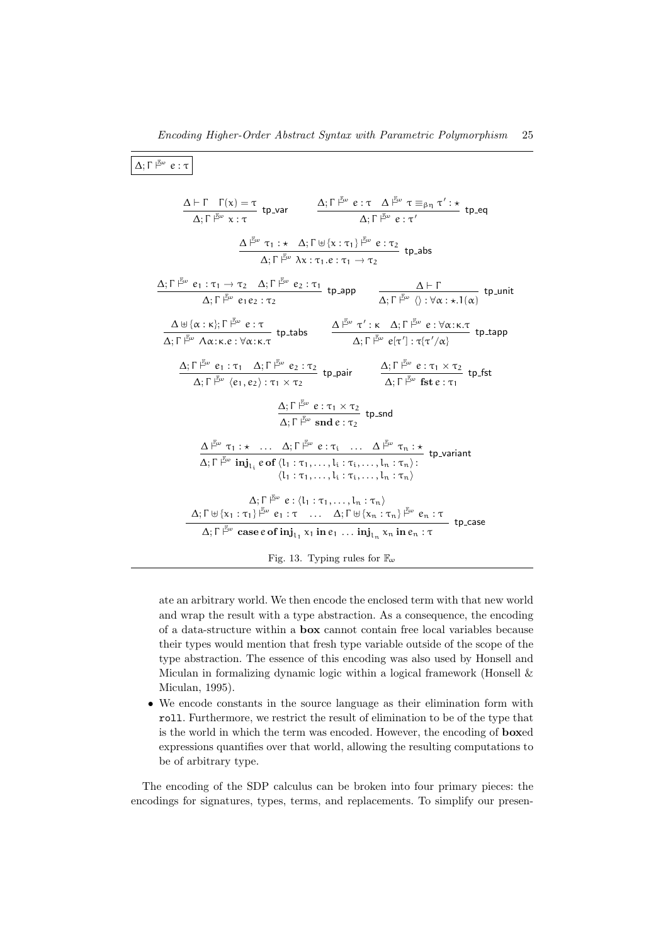$$
\Delta; \Gamma \stackrel{\mathbb{E}_{\omega}}{\models} e : \tau
$$
\n
$$
\frac{\Delta \vdash \Gamma \quad \Gamma(x) = \tau}{\Delta; \Gamma \stackrel{\mathbb{E}_{\omega}}{\models} x : \tau} \quad \text{where } \Delta; \Gamma \stackrel{\mathbb{E}_{\omega}}{\models} e : \tau \Delta \stackrel{\mathbb{E}_{\omega}}{\models} e : \tau' \quad \text{therefore } \Delta; \Gamma \neq \omega \text{ and } \Delta; \Gamma \stackrel{\mathbb{E}_{\omega}}{\models} e : \tau' \quad \text{therefore } \Delta; \Gamma \stackrel{\mathbb{E}_{\omega}}{\models} e : \tau' \quad \text{therefore } \Delta; \Gamma \stackrel{\mathbb{E}_{\omega}}{\models} e : \tau' \quad \text{therefore } \Delta; \Gamma \stackrel{\mathbb{E}_{\omega}}{\models} \lambda x : \tau_1 \cdot e : \tau_1 \rightarrow \tau_2 \quad \text{therefore } \Delta; \Gamma \stackrel{\mathbb{E}_{\omega}}{\models} e : \tau_2 \quad \text{then } \Delta; \Gamma \stackrel{\mathbb{E}_{\omega}}{\models} e : \tau_2 \quad \text{then } \Delta; \Gamma \stackrel{\mathbb{E}_{\omega}}{\models} e : \forall \alpha : \forall \alpha : \forall \alpha : \pi \cdot \alpha \in \mathbb{R}; \Gamma \stackrel{\mathbb{E}_{\omega}}{\models} e : \tau_2 \quad \text{then } \Delta; \Gamma \stackrel{\mathbb{E}_{\omega}}{\models} e : \forall \alpha : \forall \alpha : \pi \cdot \alpha \in \mathbb{R}; \Gamma \stackrel{\mathbb{E}_{\omega}}{\models} e : \tau_2 \quad \text{then } \Delta; \Gamma \stackrel{\mathbb{E}_{\omega}}{\models} e : \tau' \cdot \alpha \in \mathbb{R}; \tau \quad \text{then } \Delta; \Gamma \stackrel{\mathbb{E}_{\omega}}{\models} e : \tau_1 \land \text{then } \Delta; \Gamma \stackrel{\mathbb{E}_{\omega}}{\models} e : \tau_1 \land \text{then } \Delta; \Gamma \stackrel{\mathbb{E}_{\omega}}{\models} e : \tau_1 \land \text{then } \Delta; \Gamma \stackrel{\mathbb{E}_{\omega}}{\models} e : \tau_1 \land \text{then } \Delta; \Gamma \stackrel{\mathbb{E}_{\omega}}{\models} e : \tau_1 \land \text{then } \Delta; \Gamma \stackrel{\mathbb{E}_{\omega}}{\models} e : \tau
$$

ate an arbitrary world. We then encode the enclosed term with that new world and wrap the result with a type abstraction. As a consequence, the encoding of a data-structure within a box cannot contain free local variables because their types would mention that fresh type variable outside of the scope of the type abstraction. The essence of this encoding was also used by Honsell and Miculan in formalizing dynamic logic within a logical framework (Honsell & Miculan, 1995).

• We encode constants in the source language as their elimination form with roll. Furthermore, we restrict the result of elimination to be of the type that is the world in which the term was encoded. However, the encoding of boxed expressions quantifies over that world, allowing the resulting computations to be of arbitrary type.

The encoding of the SDP calculus can be broken into four primary pieces: the encodings for signatures, types, terms, and replacements. To simplify our presen-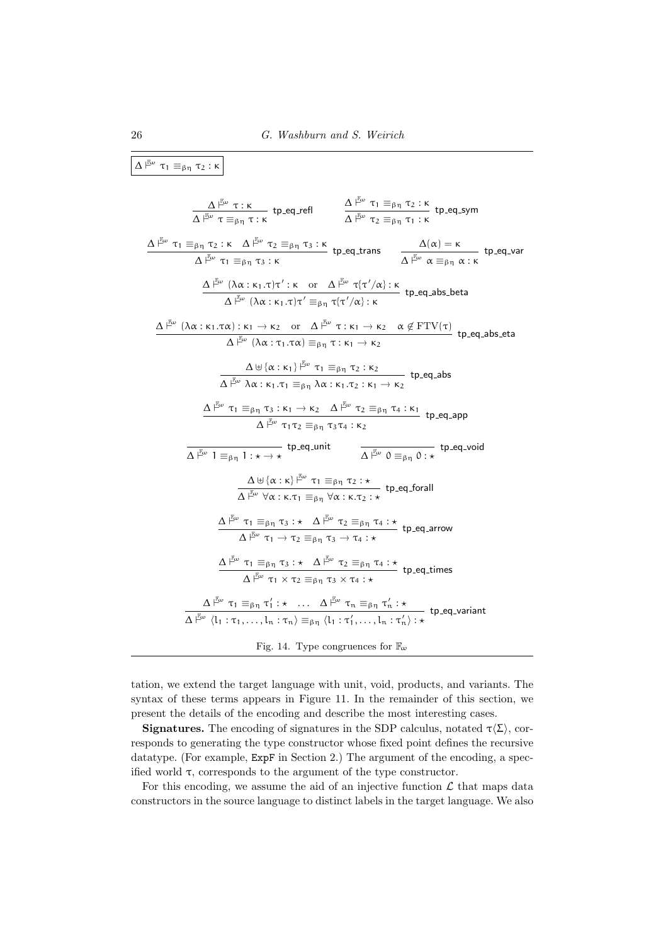$$
\Delta \frac{\beta_{\omega}}{f^{\alpha}} \tau_{1} \equiv_{\beta \eta} \tau_{2}: \kappa
$$
\n
$$
\frac{\Delta \frac{\beta_{\omega}}{f^{\alpha}} \tau_{1} \equiv_{\beta \eta} \tau_{2}: \kappa}{\Delta \frac{\beta_{\omega}}{f^{\alpha}} \tau_{1} \equiv_{\beta \eta} \tau_{2}: \kappa} \quad \text{the-q-ref} \quad \frac{\Delta \frac{\beta_{\omega}}{f^{\alpha}} \tau_{1} \equiv_{\beta \eta} \tau_{2}: \kappa}{\Delta \frac{\beta_{\omega}}{f^{\alpha}} \tau_{1} \equiv_{\beta \eta} \tau_{3}: \kappa} \quad \text{the-q-rans} \quad \frac{\Delta(\alpha) = \kappa}{\Delta \frac{\beta_{\omega}}{f^{\alpha}} \alpha \equiv_{\beta \eta} \alpha: \kappa} \quad \text{the-q-var}
$$
\n
$$
\frac{\Delta \frac{\beta_{\omega}}{f^{\alpha}} (\lambda \alpha: \kappa_{1}, \tau) \tau': \kappa \quad \text{or} \quad \Delta \frac{\beta_{\omega}}{f^{\alpha}} \tau(\tau'/\alpha): \kappa}{\Delta \frac{\beta_{\omega}}{f^{\alpha}} (\lambda \alpha: \kappa_{1}, \tau) \tau' \equiv_{\beta \eta} \tau_{1}: \kappa_{1} \to \kappa_{2} \quad \alpha \notin \text{FTV}(\tau)}{\Delta \frac{\beta_{\omega}}{f^{\alpha}} (\lambda \alpha: \tau_{1}, \tau \alpha) \equiv_{\beta \eta} \tau_{2}: \kappa_{1} \to \kappa_{2} \quad \alpha \notin \text{FTV}(\tau)}{\Delta \frac{\beta_{\omega}}{f^{\alpha}} \tau_{1} \equiv_{\beta \eta} \tau_{3}: \kappa_{1} \to \kappa_{2} \quad \alpha \notin \text{FTV}(\tau)}{\Delta \frac{\beta_{\omega}}{f^{\alpha}} \tau_{1} \equiv_{\beta \eta} \tau_{3}: \kappa_{1} \to \kappa_{2} \quad \Delta \frac{\beta_{\omega}}{f^{\alpha}} \tau_{2} \equiv_{\beta \eta} \tau_{4}: \kappa_{1}} \quad \text{the-q-abs\_eta}
$$
\n
$$
\frac{\Delta \frac{\beta_{\omega}}{f^{\alpha}} \tau_{1} \equiv_{\beta \eta} \tau_{3}: \kappa_{1} \to \kappa_{2} \quad \Delta \frac{\beta_{\omega}}{f^{\alpha}} \tau_{2} \equiv_{\beta
$$

tation, we extend the target language with unit, void, products, and variants. The syntax of these terms appears in Figure 11. In the remainder of this section, we present the details of the encoding and describe the most interesting cases.

**Signatures.** The encoding of signatures in the SDP calculus, notated  $\tau(\Sigma)$ , corresponds to generating the type constructor whose fixed point defines the recursive datatype. (For example,  $ExpF$  in Section 2.) The argument of the encoding, a specified world τ, corresponds to the argument of the type constructor.

For this encoding, we assume the aid of an injective function  $\mathcal L$  that maps data constructors in the source language to distinct labels in the target language. We also

┑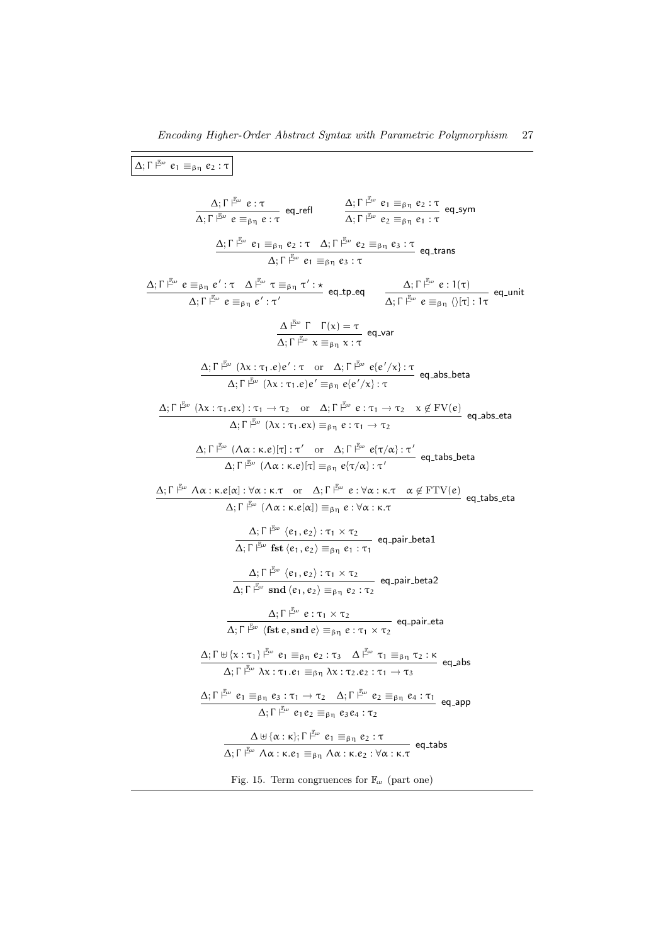$$
\boxed{\Delta;\Gamma^{\frac{2}{10}\omega}e_1\equiv_{\beta\eta}e_2:\tau\qquad\alpha,\Gamma\upharpoonright^{E\omega}e:\tau\qquad\alpha,\Gamma\upharpoonright^{E\omega}e_1\equiv_{\beta\eta}e_2:\tau\qquad\alpha,\Gamma\upharpoonright^{E\omega}e_1\equiv_{\beta\eta}e_2:\tau\qquad\alpha,\Gamma\upharpoonright^{E\omega}e_2\equiv_{\beta\eta}e_1:\tau\qquad\Delta;\Gamma^{\frac{2}{10}\omega}e_1\equiv_{\beta\eta}e_2:\tau\qquad\Delta;\Gamma^{\frac{2}{10}\omega}e_1\equiv_{\beta\eta}e_2:\tau\qquad\Delta;\Gamma^{\frac{2}{10}\omega}e_1\equiv_{\beta\eta}e_2:\tau\qquad\Delta;\Gamma^{\frac{2}{10}\omega}e_1\equiv_{\beta\eta}e_2:\tau\qquad\Delta;\Gamma^{\frac{2}{10}\omega}e_1\equiv_{\beta\eta}e_2:\tau\qquad\Delta;\Gamma^{\frac{2}{10}\omega}e_1\equiv_{\beta\eta}e':\tau\qquad\Delta;\Gamma^{\frac{2}{10}\omega}e_1\equiv_{\beta\eta}e':\tau\qquad\Delta;\Gamma^{\frac{2}{10}\omega}e_1\equiv_{\beta\eta}e':\tau\qquad\Delta;\Gamma^{\frac{2}{10}\omega}e_1\equiv_{\beta\eta}e'_1\equiv_{\beta\eta}e'_1\equiv_{\beta\eta}e'_1\equiv_{\beta\eta}e'_1\equiv_{\beta\eta}e'_1\equiv_{\beta\eta}e'_1\equiv_{\beta\eta}e'_1\equiv_{\beta\eta}e'_1\equiv_{\beta\eta}e'_1\equiv_{\beta\eta}e'_1\equiv_{\beta\eta}e'_1\equiv_{\beta\eta}e'_1\equiv_{\beta\eta}e'_1\equiv_{\beta\eta}e'_1\equiv_{\beta\eta}e'_1\equiv_{\beta\eta}e'_1\equiv_{\beta\eta}e'_1\equiv_{\beta\eta}e'_1\equiv_{\beta\eta}e'_1\equiv_{\beta\eta}e'_1\equiv_{\beta\eta}e'_1\equiv_{\beta\eta}e'_1\equiv_{\beta\eta}e'_1\equiv_{\beta\eta}e'_1\equiv_{\beta\eta}e'_1\equiv_{\beta\eta}e'_1\equiv_{\beta\eta}e'_1\equiv_{\beta\eta}e'_1\equiv_{\beta\eta}e'_
$$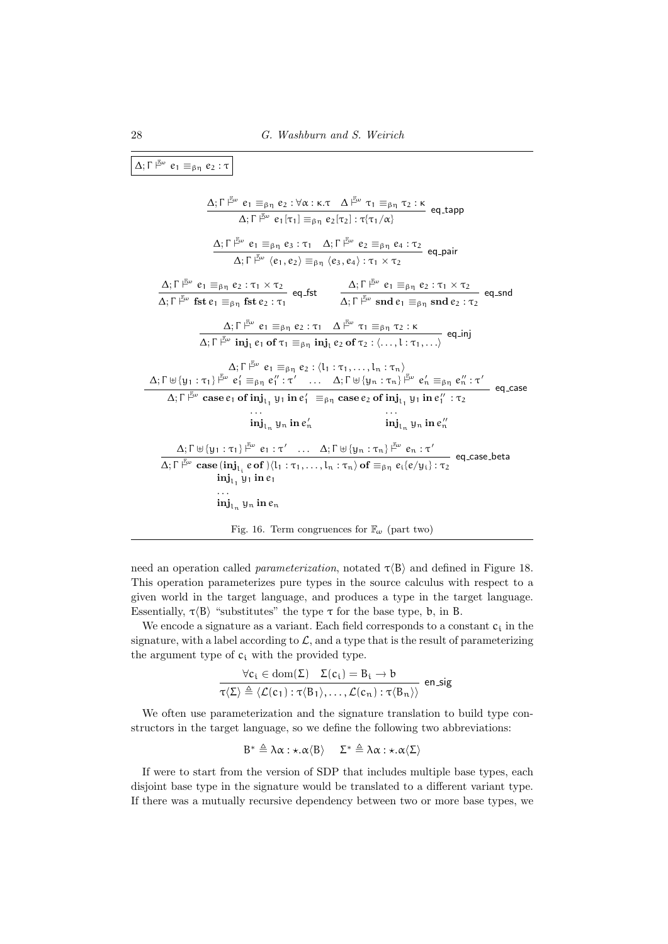$$
\Delta; \Gamma \nvdash^{\mathbb{Z}_{\omega}} e_{1} \equiv_{\beta \eta} e_{2} : \tau
$$
\n
$$
\Delta; \Gamma \nvdash^{\mathbb{Z}_{\omega}} e_{1} \equiv_{\beta \eta} e_{2} : \forall \alpha : \kappa. \tau \quad \Delta \nvdash^{\mathbb{Z}_{\omega}} \tau_{1} \equiv_{\beta \eta} \tau_{2} : \kappa \quad \text{eq.tapp}
$$
\n
$$
\Delta; \Gamma \nvdash^{\mathbb{Z}_{\omega}} e_{1} [\tau_{1}] \equiv_{\beta \eta} e_{2} [\tau_{2}] : \tau_{\{\tau_{1}/\alpha\}} e_{2} \equiv_{\beta \eta} e_{4} : \tau_{2}
$$
\n
$$
\Delta; \Gamma \nvdash^{\mathbb{Z}_{\omega}} (e_{1}, e_{2}) \equiv_{\beta \eta} (e_{3}, e_{4}) : \tau_{1} \times \tau_{2}
$$
\n
$$
\Delta; \Gamma \nvdash^{\mathbb{Z}_{\omega}} e_{1} \equiv_{\beta \eta} e_{2} : \tau_{1} \times \tau_{2}
$$
\n
$$
\Delta; \Gamma \nvdash^{\mathbb{Z}_{\omega}} e_{1} \equiv_{\beta \eta} \tau_{2} : \tau_{1} \times \tau_{2}
$$
\n
$$
\Delta; \Gamma \nvdash^{\mathbb{Z}_{\omega}} e_{1} \equiv_{\beta \eta} e_{2} : \tau_{1} \quad \Delta \nvdash^{\mathbb{Z}_{\omega}} e_{1} \equiv_{\beta \eta} \text{ and } e_{2} : \tau_{2} \quad \text{eq\_snd}
$$
\n
$$
\Delta; \Gamma \nvdash^{\mathbb{Z}_{\omega}} e_{1} \equiv_{\beta \eta} e_{2} : \tau_{1} \quad \Delta \nvdash^{\mathbb{Z}_{\omega}} \tau_{1} \equiv_{\beta \eta} \tau_{2} : \kappa
$$
\n
$$
\Delta; \Gamma \nvdash^{\mathbb{Z}_{\omega}} e_{1} \equiv_{\beta \eta} e_{2} : \langle l_{1} : \tau_{1}, \ldots, l_{\eta} : \tau_{\eta} \rangle \quad \text{eq.ind}
$$
\n
$$
\Delta; \Gamma \nvdash^{\mathbb{Z}_{\omega}} e_{1} \equiv_{\beta \eta} e_{2} : \langle l_{1} : \tau_{1}, \ldots, l_{\eta} : \tau_{\eta} \
$$

need an operation called *parameterization*, notated  $\tau \langle B \rangle$  and defined in Figure 18. This operation parameterizes pure types in the source calculus with respect to a given world in the target language, and produces a type in the target language. Essentially,  $\tau \langle B \rangle$  "substitutes" the type  $\tau$  for the base type, b, in B.

We encode a signature as a variant. Each field corresponds to a constant  $c_i$  in the signature, with a label according to  $\mathcal{L}$ , and a type that is the result of parameterizing the argument type of  $c_i$  with the provided type.

$$
\frac{\forall c_i \in \text{dom}(\Sigma) \quad \Sigma(c_i) = B_i \rightarrow b}{\tau(\Sigma) \triangleq \langle \mathcal{L}(c_1) : \tau \langle B_1 \rangle, \dots, \mathcal{L}(c_n) : \tau \langle B_n \rangle \rangle} \text{ en\_sig}
$$

We often use parameterization and the signature translation to build type constructors in the target language, so we define the following two abbreviations:

$$
B^* \triangleq \lambda \alpha : \star. \alpha \langle B \rangle \quad \Sigma^* \triangleq \lambda \alpha : \star. \alpha \langle \Sigma \rangle
$$

If were to start from the version of SDP that includes multiple base types, each disjoint base type in the signature would be translated to a different variant type. If there was a mutually recursive dependency between two or more base types, we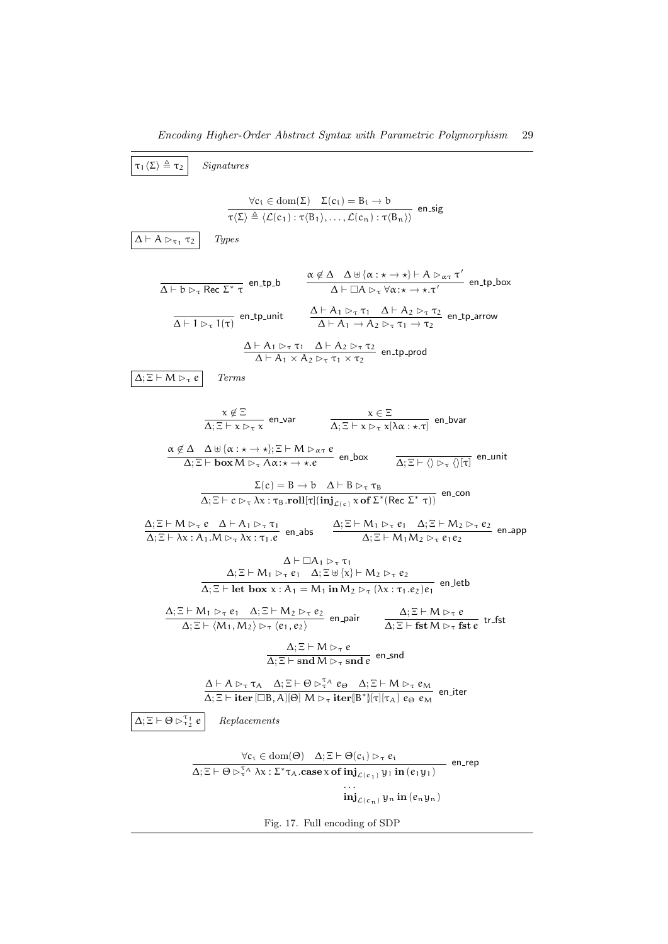| $\overline{(\tau_1(\Sigma) \triangleq \tau_2)}$ <i>Signatures</i>                                         |                       |
|-----------------------------------------------------------------------------------------------------------|-----------------------|
| $\forall c_i \in dom(\Sigma) \Sigma(c_i) = B_i \rightarrow b$                                             |                       |
| $\overline{(\Sigma) \triangleq (\mathcal{L}(c_1) : \tau(B_1),..., \mathcal{L}(c_n) : \tau(B_n))}$ e n.sig |                       |
| $\Delta \vdash A \rvert_{\Gamma \vdash \Gamma} T_2$                                                       | $\gamma$ <i>Types</i> |
| $\overline{\Delta \vdash b \rvert_{\Gamma \vdash \Gamma} \text{}} \text{ } (1, 1, 0)$                     |                       |
| $\overline{\Delta \vdash b \rvert_{\Gamma \vdash \Gamma} \text{}} \text{ } (1, 1, 0)$                     |                       |
| $\overline{\Delta \vdash b \rvert_{\Gamma \vdash \Gamma} \text{}} \text{ } (1, 1, 0)$                     |                       |
| $\overline{\Delta \vdash b \rvert_{\Gamma \vdash \Gamma} \text{}} \text{ } (1, 1, 0)$                     |                       |
| $\overline{\Delta \vdash b \rvert_{\Gamma \vdash \Gamma} \text{}} \text{ } (1, 1, 0)$                     |                       |
| $\overline{\Delta \vdash A \rvert_{\Gamma \vdash \Gamma} \text{}} \text{ } (1, 1, 0)$                     |                       |
| $\overline{\Delta \vdash A \rvert_{\Gamma \vdash \Gamma} \text{}} \text{ } (1, 1, 0)$                     |                       |
| $\overline{\Delta \vdash A \rvert_{\Gamma \vdash \Gamma} \text{}} \text{ } (1, 1, 0)$                     |                       |
| $\overline{\Delta \vdash \Gamma} \text{ } (1, 1, 0)$                                                      |                       |
| $\overline{\Delta \vdash \Gamma} \text{ } (1, 1, 0)$                                                      |                       |
| $\overline{\Delta \vdash \Gamma} \text{ } (1, 1, 0)$                                                      |                       |
| $\overline{\Delta \vdash \Gamma} \text{$                                                                  |                       |

Fig. 17. Full encoding of SDP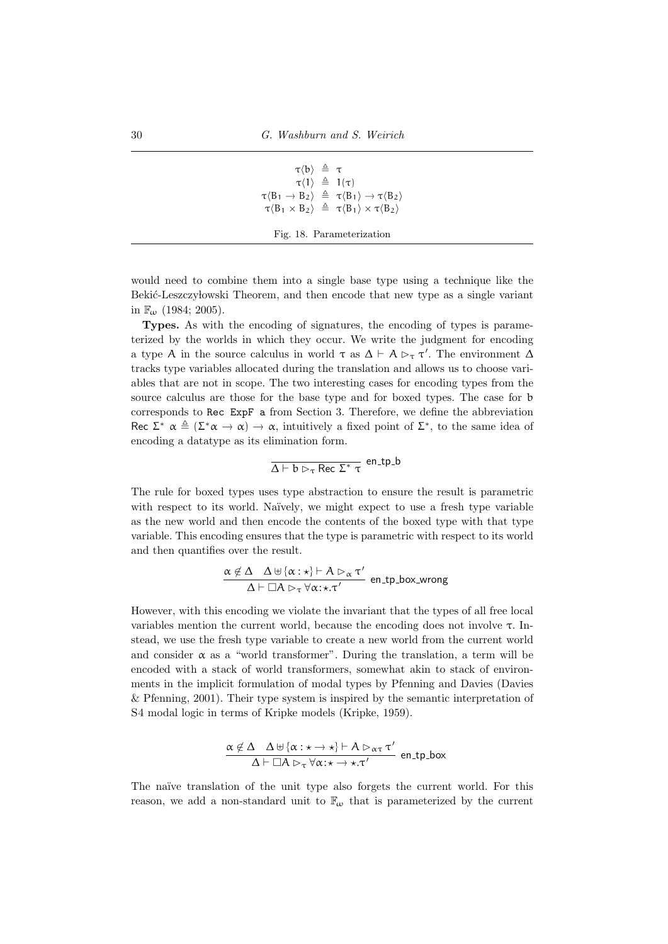```
\tau \langle b \rangle \triangleq \tau\tau(1) \triangleq 1(τ)
\tau \langle B_1 \rightarrow B_2 \rangle \triangleq \tau \langle B_1 \rangle \rightarrow \tau \langle B_2 \rangle\tau \langle B_1 \times B_2 \rangle \triangleq \tau \langle B_1 \rangle \times \tau \langle B_2 \rangleFig. 18. Parameterization
```
would need to combine them into a single base type using a technique like the Bekić-Leszczy lowski Theorem, and then encode that new type as a single variant in  $\mathbb{F}_{\omega}$  (1984; 2005).

Types. As with the encoding of signatures, the encoding of types is parameterized by the worlds in which they occur. We write the judgment for encoding a type A in the source calculus in world  $\tau$  as  $\Delta \vdash A \rhd_{\tau} \tau'$ . The environment  $\Delta$ tracks type variables allocated during the translation and allows us to choose variables that are not in scope. The two interesting cases for encoding types from the source calculus are those for the base type and for boxed types. The case for b corresponds to Rec ExpF a from Section 3. Therefore, we define the abbreviation Rec  $\Sigma^*$   $\alpha \triangleq (\Sigma^* \alpha \rightarrow \alpha) \rightarrow \alpha$ , intuitively a fixed point of  $\Sigma^*$ , to the same idea of encoding a datatype as its elimination form.

$$
\overline{\Delta \vdash b \rhd_\tau \mathsf{Rec} \; \Sigma^* \; \tau} \; \mathsf{en\_tp\_b}
$$

The rule for boxed types uses type abstraction to ensure the result is parametric with respect to its world. Naïvely, we might expect to use a fresh type variable as the new world and then encode the contents of the boxed type with that type variable. This encoding ensures that the type is parametric with respect to its world and then quantifies over the result.

$$
\frac{\alpha \not\in \Delta \quad \Delta \uplus \{\alpha: \star\} \vdash A \rhd_{\alpha} \tau'}{\Delta \vdash \Box A \rhd_{\tau} \forall \alpha: \star. \tau'} \text{ en\_tp\_box\_wrong}
$$

However, with this encoding we violate the invariant that the types of all free local variables mention the current world, because the encoding does not involve  $\tau$ . Instead, we use the fresh type variable to create a new world from the current world and consider  $\alpha$  as a "world transformer". During the translation, a term will be encoded with a stack of world transformers, somewhat akin to stack of environments in the implicit formulation of modal types by Pfenning and Davies (Davies  $&$  Pfenning, 2001). Their type system is inspired by the semantic interpretation of S4 modal logic in terms of Kripke models (Kripke, 1959).

$$
\frac{\alpha \notin \Delta \quad \Delta \uplus {\{\alpha : \star \to \star\} \vdash A \rhd_{\alpha \tau} \tau'}}{\Delta \vdash \Box A \rhd_{\tau} \forall \alpha : \star \to \star . \tau'}
$$
en\_tap-box

The naïve translation of the unit type also forgets the current world. For this reason, we add a non-standard unit to  $\mathbb{F}_{\omega}$  that is parameterized by the current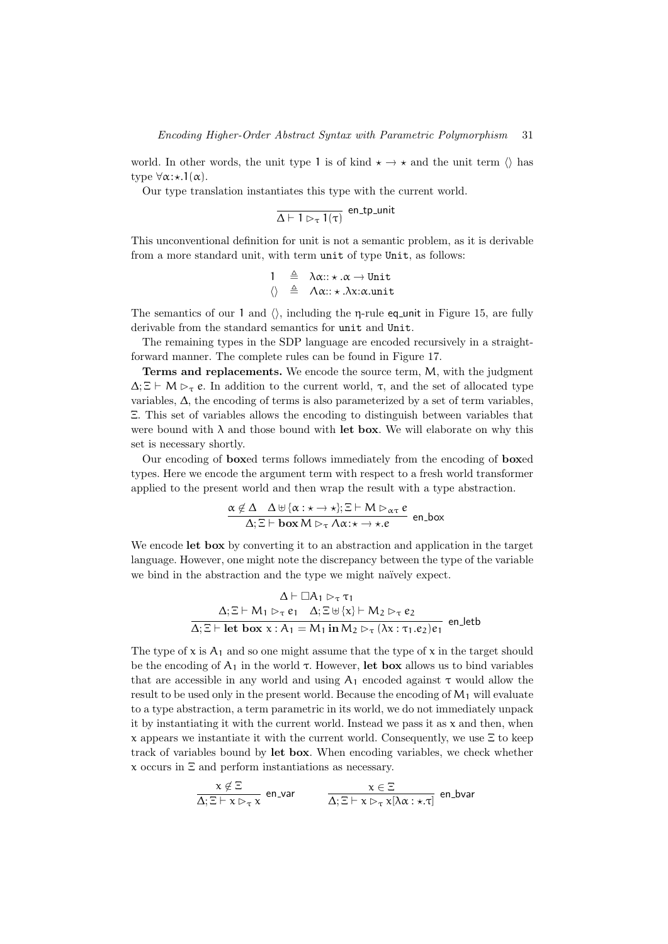world. In other words, the unit type 1 is of kind  $\star \to \star$  and the unit term  $\langle \rangle$  has type  $\forall \alpha$ : $\star$ .1( $\alpha$ ).

Our type translation instantiates this type with the current world.

$$
\overline{\Delta \vdash 1 \rhd_{\tau} 1(\tau)}
$$
en\_tpt\_ninit

This unconventional definition for unit is not a semantic problem, as it is derivable from a more standard unit, with term unit of type Unit, as follows:

$$
\begin{array}{rcl} 1 & \triangleq & \lambda \alpha::\star\,. \alpha \rightarrow \text{Unit} \\ \langle \rangle & \triangleq & \Lambda \alpha::\star\,. \lambda x:\alpha.\text{unit} \end{array}
$$

The semantics of our 1 and  $\langle \rangle$ , including the η-rule eq unit in Figure 15, are fully derivable from the standard semantics for unit and Unit.

The remaining types in the SDP language are encoded recursively in a straightforward manner. The complete rules can be found in Figure 17.

Terms and replacements. We encode the source term, M, with the judgment  $\Delta;\Xi\vdash M\triangleright_\tau e$ . In addition to the current world,  $\tau$ , and the set of allocated type variables,  $\Delta$ , the encoding of terms is also parameterized by a set of term variables, Ξ. This set of variables allows the encoding to distinguish between variables that were bound with  $\lambda$  and those bound with let box. We will elaborate on why this set is necessary shortly.

Our encoding of boxed terms follows immediately from the encoding of boxed types. Here we encode the argument term with respect to a fresh world transformer applied to the present world and then wrap the result with a type abstraction.

$$
\frac{\alpha \notin \Delta \quad \Delta \uplus {\alpha : \star \to \star}; \Xi \vdash M \rhd_{\alpha \tau} e}{\Delta; \Xi \vdash \mathbf{box } M \rhd_{\tau} \Lambda \alpha : \star \to \star.e} \text{ en-box}
$$

We encode **let box** by converting it to an abstraction and application in the target language. However, one might note the discrepancy between the type of the variable we bind in the abstraction and the type we might naïvely expect.

$$
\Delta \vdash \Box A_1 \rhd_{\tau} \tau_1
$$
\n
$$
\Delta; \Xi \vdash M_1 \rhd_{\tau} e_1 \quad \Delta; \Xi \uplus \{x\} \vdash M_2 \rhd_{\tau} e_2
$$
\n
$$
\Delta; \Xi \vdash \text{let box x}: A_1 = M_1 \text{ in } M_2 \rhd_{\tau} (\lambda x: \tau_1.e_2)e_1 \text{ en\_letb}
$$

The type of  $x$  is  $A_1$  and so one might assume that the type of  $x$  in the target should be the encoding of  $A_1$  in the world  $\tau$ . However, let box allows us to bind variables that are accessible in any world and using  $A_1$  encoded against  $\tau$  would allow the result to be used only in the present world. Because the encoding of  $M_1$  will evaluate to a type abstraction, a term parametric in its world, we do not immediately unpack it by instantiating it with the current world. Instead we pass it as  $x$  and then, when x appears we instantiate it with the current world. Consequently, we use  $\Xi$  to keep track of variables bound by let box. When encoding variables, we check whether x occurs in Ξ and perform instantiations as necessary.

$$
\frac{x \notin \Xi}{\Delta;\Xi \vdash x \rhd_{\tau} x} \text{ en\_var} \qquad \frac{x \in \Xi}{\Delta;\Xi \vdash x \rhd_{\tau} x[\lambda \alpha : \star.\tau]} \text{ en\_bar}
$$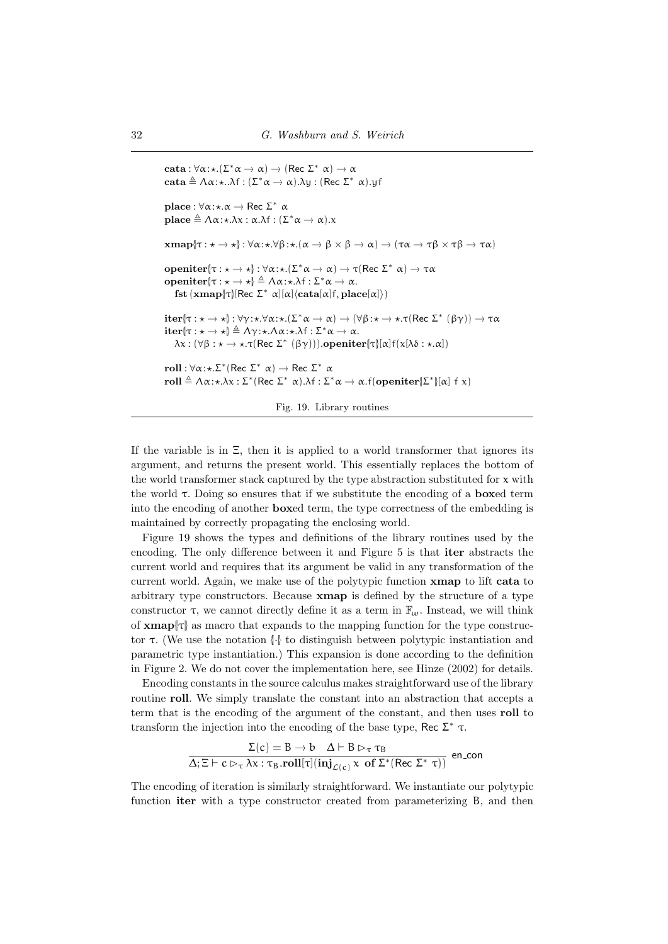```
cata : \forall \alpha : \star.(\Sigma^* \alpha \to \alpha) \to (\text{Rec } \Sigma^* \alpha) \to \alphacata \triangleq \Lambda \alpha:\star..\lambda f : (\Sigma^* \alpha \rightarrow \alpha).\lambda y : (\text{Rec } \Sigma^* \alpha).yf
place : \forall \alpha : \star \ldots \rightarrow \text{Rec} \Sigma^* \alphaplace \triangleq \Lambda \alpha:\star.\lambda x : \alpha.\lambda f : (\Sigma^* \alpha \to \alpha).xxmap[\tau : \star \to \star]: \forall \alpha : \star \cdot \forall \beta : \star.(\alpha \to \beta \times \beta \to \alpha) \to (\tau \alpha \to \tau \beta \times \tau \beta \to \tau \alpha)openiter{\tau : \star \to \star} : \forall \alpha : \star.(\Sigma^* \alpha \to \alpha) \to \tau(\text{Rec } \Sigma^* \alpha) \to \tau \alphaopeniter{|τ : \star \to \star} \triangleq \Lambda \alpha: \star \lambda f : Σ<sup>*</sup> α → α.
      fst (xmap[<math>\tau</math>](Rec <math>\Sigma^* \alpha</math>](<math>\alpha</math>](cata[<math>\alpha</math>](<math>\tau</math>), place[<math>\alpha</math>])iter[τ : \star \to \star]: \forall γ : \star. \forall \alpha : \star.(\Sigma^* \alpha \to \alpha) \to (\forall \beta : \star \to \star. \tau(\text{Rec } \Sigma^* (\beta \gamma)) \to \tau \alphaiter{\tau : \star \to \star} \triangleq \Lambda \gamma : \star \Lambda \alpha : \star \Lambda f : \Sigma^* \alpha \to \alpha.
      \lambdax : (∀β : \star \to \star.\tau(Rec Σ* (βγ))).openiter{\tau}[α]f(x[λδ : \star.\alpha])
roll : \forall \alpha: \star \Sigma^* (Rec \Sigma^* \alpha) \rightarrow Rec \Sigma^* \alpharoll \triangleq \Lambda \alpha : \star . \lambda \chi : \Sigma^* (\text{Rec } \Sigma^* \alpha) . \lambda f : \Sigma^* \alpha \to \alpha . f(\text{openiter}[\Sigma^*][\alpha] f \chi)
```
Fig. 19. Library routines

If the variable is in Ξ, then it is applied to a world transformer that ignores its argument, and returns the present world. This essentially replaces the bottom of the world transformer stack captured by the type abstraction substituted for  $x$  with the world  $\tau$ . Doing so ensures that if we substitute the encoding of a **boxed** term into the encoding of another boxed term, the type correctness of the embedding is maintained by correctly propagating the enclosing world.

Figure 19 shows the types and definitions of the library routines used by the encoding. The only difference between it and Figure 5 is that iter abstracts the current world and requires that its argument be valid in any transformation of the current world. Again, we make use of the polytypic function xmap to lift cata to arbitrary type constructors. Because xmap is defined by the structure of a type constructor  $\tau$ , we cannot directly define it as a term in  $\mathbb{F}_{\omega}$ . Instead, we will think of  $xmap|_{\mathcal{T}}$  as macro that expands to the mapping function for the type constructor τ. (We use the notation {|·|} to distinguish between polytypic instantiation and parametric type instantiation.) This expansion is done according to the definition in Figure 2. We do not cover the implementation here, see Hinze (2002) for details.

Encoding constants in the source calculus makes straightforward use of the library routine roll. We simply translate the constant into an abstraction that accepts a term that is the encoding of the argument of the constant, and then uses roll to transform the injection into the encoding of the base type, Rec  $\Sigma^*$  τ.

$$
\frac{\Sigma(c) = B \to b \quad \Delta \vdash B \rhd_{\tau} \tau_B}{\Delta; \Xi \vdash c \rhd_{\tau} \lambda \chi : \tau_B \cdot \text{roll}[\tau] (i\mathbf{n} \mathbf{j}_{\mathcal{L}(c)} \times \text{ of } \Sigma^* (\text{Rec } \Sigma^* \tau))}
$$
encon

The encoding of iteration is similarly straightforward. We instantiate our polytypic function iter with a type constructor created from parameterizing B, and then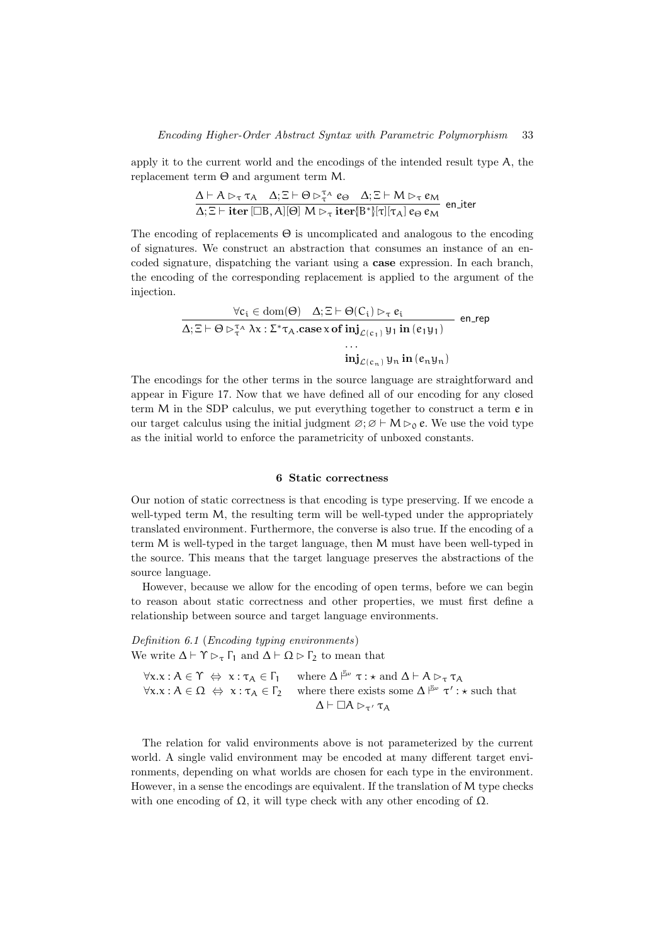apply it to the current world and the encodings of the intended result type A, the replacement term Θ and argument term M.

$$
\frac{\Delta \vdash A \rhd_{\tau} \tau_A \quad \Delta; \Xi \vdash \Theta \rhd_{\tau}^{\tau_A} e_{\Theta} \quad \Delta; \Xi \vdash M \rhd_{\tau} e_M}{\Delta; \Xi \vdash \textbf{iter} [\Box B, A][\Theta] \ M \rhd_{\tau} \textbf{iter} [B^*][\tau][\tau_A] e_{\Theta} e_M} \ \text{en\_iter}
$$

The encoding of replacements  $\Theta$  is uncomplicated and analogous to the encoding of signatures. We construct an abstraction that consumes an instance of an encoded signature, dispatching the variant using a case expression. In each branch, the encoding of the corresponding replacement is applied to the argument of the injection.

$$
\frac{\forall c_i \in \text{dom}(\Theta) \quad \Delta; \Xi \vdash \Theta(C_i) \rhd_{\tau} e_i}{\Delta; \Xi \vdash \Theta \rhd_{\tau}^{\tau_A} \lambda x : \Sigma^{\ast} \tau_A \text{.case } x \text{ of } \text{inj}_{\mathcal{L}(c_1)} y_1 \text{ in } (e_1 y_1)} \quad \text{en\_rep}
$$
\n
$$
\dots \quad \text{inj}_{\mathcal{L}(c_n)} y_n \text{ in } (e_n y_n)
$$

The encodings for the other terms in the source language are straightforward and appear in Figure 17. Now that we have defined all of our encoding for any closed term M in the SDP calculus, we put everything together to construct a term e in our target calculus using the initial judgment  $\varnothing$ ;  $\varnothing \vdash M \triangleright_0 e$ . We use the void type as the initial world to enforce the parametricity of unboxed constants.

#### 6 Static correctness

Our notion of static correctness is that encoding is type preserving. If we encode a well-typed term M, the resulting term will be well-typed under the appropriately translated environment. Furthermore, the converse is also true. If the encoding of a term M is well-typed in the target language, then M must have been well-typed in the source. This means that the target language preserves the abstractions of the source language.

However, because we allow for the encoding of open terms, before we can begin to reason about static correctness and other properties, we must first define a relationship between source and target language environments.

Definition 6.1 (Encoding typing environments) We write  $\Delta \vdash \Upsilon \rhd_{\tau} \Gamma_1$  and  $\Delta \vdash \Omega \rhd \Gamma_2$  to mean that

 $\forall x. x : A \in \Upsilon \Leftrightarrow x : \tau_A \in \Gamma_1 \quad \text{where } \Delta \models^{\mathbb{F}_{\omega}} \tau : \star \text{ and } \Delta \vdash A \triangleright_{\tau} \tau_A$  $\forall x \ldotp x : A \in \Omega \Leftrightarrow x : \tau_A \in \Gamma_2$  where there exists some  $\Delta \vDash^{\mathbb{F}_{\omega}} \tau' : \star \text{ such that}$  $\Delta \vdash \Box A \rhd_{\tau'} \tau_A$ 

The relation for valid environments above is not parameterized by the current world. A single valid environment may be encoded at many different target environments, depending on what worlds are chosen for each type in the environment. However, in a sense the encodings are equivalent. If the translation of M type checks with one encoding of  $\Omega$ , it will type check with any other encoding of  $\Omega$ .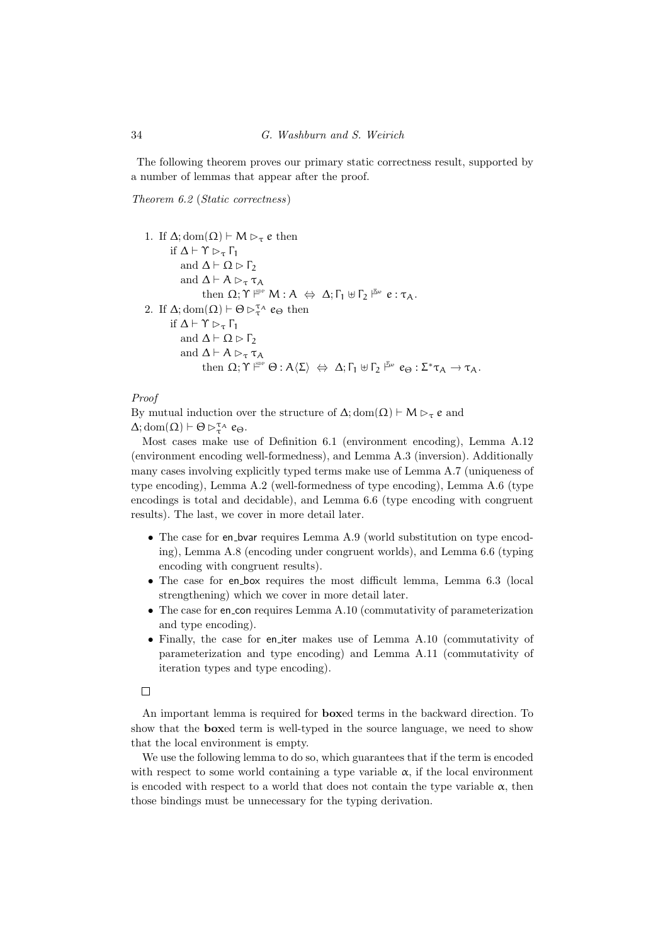The following theorem proves our primary static correctness result, supported by a number of lemmas that appear after the proof.

Theorem 6.2 (Static correctness)

1. If  $\Delta$ ; dom $(\Omega) \vdash M \rhd_{\tau} e$  then if  $\Delta \vdash \Upsilon \rhd_{\tau} \Gamma_1$ and  $\Delta \vdash \Omega \triangleright \Gamma_2$ and  $\Delta \vdash A \rhd_{\tau} \tau_A$ then  $\Omega; \Upsilon \stackrel{\text{gpp}}{\longleftarrow} M : A \Leftrightarrow \Delta; \Gamma_1 \uplus \Gamma_2 \stackrel{\mathbb{F}_{\text{av}}}{\longleftarrow} e : \tau_A.$ 2. If  $\Delta$ ; dom $(\Omega) \vdash \Theta \triangleright_{\tau}^{\tau_{A}} e_{\Theta}$  then if  $\Delta \vdash \Upsilon \rhd_{\tau} \Gamma_1$ and  $\Delta \vdash \Omega \triangleright \Gamma_2$ and  $\Delta \vdash A \rhd_{\tau} \tau_A$ then  $\Omega; \Upsilon \xrightarrow{\text{spp}} \Theta : A \langle \Sigma \rangle \Leftrightarrow \Delta; \Gamma_1 \uplus \Gamma_2 \xrightarrow{\text{gp}} e_{\Theta} : \Sigma^* \tau_A \to \tau_A.$ 

Proof

By mutual induction over the structure of  $\Delta$ ; dom( $\Omega$ )  $\vdash M \rhd_{\tau} e$  and  $\Delta$ ; dom $(\Omega) \vdash \Theta \triangleright_{\tau}^{\tau_{A}} e_{\Theta}.$ 

Most cases make use of Definition 6.1 (environment encoding), Lemma A.12 (environment encoding well-formedness), and Lemma A.3 (inversion). Additionally many cases involving explicitly typed terms make use of Lemma A.7 (uniqueness of type encoding), Lemma A.2 (well-formedness of type encoding), Lemma A.6 (type encodings is total and decidable), and Lemma 6.6 (type encoding with congruent results). The last, we cover in more detail later.

- The case for en\_bvar requires Lemma A.9 (world substitution on type encoding), Lemma A.8 (encoding under congruent worlds), and Lemma 6.6 (typing encoding with congruent results).
- The case for en box requires the most difficult lemma, Lemma 6.3 (local strengthening) which we cover in more detail later.
- The case for en\_con requires Lemma A.10 (commutativity of parameterization and type encoding).
- Finally, the case for en iter makes use of Lemma A.10 (commutativity of parameterization and type encoding) and Lemma A.11 (commutativity of iteration types and type encoding).

 $\Box$ 

An important lemma is required for boxed terms in the backward direction. To show that the boxed term is well-typed in the source language, we need to show that the local environment is empty.

We use the following lemma to do so, which guarantees that if the term is encoded with respect to some world containing a type variable  $\alpha$ , if the local environment is encoded with respect to a world that does not contain the type variable  $\alpha$ , then those bindings must be unnecessary for the typing derivation.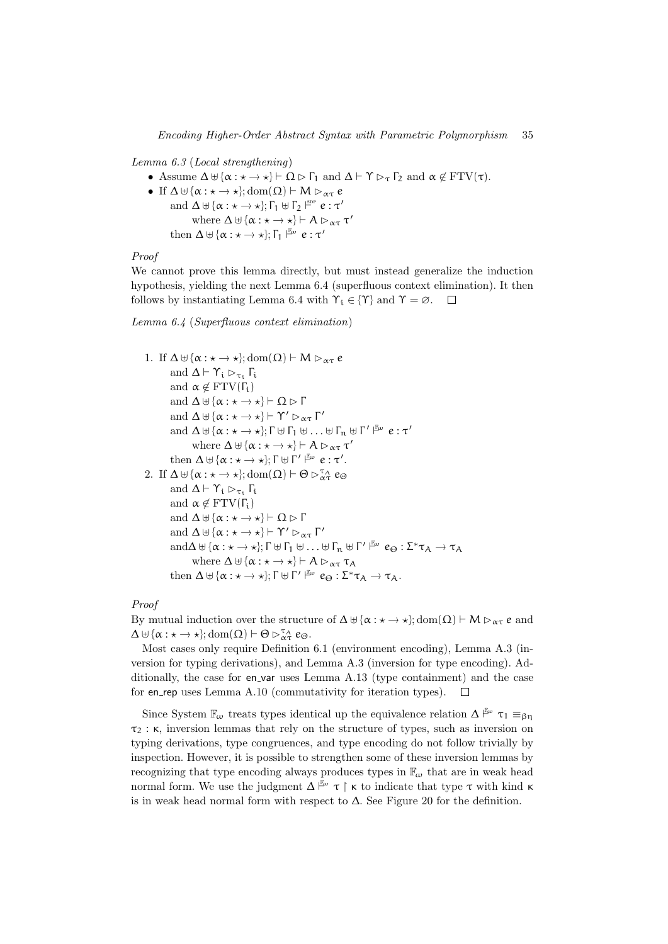#### Lemma 6.3 (Local strengthening)

- Assume  $\Delta \uplus {\alpha : \star \to \star} \vdash \Omega \triangleright \Gamma_1$  and  $\Delta \vdash \Upsilon \triangleright_{\tau} \Gamma_2$  and  $\alpha \notin \operatorname{FTV}(\tau)$ .
- If  $\Delta \uplus {\alpha : \star \to \star}$ ; dom $(\Omega) \vdash M \rhd_{\alpha \tau} e$ and  $\Delta \uplus {\alpha : \star \to \star};$   $\Gamma_1 \uplus \Gamma_2 \stackrel{\text{spp}}{\vdash} e : \tau'$ where  $\Delta \uplus {\alpha : \star \to \star}$   $\vdash A \rhd_{\alpha \tau} \tau'$ then  $\Delta \uplus {\alpha : \star \to \star};$   $\Gamma_1 \xrightarrow{\mathbb{F}_{\omega}} e : \tau'$

# Proof

We cannot prove this lemma directly, but must instead generalize the induction hypothesis, yielding the next Lemma 6.4 (superfluous context elimination). It then follows by instantiating Lemma 6.4 with  $\Upsilon_i \in {\Upsilon}$  and  $\Upsilon = \emptyset$ .  $\Box$ 

# Lemma 6.4 (Superfluous context elimination)

```
1. If \Delta \uplus {\alpha : \star \to \star}; dom(\Omega) \vdash M \rhd_{\alpha \tau} eand \Delta \vdash \Upsilon_i \rhd_{\tau_i} \Gamma_iand \alpha \notin \text{FTV}(\Gamma_i)and \Delta \uplus {\alpha : \star \to \star} \vdash \Omega \triangleright \Gammaand \Delta \uplus {\alpha : \star \to \star} \vdash \Upsilon' \rhd_{\alpha \tau} \Gamma'and \Delta \uplus {\alpha : \star \rightarrow \star}; \Gamma \uplus \Gamma_1 \uplus \ldots \uplus \Gamma_n \uplus \Gamma' \upharpoonright^{\mathbb{F}_{\omega}} e : \tau'where \Delta \uplus {\alpha : \star \to \star} \vdash A \rhd_{\alpha \tau} \tau'then \Delta \uplus {\alpha : \star \to \star}; \Gamma \uplus \Gamma' \vDash^{\omega} e : \tau'.2. If \Delta \uplus {\alpha : \star \to \star}; \text{dom}(\Omega) \vdash \Theta \triangleright_{\alpha \tau}^{\tau_{\mathcal{A}}} e_{\Theta}and \Delta \vdash \Upsilon_i \rhd_{\tau_i} \Gamma_iand \alpha \notin \text{FTV}(\Gamma_i)and \Delta \uplus {\alpha : \star \to \star} \vdash \Omega \triangleright \Gammaand \Delta \uplus {\alpha : \star \to \star} \vdash \Upsilon' \rhd_{\alpha \tau} \Gamma'\text{and}\Delta \uplus {\alpha : \star \to \star}; \Gamma \uplus \Gamma_1 \uplus \ldots \uplus \Gamma_n \uplus \Gamma' \upharpoonright^{\mathbb{F}_w} e_{\Theta} : \Sigma^* \tau_A \to \tau_Awhere \Delta \uplus {\alpha : \star \to \star} \vdash A \rhd_{\alpha \tau} \tau_Athen \Delta \uplus {\alpha : \star \to \star}; \Gamma \uplus \Gamma' \vDash^{\omega} e_{\Theta} : \Sigma^* \tau_A \to \tau_A.
```
# Proof

By mutual induction over the structure of  $\Delta \uplus {\alpha : \star \to \star}$ ; dom $(\Omega) \vdash M \rhd_{\alpha \tau} e$  and  $\Delta \uplus {\alpha : \star \to \star}; \text{dom}(\Omega) \vdash \Theta \triangleright_{\alpha \tau}^{\tau_{A}} e_{\Theta}.$ 

Most cases only require Definition 6.1 (environment encoding), Lemma A.3 (inversion for typing derivations), and Lemma A.3 (inversion for type encoding). Additionally, the case for en-var uses Lemma A.13 (type containment) and the case for en rep uses Lemma A.10 (commutativity for iteration types).

Since System  $\mathbb{F}_{\omega}$  treats types identical up the equivalence relation  $\Delta \stackrel{\mathbb{F}_{\omega}}{\sim} \tau_1 \equiv_{\beta\eta}$  $\tau_2$ :  $\kappa$ , inversion lemmas that rely on the structure of types, such as inversion on typing derivations, type congruences, and type encoding do not follow trivially by inspection. However, it is possible to strengthen some of these inversion lemmas by recognizing that type encoding always produces types in  $\mathbb{F}_{\omega}$  that are in weak head normal form. We use the judgment  $\Delta \rvert^{\mathbb{E}\omega} \tau \restriction \kappa$  to indicate that type  $\tau$  with kind  $\kappa$ is in weak head normal form with respect to  $\Delta$ . See Figure 20 for the definition.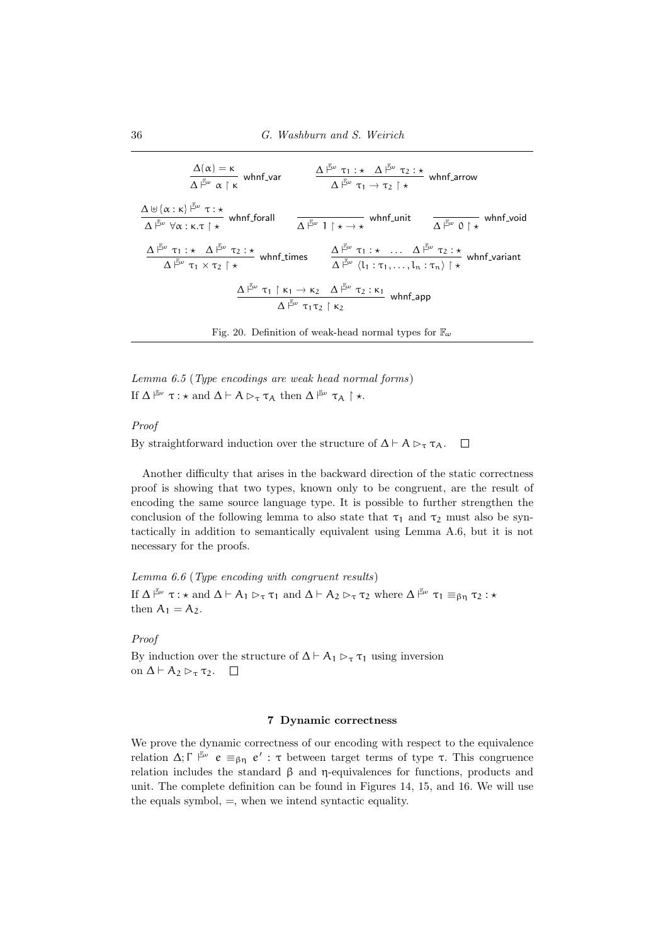| $\frac{\Delta(\alpha) = \kappa}{\Delta \vdash^{\mathbb{E}\omega} \alpha \upharpoonright \kappa} \text{ whnf\_var}$                                                                                                                                                                                                                                                                                                                                | $\frac{\Delta \vdash^{\mathbb{F}_{\omega}} \tau_1 : \star \Delta \vdash^{\mathbb{F}_{\omega}} \tau_2 : \star}{\Delta \vdash^{\mathbb{F}_{\omega}} \tau_1 \to \tau_2 \upharpoonright \star} \text{ whnf\_arrow}$ |
|---------------------------------------------------------------------------------------------------------------------------------------------------------------------------------------------------------------------------------------------------------------------------------------------------------------------------------------------------------------------------------------------------------------------------------------------------|-----------------------------------------------------------------------------------------------------------------------------------------------------------------------------------------------------------------|
| $\frac{\Delta \uplus {\alpha : \kappa}^{\frac{\mathbb{F}_\omega}{\omega}} \tau : \star}{\Delta \stackrel{\mathbb{F}_\omega}{\mapsto} \forall \alpha : \kappa. \tau \upharpoonright \star} \text{ which for all }$                                                                                                                                                                                                                                 | $\frac{1}{\Delta \vdash^{\mathbb{F}_{\omega}} 1 \upharpoonright \star \to \star}$ whnf_unit $\frac{1}{\Delta \vdash^{\mathbb{F}_{\omega}} 0 \upharpoonright \star}$ whnf_void                                   |
| $\frac{\Delta^{\frac{\beta}{l}\omega}\ \tau_1:\star\quad \Delta^{\frac{\beta}{l}\omega}\ \tau_2:\star}{\Delta^{\frac{\beta}{l}\omega}\ \tau_1 \times \tau_2\restriction \star} \ \text{whnf-times} \qquad \frac{\Delta^{\frac{\beta}{l}\omega}\ \tau_1:\star\quad \ldots\quad \Delta^{\frac{\beta}{l}\omega}\ \tau_2:\star}{\Delta^{\frac{\beta}{l}\omega}\ \langle l_1:\tau_1,\ldots,l_n:\tau_n\rangle\restriction \star} \ \text{whnf-variant}$ |                                                                                                                                                                                                                 |
| $\Delta \xrightarrow{\mu_{\text{co}}} \tau_1 \upharpoonright \kappa_1 \to \kappa_2 \quad \Delta \xrightarrow{\mu_{\text{co}}} \tau_2 : \kappa_1$ whnf_app<br>$\Delta \uparrow^{\mathbb{F}_{\omega}} \tau_1 \tau_2 \upharpoonright \kappa_2$                                                                                                                                                                                                       |                                                                                                                                                                                                                 |
| Fig. 20. Definition of weak-head normal types for $\mathbb{F}_{\omega}$                                                                                                                                                                                                                                                                                                                                                                           |                                                                                                                                                                                                                 |

Lemma 6.5 (Type encodings are weak head normal forms) If  $\Delta \overset{\mathbb{F}_{\omega}}{\vdash} \tau : \star \text{ and } \Delta \vdash A \triangleright_{\tau} \tau_A \text{ then } \Delta \overset{\mathbb{F}_{\omega}}{\vdash} \tau_A \upharpoonright \star.$ 

# Proof

By straightforward induction over the structure of  $\Delta \vdash A \rhd_{\tau} \tau_A$ .  $\Box$ 

Another difficulty that arises in the backward direction of the static correctness proof is showing that two types, known only to be congruent, are the result of encoding the same source language type. It is possible to further strengthen the conclusion of the following lemma to also state that  $\tau_1$  and  $\tau_2$  must also be syntactically in addition to semantically equivalent using Lemma A.6, but it is not necessary for the proofs.

Lemma 6.6 (Type encoding with congruent results) If  $\Delta \vDash_{\omega} \tau : \star$  and  $\Delta \vdash A_1 \rhd_{\tau} \tau_1$  and  $\Delta \vdash A_2 \rhd_{\tau} \tau_2$  where  $\Delta \vDash_{\omega} \tau_1 \equiv_{\beta\eta} \tau_2 : \star$ then  $A_1 = A_2$ .

# Proof

By induction over the structure of  $\Delta \vdash A_1 \triangleright_{\tau} \tau_1$  using inversion on  $\Delta \vdash A_2 \rhd_{\tau} \tau_2$ .  $\Box$ 

# 7 Dynamic correctness

We prove the dynamic correctness of our encoding with respect to the equivalence relation Δ; Γ<sup> $\mathbb{F}_{\varphi}$ </sup> e  $\equiv_{\beta\eta}$  e': τ between target terms of type τ. This congruence relation includes the standard β and η-equivalences for functions, products and unit. The complete definition can be found in Figures 14, 15, and 16. We will use the equals symbol, =, when we intend syntactic equality.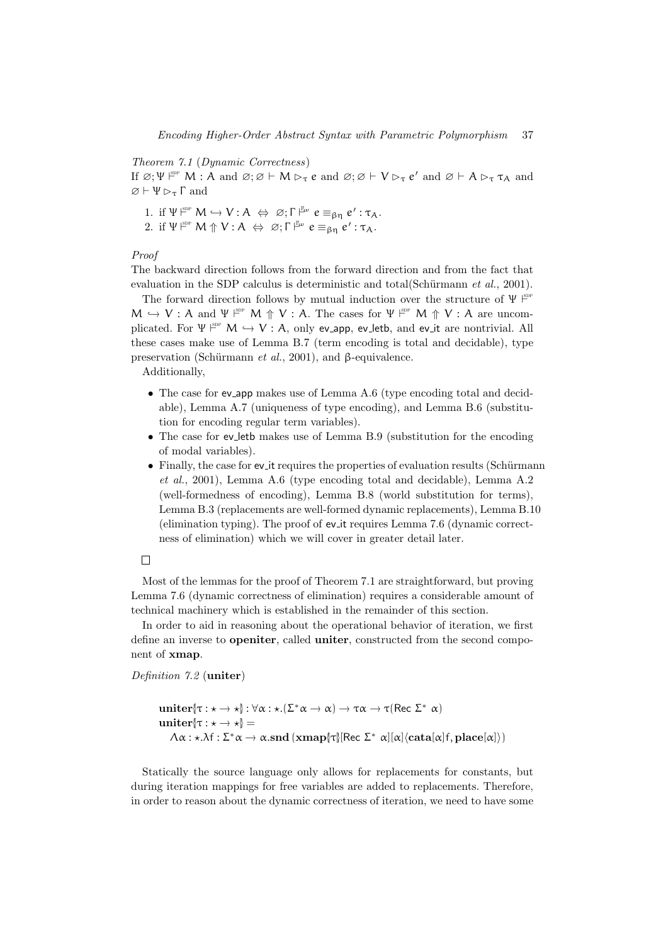#### Theorem 7.1 (Dynamic Correctness)

If  $\varnothing; \Psi \upharpoonright^{\text{sp}} M$  : A and  $\varnothing; \varnothing \vdash M \rhd_{\tau} e$  and  $\varnothing; \varnothing \vdash V \rhd_{\tau} e'$  and  $\varnothing \vdash A \rhd_{\tau} \tau_A$  and  $\varnothing \vdash \Psi \triangleright_{\tau} \Gamma$  and

1. if  $\Psi_{\text{iso}}^{\text{sep}} M \hookrightarrow V : A \Leftrightarrow \emptyset; \Gamma_{\text{iso}}^{\mathbb{F}_{\text{iso}}} e \equiv_{\beta_{\text{p}}} e' : \tau_A.$ 

2. if  $\Psi \nightharpoonup^{\text{SDP}} M \Uparrow V : A \Leftrightarrow \emptyset; \Gamma \nightharpoonup^{\text{E}} \mathbf{e} \equiv_{\beta \eta} \mathbf{e}' : \tau_A$ .

#### Proof

The backward direction follows from the forward direction and from the fact that evaluation in the SDP calculus is deterministic and total(Schürmann et  $al., 2001$ ).

The forward direction follows by mutual induction over the structure of  $\Psi \mid^{\text{spf}}$  $M \hookrightarrow V : A$  and  $\Psi \Vdash^{\text{spp}} M \uparrow V : A$ . The cases for  $\Psi \Vdash^{\text{spp}} M \uparrow V : A$  are uncomplicated. For  $\Psi \xrightarrow{\text{gpc}} M \hookrightarrow V : A$ , only ev app, ev letb, and ev it are nontrivial. All these cases make use of Lemma B.7 (term encoding is total and decidable), type preservation (Schürmann et al., 2001), and β-equivalence.

Additionally,

- The case for ev\_app makes use of Lemma A.6 (type encoding total and decidable), Lemma A.7 (uniqueness of type encoding), and Lemma B.6 (substitution for encoding regular term variables).
- The case for ev\_leth makes use of Lemma B.9 (substitution for the encoding of modal variables).
- $\bullet$  Finally, the case for ev it requires the properties of evaluation results (Schürmann et al., 2001), Lemma A.6 (type encoding total and decidable), Lemma A.2 (well-formedness of encoding), Lemma B.8 (world substitution for terms), Lemma B.3 (replacements are well-formed dynamic replacements), Lemma B.10 (elimination typing). The proof of ev it requires Lemma 7.6 (dynamic correctness of elimination) which we will cover in greater detail later.

# $\Box$

Most of the lemmas for the proof of Theorem 7.1 are straightforward, but proving Lemma 7.6 (dynamic correctness of elimination) requires a considerable amount of technical machinery which is established in the remainder of this section.

In order to aid in reasoning about the operational behavior of iteration, we first define an inverse to openiter, called uniter, constructed from the second component of xmap.

Definition 7.2 (uniter)

```
uniter[\tau : \star \to \star]: \forall \alpha : \star.(\Sigma^* \alpha \to \alpha) \to \tau \alpha \to \tau(\text{Rec }\Sigma^* \alpha)uniter\{\tau : \star \to \star\} =\Lambda \alpha : \star .\lambda f : \Sigma^* \alpha \to \alpha . \textbf{snd} \left( \textbf{xmap}[\tau] \left[ \textbf{Rec} \ \Sigma^* \ \alpha \right] [\alpha] \left\langle \textbf{cata}[\alpha] f, \textbf{place}[\alpha] \right\rangle \right)
```
Statically the source language only allows for replacements for constants, but during iteration mappings for free variables are added to replacements. Therefore, in order to reason about the dynamic correctness of iteration, we need to have some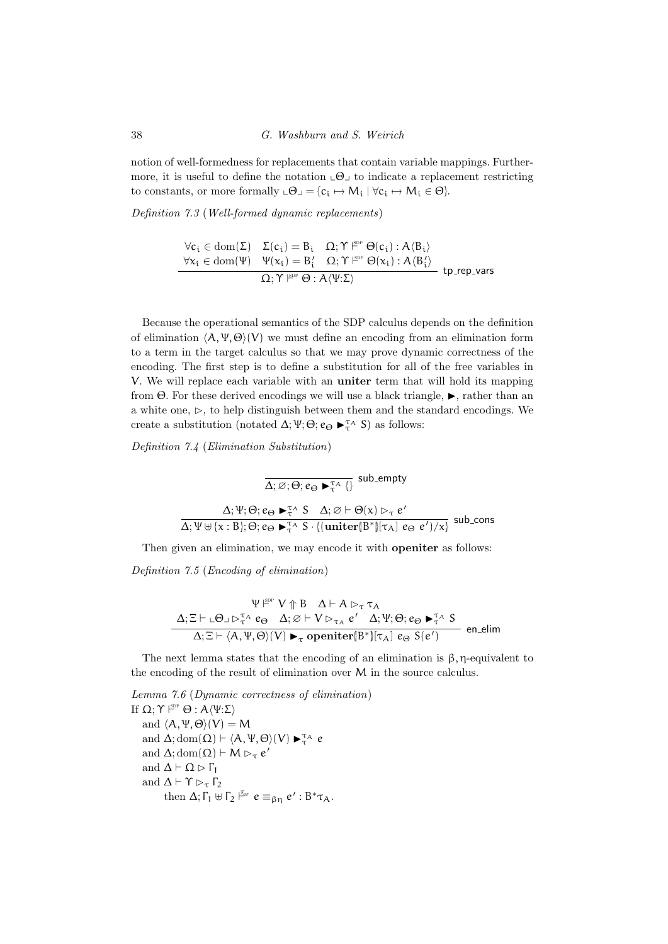notion of well-formedness for replacements that contain variable mappings. Furthermore, it is useful to define the notation  $\Box \Theta$  to indicate a replacement restricting to constants, or more formally  $\mathcal{L} \Theta = \{c_i \mapsto M_i \mid \forall c_i \mapsto M_i \in \Theta\}.$ 

Definition 7.3 (Well-formed dynamic replacements)

$$
\begin{array}{rl}\forall c_i\in \mathrm{dom}(\Sigma) & \Sigma(c_i)=B_i & \Omega; \Upsilon \not \models^{\mathrm{gpc}} \Theta(c_i): A\langle B_i\rangle\\ \forall x_i\in \mathrm{dom}(\Psi) & \Psi(x_i)=B_i' & \Omega; \Upsilon \not \models^{\mathrm{gpc}} \Theta(x_i): A\langle B_i'\rangle\\ & \Omega; \Upsilon \not \models^{\mathrm{ppc}} \Theta: A\langle \Psi:\Sigma\rangle\end{array} \text{tp\_rep\_vars}
$$

Because the operational semantics of the SDP calculus depends on the definition of elimination  $\langle A, \Psi, \Theta \rangle$  we must define an encoding from an elimination form to a term in the target calculus so that we may prove dynamic correctness of the encoding. The first step is to define a substitution for all of the free variables in V. We will replace each variable with an uniter term that will hold its mapping from  $\Theta$ . For these derived encodings we will use a black triangle,  $\blacktriangleright$ , rather than an a white one,  $\triangleright$ , to help distinguish between them and the standard encodings. We create a substitution (notated  $\Delta; \Psi; \Theta; e_{\Theta} \blacktriangleright_{\tau}^{\tau_{\Lambda}} S$ ) as follows:

Definition 7.4 (Elimination Substitution)

 $\overline{\Delta;\varnothing;\Theta;e_\Theta\blacktriangleright_{\tau}^{\tau_{A}}\{\}}$  sub\_empty  $\Delta; \Psi; \Theta; e_{\Theta} \blacktriangleright_{\tau}^{\tau_{A}} S \quad \Delta; \varnothing \vdash \Theta(\kappa) \triangleright_{\tau} e'$  $\overline{\Delta; \Psi \uplus {\{\mathsf{x}: \mathsf{B}\}; \Theta; e_{\Theta} \blacktriangleright_{\tau}^{\tau_{\mathsf{A}}} \mathsf{S} \cdot \{(\text{uniter}[\mathsf{B}^*]/\tau_{\mathsf{A}}] \ e_{\Theta} \ e') / \mathsf{x} \}}}$  sub\_cons

Then given an elimination, we may encode it with openiter as follows:

Definition 7.5 (Encoding of elimination)

$$
\dfrac{\Psi \overset{\text{gpp}}{\Vdash} V \Uparrow B \quad \Delta \vdash A \rhd_\tau \tau_A}{\Delta; \Xi \vdash \llcorner \Theta \lrcorner \rhd_\tau^{\tau_A} e_\Theta \quad \Delta; \varnothing \vdash V \rhd_{\tau_A} e' \quad \Delta; \Psi; \Theta; e_\Theta \blacktriangleright_\tau^{\tau_A} S}{\Delta; \Xi \vdash \langle A, \Psi, \Theta \rangle(V) \blacktriangleright_\tau \text{openiter} \llbracket B^* \rrbracket \llcorner \tau_A \rrbracket \ e_\Theta \ S(e') } \quad \text{en\_elim}
$$

The next lemma states that the encoding of an elimination is  $\beta$ , η-equivalent to the encoding of the result of elimination over M in the source calculus.

Lemma 7.6 (Dynamic correctness of elimination) If Ω;  $\Upsilon \nvDash^{\text{SDP}} \Theta : A \langle \Psi : \Sigma \rangle$ and  $\langle A, \Psi, \Theta \rangle$  $(V) = M$ and  $\Delta$ ; dom $(\Omega) \vdash \langle A, \Psi, \Theta \rangle(V) \blacktriangleright_{\tau}^{\tau_{A}} e$ and  $\Delta$ ; dom $(\Omega) \vdash M \rhd_{\tau} e'$ and  $\Delta \vdash \Omega \triangleright \Gamma_1$ and  $\Delta \vdash \Upsilon \rhd_{\tau} \Gamma_2$ then  $\Delta; \Gamma_1 \uplus \Gamma_2 \upharpoonright^{\mathbb{F}_{\omega}} e \equiv_{\beta \eta} e' : B^* \tau_A$ .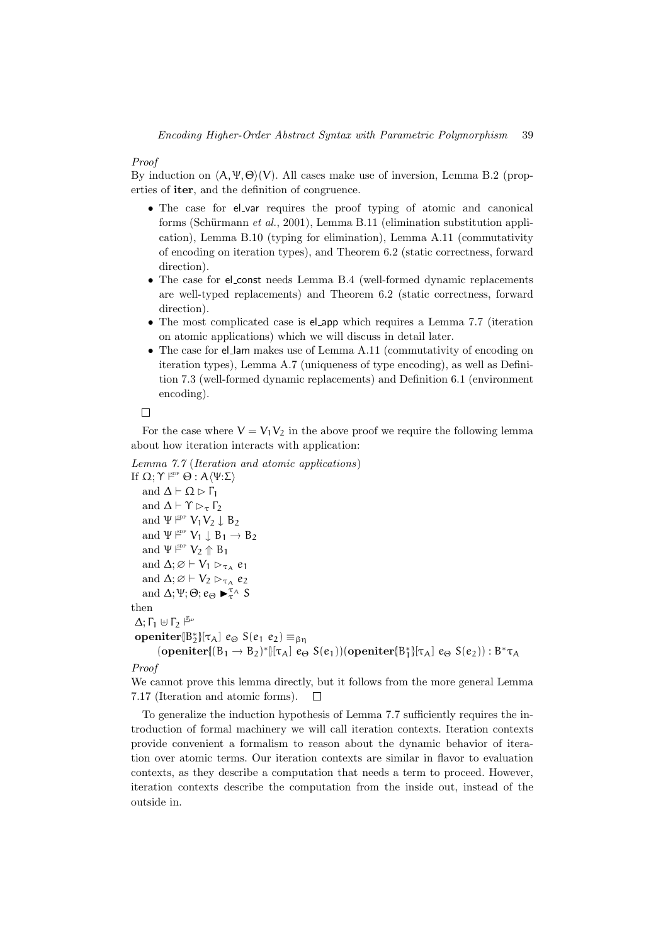#### Proof

By induction on  $\langle A, \Psi, \Theta \rangle$  (V). All cases make use of inversion, Lemma B.2 (properties of iter, and the definition of congruence.

- The case for el\_var requires the proof typing of atomic and canonical forms (Schürmann *et al.*, 2001), Lemma B.11 (elimination substitution application), Lemma B.10 (typing for elimination), Lemma A.11 (commutativity of encoding on iteration types), and Theorem 6.2 (static correctness, forward direction).
- The case for el\_const needs Lemma B.4 (well-formed dynamic replacements are well-typed replacements) and Theorem 6.2 (static correctness, forward direction).
- The most complicated case is el\_app which requires a Lemma 7.7 (iteration on atomic applications) which we will discuss in detail later.
- The case for el\_lam makes use of Lemma A.11 (commutativity of encoding on iteration types), Lemma A.7 (uniqueness of type encoding), as well as Definition 7.3 (well-formed dynamic replacements) and Definition 6.1 (environment encoding).

 $\Box$ 

For the case where  $V = V_1 V_2$  in the above proof we require the following lemma about how iteration interacts with application:

```
Lemma 7.7 (Iteration and atomic applications)
If Ω; \Upsilon \nvDash^{\text{SDP}} \Theta : A \langle \Psi : \Sigma \rangleand \Delta \vdash \Omega \triangleright \Gamma_1and \Delta \vdash \Upsilon \rhd_{\tau} \Gamma_2and \Psi \xrightarrow{\text{spp}} V_1V_2 \downarrow B_2and \Psi \xrightarrow{\text{gpp}} V_1 \downarrow B_1 \rightarrow B_2and \Psi \xrightarrow{\text{SDP}} V_2 \uparrow B_1and \Delta; \varnothing \vdash V_1 \rhd_{\tau_A} e_1and \Delta; \varnothing \vdash V_2 \rhd_{\tau_A} e_2and \Delta; Ψ; Θ; e_{\Theta} \blacktriangleright_{\tau}^{\tau_{A}} Sthen
  Δ; Γ_1 ⊎ Γ_2 \rightharpoonup^{\mathbb{F}_{\omega}}\text{openiter}[\mathsf{B}_2^*] [\tau_A] \, \, e_\Theta \, \, \mathsf{S}(e_1 \, \, e_2) \equiv_{\beta\eta}(\text{openiter}\{(B_1 \rightarrow B_2)^* \}[\tau_A] \cdot e_{\Theta} S(e_1))(\text{openiter}\{B_1^*\}[\tau_A] \cdot e_{\Theta} S(e_2)) : B^* \tau_AProof
```
We cannot prove this lemma directly, but it follows from the more general Lemma 7.17 (Iteration and atomic forms).  $\Box$ 

To generalize the induction hypothesis of Lemma 7.7 sufficiently requires the introduction of formal machinery we will call iteration contexts. Iteration contexts provide convenient a formalism to reason about the dynamic behavior of iteration over atomic terms. Our iteration contexts are similar in flavor to evaluation contexts, as they describe a computation that needs a term to proceed. However, iteration contexts describe the computation from the inside out, instead of the outside in.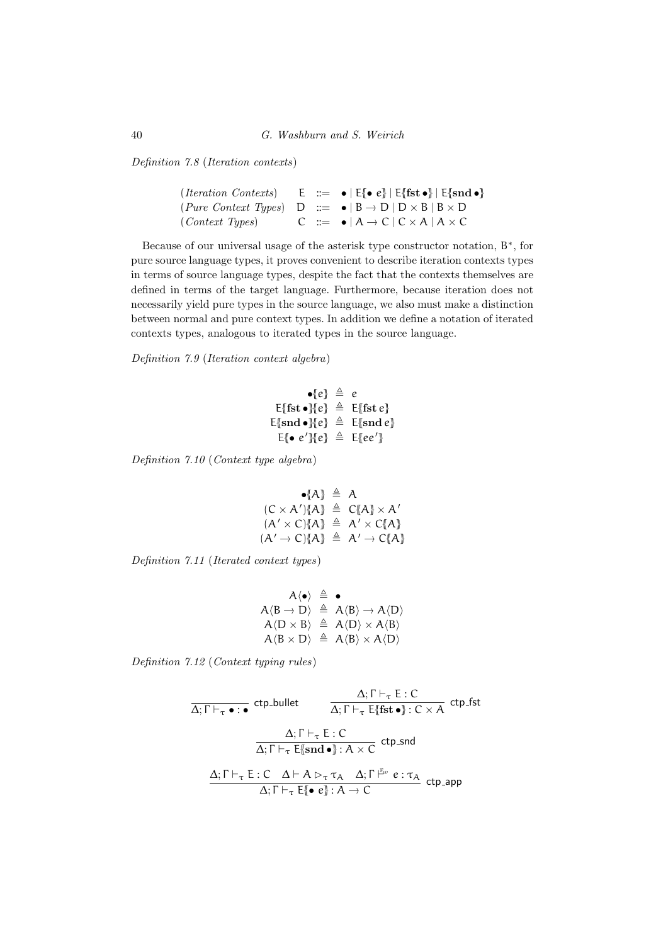Definition 7.8 (Iteration contexts)

```
(Iteration~Contents) \qquad \mathsf{E} \;\;::=\;\; \bullet \; | \; \mathsf{E} \{\hspace{-3pt}[ \bullet \; e] \hspace{-3pt} ] \; | \; \mathsf{E} \{\hspace{-3pt}[ \bullet \; e] \} \; | \; \mathsf{E} \{\hspace{-3pt}[ \bullet \; e] \} \; | \; \mathsf{E} \{\hspace{-3pt}[ \bullet \; e] \} \; | \; \mathsf{E} \{\hspace{-3pt}[ \bullet \; e] \} \; | \; \mathsf{E} \{\hspace{-3pt}[ \bullet \; e] \} \; | \; \mathsf{E} \{\hspace{-3pt}[ \bullet \; e] \} \;(Pure Context Types) D ::= \bullet | B \rightarrow D | D \times B | B \times D (Context Types) C ::= \bullet | A \rightarrow C | C \times A | A \times C
                                                                                                   C ::= \bullet | A \rightarrow C | C \times A | A \times C
```
Because of our universal usage of the asterisk type constructor notation,  $B^*$ , for pure source language types, it proves convenient to describe iteration contexts types in terms of source language types, despite the fact that the contexts themselves are defined in terms of the target language. Furthermore, because iteration does not necessarily yield pure types in the source language, we also must make a distinction between normal and pure context types. In addition we define a notation of iterated contexts types, analogous to iterated types in the source language.

Definition 7.9 (Iteration context algebra)

$$
\bullet[e] \triangleq e
$$
\n
$$
\text{E{fst}} \bullet[e] \triangleq \text{E{fst}} e
$$
\n
$$
\text{E{snd}} \bullet[e] \triangleq \text{E{snd}} e
$$
\n
$$
\text{E{ } e \text{ } e' \text{ } e} \triangleq \text{E{ } e'}
$$

Definition 7.10 (Context type algebra)

$$
\begin{array}{rcl}\n\bullet \{A\} & \triangleq & A \\
(C \times A') \{A\} & \triangleq & C \{A\} \times A' \\
(A' \times C) \{A\} & \triangleq & A' \times C \{A\} \\
(A' \to C) \{A\} & \triangleq & A' \to C \{A\}\n\end{array}
$$

Definition 7.11 (Iterated context types)

$$
\begin{array}{rcl} A\langle\bullet\rangle & \triangleq & \bullet \\ A\langle B\rightarrow D\rangle & \triangleq & A\langle B\rangle\rightarrow A\langle D\rangle \\ A\langle D\times B\rangle & \triangleq & A\langle D\rangle\times A\langle B\rangle \\ A\langle B\times D\rangle & \triangleq & A\langle B\rangle\times A\langle D\rangle \end{array}
$$

Definition 7.12 (Context typing rules)

$$
\frac{\Delta; \Gamma \vdash_{\tau} \mathsf{E}: \mathsf{C}}{\Delta; \Gamma \vdash_{\tau} \mathsf{E} \mathsf{f} \mathsf{f} \mathsf{t} \mathsf{f}} \text{ ctp}_\mathsf{f} \mathsf{f} \mathsf{f} \mathsf{f}
$$
\n
$$
\frac{\Delta; \Gamma \vdash_{\tau} \mathsf{E}: \mathsf{C}}{\Delta; \Gamma \vdash_{\tau} \mathsf{E} \{\mathsf{snd} \bullet \} : \mathsf{A} \times \mathsf{C}} \text{ ctp}_\mathsf{f} \mathsf{f} \mathsf{f} \mathsf{f}
$$
\n
$$
\frac{\Delta; \Gamma \vdash_{\tau} \mathsf{E}: \mathsf{C}}{\Delta; \Gamma \vdash_{\tau} \mathsf{E} \{\mathsf{snd} \bullet \} : \mathsf{A} \times \mathsf{C}} \text{ ctp}_\mathsf{f} \mathsf{f} \mathsf{f} \mathsf{f} \mathsf{f} \mathsf{f} \mathsf{f}}}{\Delta; \Gamma \vdash_{\tau} \mathsf{E} \{\bullet \ e\} : \mathsf{A} \to \mathsf{C}} \text{ ctp}_\mathsf{f} \mathsf{f} \mathsf{f} \mathsf{f} \mathsf{f} \mathsf{f} \mathsf{f} \mathsf{f} \mathsf{f} \mathsf{f} \mathsf{f}} \text{ ctp}_\mathsf{f} \mathsf{f} \mathsf{f} \mathsf{f} \mathsf{f} \mathsf{f} \mathsf{f} \mathsf{f} \mathsf{f} \mathsf{f} \mathsf{f} \mathsf{f} \mathsf{f} \mathsf{f} \mathsf{f} \mathsf{f} \mathsf{f} \mathsf{f} \mathsf{f} \mathsf{f} \mathsf{f} \mathsf{f} \mathsf{f} \mathsf{f} \mathsf{f} \mathsf{f} \mathsf{f} \mathsf{f} \mathsf{f} \mathsf{f} \mathsf{f} \mathsf{f} \mathsf{f} \mathsf{f} \mathsf{f} \mathsf{f} \mathsf{f} \mathsf{f} \mathsf{f} \mathsf{f} \mathsf{f} \mathsf{f} \mathsf{f} \mathsf{f} \mathsf{f} \mathsf{f} \mathsf{f} \mathsf{f} \mathsf{f} \mathsf{f} \mathsf{f} \mathsf
$$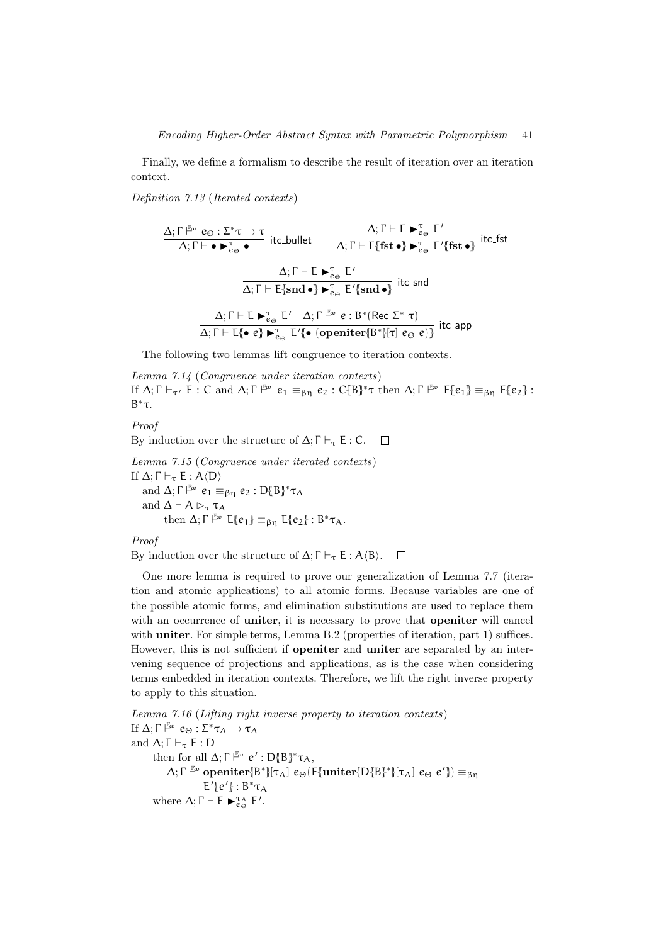Finally, we define a formalism to describe the result of iteration over an iteration context.

Definition 7.13 (Iterated contexts)

$$
\frac{\Delta; \Gamma \Vdash^{\mathbb{F}_{\omega}} e_{\Theta}: \Sigma^* \tau \to \tau}{\Delta; \Gamma \vdash \bullet \blacktriangleright^{\tau}_{e_{\Theta}}} \text{ itc\_bullet!} \\ \frac{\Delta; \Gamma \vdash E \blacktriangleright^{\tau}_{e_{\Theta}} E'}{\Delta; \Gamma \vdash E \blacktriangleright^{\tau}_{e_{\Theta}} E'} \text{ itc\_fst} \\ \frac{\Delta; \Gamma \vdash E \blacktriangleright^{\tau}_{e_{\Theta}} E'}{\Delta; \Gamma \vdash E \lbrace \text{snd} \bullet \rbrace \blacktriangleright^{\tau}_{e_{\Theta}} E' \lbrace \text{snd} \bullet \rbrace} \text{ itc\_snd} \\ \frac{\Delta; \Gamma \vdash E \blacktriangleright^{\tau}_{e_{\Theta}} E'}{\Delta; \Gamma \vdash E \blacktriangleright^{\tau}_{e_{\Theta}} E' \Delta; \Gamma \Vdash^{\mathbb{F}_{\omega}} e: B^* (\text{Rec } \Sigma^* \tau)} \\ \frac{\Delta; \Gamma \vdash E \blacktriangleright^{\tau}_{e_{\Theta}} E' \Delta; \Gamma \Vdash^{\mathbb{F}_{\omega}} e: B^* (\text{Rec } \Sigma^* \tau)}{\Delta; \Gamma \vdash E \lbrace \bullet e \rbrace \blacktriangleright^{\tau}_{e_{\Theta}} E' \lbrace \bullet (\text{openiter} \lbrack B^* \rbrack \lbrack \tau \rbrack \lbrack e_{\Theta} e \rbrack \rbrace} \text{ itc\_app}
$$

The following two lemmas lift congruence to iteration contexts.

Lemma 7.14 (Congruence under iteration contexts) If  $\Delta; \Gamma \vdash_{\tau'} E : C$  and  $\Delta; \Gamma \rightharpoonup^{\mathbb{E}\omega} e_1 \equiv_{\beta\eta} e_2 : C\{ \mid B \}\ast \tau$  then  $\Delta; \Gamma \rightharpoonup^{\mathbb{E}\omega} E\{e_1\} \equiv_{\beta\eta} E\{e_2\}$ : B <sup>∗</sup>τ.

Proof

By induction over the structure of  $\Delta$ ;  $\Gamma \vdash_{\tau} \mathsf{E} : \mathsf{C}$ .  $\Box$ 

Lemma 7.15 (Congruence under iterated contexts) If  $\Delta; \Gamma \vdash_{\tau} E : A\langle D \rangle$ and  $\Delta; \Gamma \vDash \omega \ e_1 \equiv_{\beta\eta} e_2 : D\{\hspace{-0.03cm}\{B\}^* \tau_A\}$ and  $\Delta \vdash A \rhd_{\tau} \tau_A$ then  $\Delta; \Gamma \vDash \omega \varepsilon \{e_1\} \equiv_{\beta\eta} \mathsf{E} \{e_2\} : B^* \tau_A$ .

Proof

By induction over the structure of  $\Delta$ ;  $\Gamma \vdash_{\tau} \mathsf{E} : \mathsf{A} \langle \mathsf{B} \rangle$ .  $\Box$ 

One more lemma is required to prove our generalization of Lemma 7.7 (iteration and atomic applications) to all atomic forms. Because variables are one of the possible atomic forms, and elimination substitutions are used to replace them with an occurrence of **uniter**, it is necessary to prove that **openiter** will cancel with **uniter**. For simple terms, Lemma B.2 (properties of iteration, part 1) suffices. However, this is not sufficient if openiter and uniter are separated by an intervening sequence of projections and applications, as is the case when considering terms embedded in iteration contexts. Therefore, we lift the right inverse property to apply to this situation.

Lemma 7.16 (Lifting right inverse property to iteration contexts) If  $\Delta; \Gamma \vDash^{\mathbb{F}_{\omega}} e_{\Theta}: \Sigma^* \tau_A \to \tau_A$ and  $\Delta$ ;  $\Gamma \vdash_{\tau} \mathsf{E} : \mathsf{D}$ then for all  $\Delta; \Gamma \vDash^{\mathbb{F}_{\omega}} e' : D\{\hspace{-0.03cm}\{B\}^* \tau_A,$  $\Delta; \Gamma \stackrel{\mathbb{F}_\omega}{\sim} \textbf{openiter}[\mathbb{B}^*][\tau_\mathcal{A}] \hspace{0.1cm} e_{\Theta}(\mathsf{E}\{\textbf{uniter}\{\mathsf{D}\{\mathsf{B}\}^*\}[\tau_\mathcal{A}] \hspace{0.1cm} e_{\Theta} \hspace{0.1cm} e'\}) \equiv_{\beta\eta}$  $E'$ {ε'} : Β\*τ<sub>Α</sub> where  $\Delta; \Gamma \vdash E \blacktriangleright_{e_{\Theta}}^{\tau_{A}} E'.$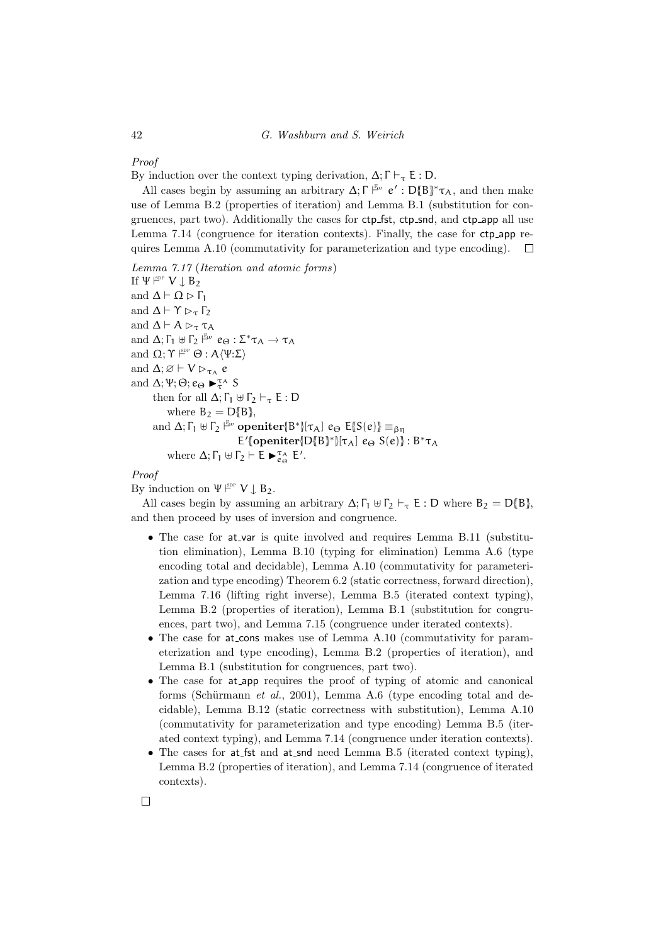### Proof

By induction over the context typing derivation,  $\Delta$ ;  $\Gamma \vdash_{\tau} \mathsf{E} : \mathsf{D}$ .

All cases begin by assuming an arbitrary  $\Delta; \Gamma \stackrel{\mathbb{F}_\omega}{\sim} e' : D\{B\}^* \tau_A$ , and then make use of Lemma B.2 (properties of iteration) and Lemma B.1 (substitution for congruences, part two). Additionally the cases for ctp\_fst, ctp\_snd, and ctp\_app all use Lemma 7.14 (congruence for iteration contexts). Finally, the case for ctp app requires Lemma A.10 (commutativity for parameterization and type encoding).  $\Box$ 

### Lemma 7.17 (Iteration and atomic forms)

If  $\Psi \xrightarrow{\text{gpp}} V \downarrow B_2$ and  $\Delta \vdash \Omega \triangleright \Gamma_1$ and  $\Delta \vdash \Upsilon \rhd_{\tau} \Gamma_2$ and  $\Delta \vdash A \rhd_{\tau} \tau_A$ and  $\Delta; \Gamma_1 \oplus \Gamma_2 \xrightarrow{\mathbb{F}_{\omega}} e_{\Theta} : \Sigma^* \tau_A \to \tau_A$ and  $\Omega; \Upsilon \vDash^{\text{SDP}} \Theta : A \langle \Psi : \Sigma \rangle$ and  $\Delta; \varnothing \vdash V \rhd_{\tau_A} e$ and  $\Delta; \Psi; \Theta; e_{\Theta} \blacktriangleright_{\tau}^{\tau_{A}} S$ then for all  $\Delta; \Gamma_1 \oplus \Gamma_2 \vdash_{\tau} E : D$ where  $B_2 = D_{\ell} B_{\ell}$ , and  $\Delta; \Gamma_1 \uplus \Gamma_2 \upharpoonright^{\mathbb{F}_{w}}$  openiter{ $B^*$ }{ $\tau_A$ }  $e_{\Theta}$   $E$ { $S(e)$ }  $\equiv_{\beta\eta}$  $E'$ [openiter{D{B}<sup>\*</sup>}[τ<sub>A</sub>]  $e_{\Theta} S(e)$ }: Β<sup>\*</sup>τ<sub>A</sub> where  $\Delta; \Gamma_1 \uplus \Gamma_2 \vdash E \blacktriangleright_{e_{\Theta}}^{\tau_A} E'.$ 

# Proof

By induction on  $\Psi \vDash^{\text{sp}} V \downarrow B_2$ .

All cases begin by assuming an arbitrary  $\Delta$ ;  $\Gamma_1 \oplus \Gamma_2 \vdash_{\tau} E : D$  where  $B_2 = D_{\tau} \llbracket B \rrbracket$ , and then proceed by uses of inversion and congruence.

- The case for at var is quite involved and requires Lemma B.11 (substitution elimination), Lemma B.10 (typing for elimination) Lemma A.6 (type encoding total and decidable), Lemma A.10 (commutativity for parameterization and type encoding) Theorem 6.2 (static correctness, forward direction), Lemma 7.16 (lifting right inverse), Lemma B.5 (iterated context typing), Lemma B.2 (properties of iteration), Lemma B.1 (substitution for congruences, part two), and Lemma 7.15 (congruence under iterated contexts).
- The case for at cons makes use of Lemma A.10 (commutativity for parameterization and type encoding), Lemma B.2 (properties of iteration), and Lemma B.1 (substitution for congruences, part two).
- The case for at app requires the proof of typing of atomic and canonical forms (Schürmann et al., 2001), Lemma A.6 (type encoding total and decidable), Lemma B.12 (static correctness with substitution), Lemma A.10 (commutativity for parameterization and type encoding) Lemma B.5 (iterated context typing), and Lemma 7.14 (congruence under iteration contexts).
- The cases for at fst and at snd need Lemma B.5 (iterated context typing), Lemma B.2 (properties of iteration), and Lemma 7.14 (congruence of iterated contexts).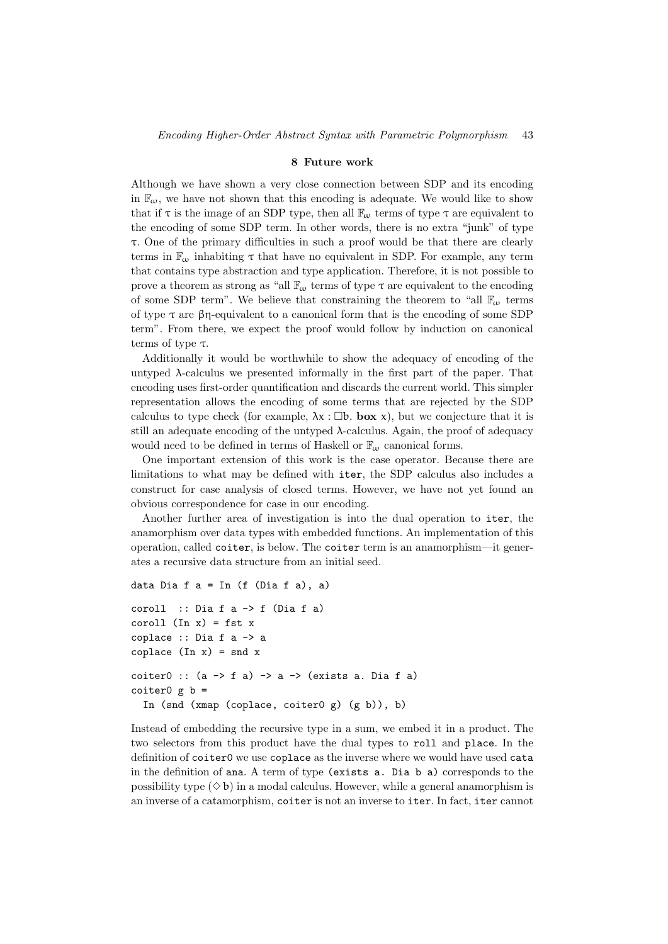#### 8 Future work

Although we have shown a very close connection between SDP and its encoding in  $\mathbb{F}_{\omega}$ , we have not shown that this encoding is adequate. We would like to show that if  $\tau$  is the image of an SDP type, then all  $\mathbb{F}_{\omega}$  terms of type  $\tau$  are equivalent to the encoding of some SDP term. In other words, there is no extra "junk" of type τ. One of the primary difficulties in such a proof would be that there are clearly terms in  $\mathbb{F}_{\omega}$  inhabiting  $\tau$  that have no equivalent in SDP. For example, any term that contains type abstraction and type application. Therefore, it is not possible to prove a theorem as strong as "all  $\mathbb{F}_{\alpha}$  terms of type  $\tau$  are equivalent to the encoding of some SDP term". We believe that constraining the theorem to "all  $\mathbb{F}_{\omega}$  terms of type  $\tau$  are βη-equivalent to a canonical form that is the encoding of some SDP term". From there, we expect the proof would follow by induction on canonical terms of type  $\tau$ .

Additionally it would be worthwhile to show the adequacy of encoding of the untyped  $\lambda$ -calculus we presented informally in the first part of the paper. That encoding uses first-order quantification and discards the current world. This simpler representation allows the encoding of some terms that are rejected by the SDP calculus to type check (for example,  $\lambda x : \Box b$ . box x), but we conjecture that it is still an adequate encoding of the untyped  $\lambda$ -calculus. Again, the proof of adequacy would need to be defined in terms of Haskell or  $\mathbb{F}_{\omega}$  canonical forms.

One important extension of this work is the case operator. Because there are limitations to what may be defined with iter, the SDP calculus also includes a construct for case analysis of closed terms. However, we have not yet found an obvious correspondence for case in our encoding.

Another further area of investigation is into the dual operation to iter, the anamorphism over data types with embedded functions. An implementation of this operation, called coiter, is below. The coiter term is an anamorphism—it generates a recursive data structure from an initial seed.

```
data Dia f a = \text{In} (f (Dia f a), a)
```

```
coroll :: Dia f a -> f (Dia f a)
coroll (In x) = fst xcoplace :: Dia f a -> a
coplace (In x) = snd xcoiter0 :: (a \rightarrow f a) \rightarrow a \rightarrow (exists a. Dia f a)coiter0 \notin b =
  In (snd (xmap (coplace, coiter0 g) (g b)), b)
```
Instead of embedding the recursive type in a sum, we embed it in a product. The two selectors from this product have the dual types to roll and place. In the definition of coiter0 we use coplace as the inverse where we would have used cata in the definition of ana. A term of type (exists a. Dia b a) corresponds to the possibility type  $(\Diamond b)$  in a modal calculus. However, while a general anamorphism is an inverse of a catamorphism, coiter is not an inverse to iter. In fact, iter cannot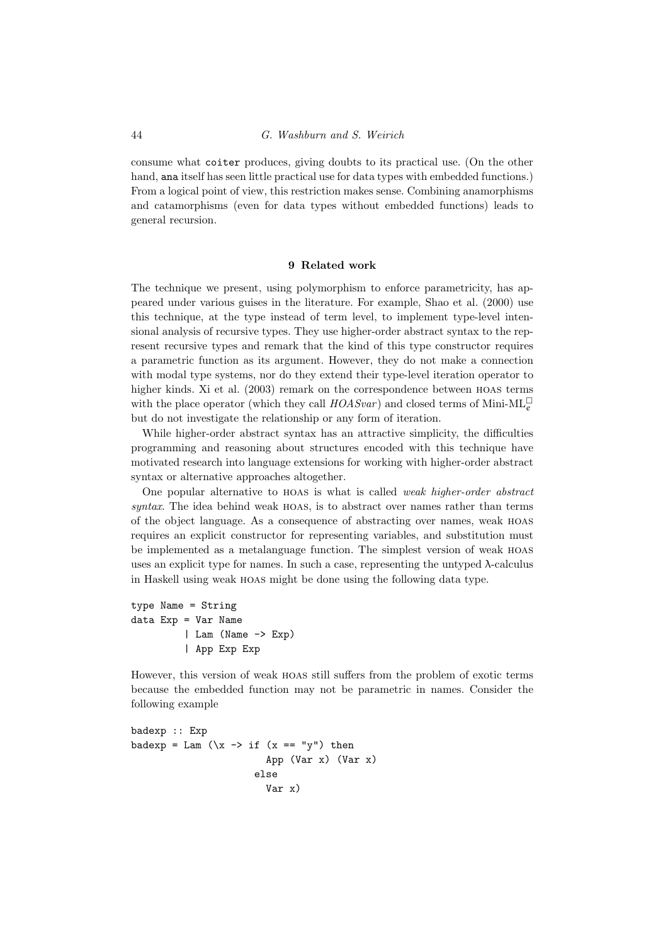consume what coiter produces, giving doubts to its practical use. (On the other hand, ana itself has seen little practical use for data types with embedded functions.) From a logical point of view, this restriction makes sense. Combining anamorphisms and catamorphisms (even for data types without embedded functions) leads to general recursion.

# 9 Related work

The technique we present, using polymorphism to enforce parametricity, has appeared under various guises in the literature. For example, Shao et al. (2000) use this technique, at the type instead of term level, to implement type-level intensional analysis of recursive types. They use higher-order abstract syntax to the represent recursive types and remark that the kind of this type constructor requires a parametric function as its argument. However, they do not make a connection with modal type systems, nor do they extend their type-level iteration operator to higher kinds. Xi et al. (2003) remark on the correspondence between hoas terms with the place operator (which they call  $HOASvar$ ) and closed terms of Mini-ML<sup> $\Box$ </sup> but do not investigate the relationship or any form of iteration.

While higher-order abstract syntax has an attractive simplicity, the difficulties programming and reasoning about structures encoded with this technique have motivated research into language extensions for working with higher-order abstract syntax or alternative approaches altogether.

One popular alternative to hoas is what is called weak higher-order abstract syntax. The idea behind weak hoas, is to abstract over names rather than terms of the object language. As a consequence of abstracting over names, weak hoas requires an explicit constructor for representing variables, and substitution must be implemented as a metalanguage function. The simplest version of weak hoas uses an explicit type for names. In such a case, representing the untyped  $\lambda$ -calculus in Haskell using weak hoas might be done using the following data type.

```
type Name = String
data Exp = Var Name
         | Lam (Name -> Exp)
         | App Exp Exp
```
However, this version of weak hoas still suffers from the problem of exotic terms because the embedded function may not be parametric in names. Consider the following example

```
badexp :: Exp
badexp = Lam (\x \rightarrow x \text{ if } (x == "y") \text{ then})App (Var x) (Var x)
                            else
                               Var x)
```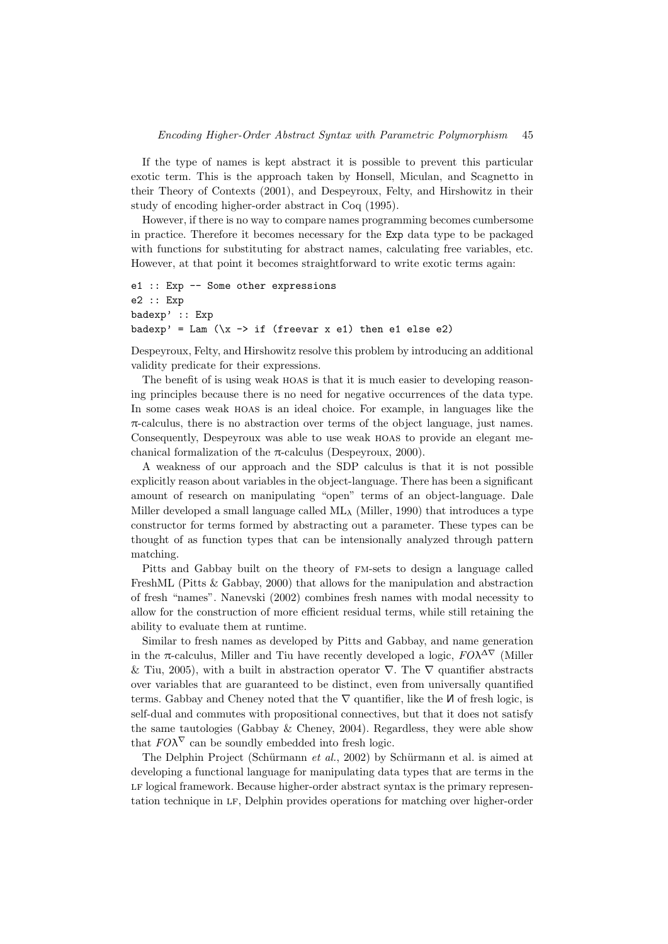If the type of names is kept abstract it is possible to prevent this particular exotic term. This is the approach taken by Honsell, Miculan, and Scagnetto in their Theory of Contexts (2001), and Despeyroux, Felty, and Hirshowitz in their study of encoding higher-order abstract in Coq (1995).

However, if there is no way to compare names programming becomes cumbersome in practice. Therefore it becomes necessary for the Exp data type to be packaged with functions for substituting for abstract names, calculating free variables, etc. However, at that point it becomes straightforward to write exotic terms again:

```
e1 :: Exp -- Some other expressions
e2 :: Exp
badexp' :: Exp
badexp' = Lam (\xrightarrow x \rightarrow if (freevar x e1) then e1 else e2)
```
Despeyroux, Felty, and Hirshowitz resolve this problem by introducing an additional validity predicate for their expressions.

The benefit of is using weak hoas is that it is much easier to developing reasoning principles because there is no need for negative occurrences of the data type. In some cases weak hoas is an ideal choice. For example, in languages like the  $\pi$ -calculus, there is no abstraction over terms of the object language, just names. Consequently, Despeyroux was able to use weak hoas to provide an elegant mechanical formalization of the  $\pi$ -calculus (Despeyroux, 2000).

A weakness of our approach and the SDP calculus is that it is not possible explicitly reason about variables in the object-language. There has been a significant amount of research on manipulating "open" terms of an object-language. Dale Miller developed a small language called  $ML<sub>\lambda</sub>$  (Miller, 1990) that introduces a type constructor for terms formed by abstracting out a parameter. These types can be thought of as function types that can be intensionally analyzed through pattern matching.

Pitts and Gabbay built on the theory of fm-sets to design a language called FreshML (Pitts & Gabbay, 2000) that allows for the manipulation and abstraction of fresh "names". Nanevski (2002) combines fresh names with modal necessity to allow for the construction of more efficient residual terms, while still retaining the ability to evaluate them at runtime.

Similar to fresh names as developed by Pitts and Gabbay, and name generation in the  $\pi$ -calculus, Miller and Tiu have recently developed a logic,  $FO\lambda^{\Delta\nabla}$  (Miller & Tiu, 2005), with a built in abstraction operator  $\nabla$ . The  $\nabla$  quantifier abstracts over variables that are guaranteed to be distinct, even from universally quantified terms. Gabbay and Cheney noted that the  $\nabla$  quantifier, like the  $\nabla$  of fresh logic, is self-dual and commutes with propositional connectives, but that it does not satisfy the same tautologies (Gabbay & Cheney, 2004). Regardless, they were able show that  $FO\lambda^{\nabla}$  can be soundly embedded into fresh logic.

The Delphin Project (Schürmann et al., 2002) by Schürmann et al. is aimed at developing a functional language for manipulating data types that are terms in the LF logical framework. Because higher-order abstract syntax is the primary representation technique in lf, Delphin provides operations for matching over higher-order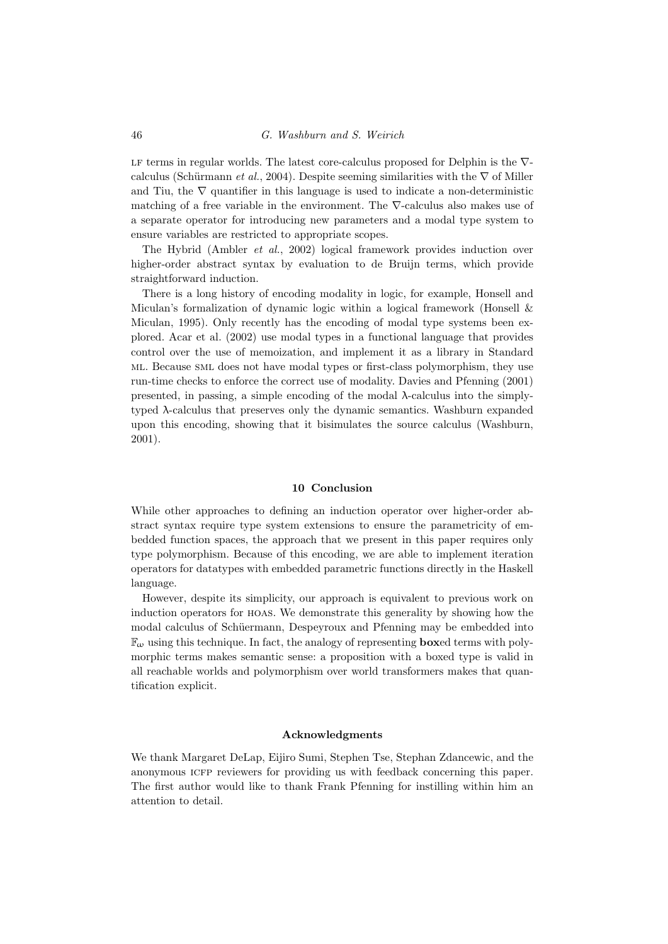#### 46 G. Washburn and S. Weirich

LF terms in regular worlds. The latest core-calculus proposed for Delphin is the  $\nabla$ calculus (Schürmann et al., 2004). Despite seeming similarities with the  $\nabla$  of Miller and Tiu, the  $\nabla$  quantifier in this language is used to indicate a non-deterministic matching of a free variable in the environment. The ∇-calculus also makes use of a separate operator for introducing new parameters and a modal type system to ensure variables are restricted to appropriate scopes.

The Hybrid (Ambler et al., 2002) logical framework provides induction over higher-order abstract syntax by evaluation to de Bruijn terms, which provide straightforward induction.

There is a long history of encoding modality in logic, for example, Honsell and Miculan's formalization of dynamic logic within a logical framework (Honsell & Miculan, 1995). Only recently has the encoding of modal type systems been explored. Acar et al. (2002) use modal types in a functional language that provides control over the use of memoization, and implement it as a library in Standard ml. Because sml does not have modal types or first-class polymorphism, they use run-time checks to enforce the correct use of modality. Davies and Pfenning (2001) presented, in passing, a simple encoding of the modal  $\lambda$ -calculus into the simplytyped λ-calculus that preserves only the dynamic semantics. Washburn expanded upon this encoding, showing that it bisimulates the source calculus (Washburn, 2001).

#### 10 Conclusion

While other approaches to defining an induction operator over higher-order abstract syntax require type system extensions to ensure the parametricity of embedded function spaces, the approach that we present in this paper requires only type polymorphism. Because of this encoding, we are able to implement iteration operators for datatypes with embedded parametric functions directly in the Haskell language.

However, despite its simplicity, our approach is equivalent to previous work on induction operators for hoas. We demonstrate this generality by showing how the modal calculus of Schüermann, Despeyroux and Pfenning may be embedded into  $\mathbb{F}_{\omega}$  using this technique. In fact, the analogy of representing **boxed** terms with polymorphic terms makes semantic sense: a proposition with a boxed type is valid in all reachable worlds and polymorphism over world transformers makes that quantification explicit.

#### Acknowledgments

We thank Margaret DeLap, Eijiro Sumi, Stephen Tse, Stephan Zdancewic, and the anonymous ICFP reviewers for providing us with feedback concerning this paper. The first author would like to thank Frank Pfenning for instilling within him an attention to detail.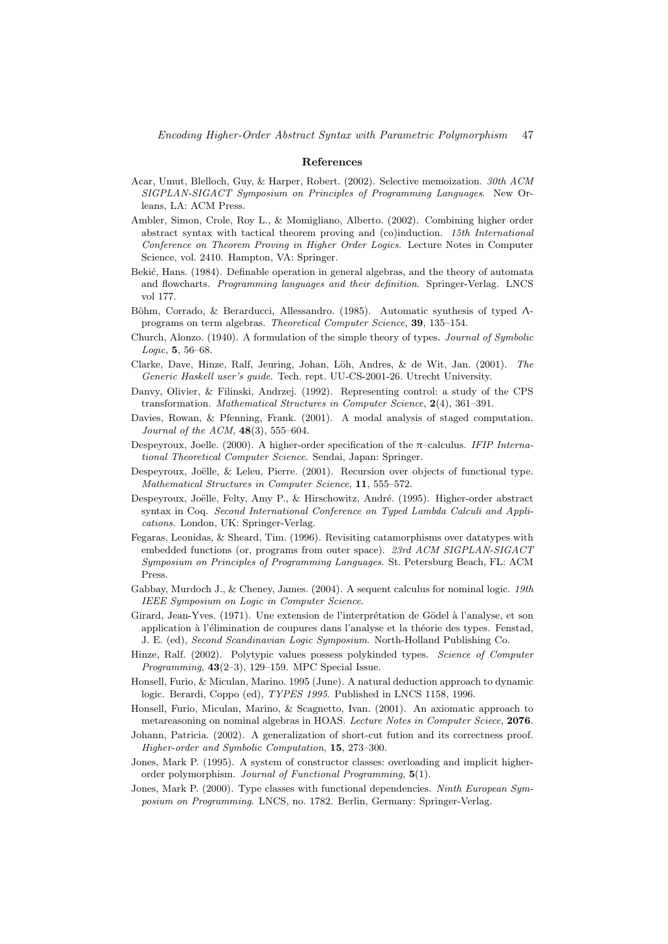#### References

- Acar, Umut, Blelloch, Guy, & Harper, Robert. (2002). Selective memoization. 30th ACM SIGPLAN-SIGACT Symposium on Principles of Programming Languages. New Orleans, LA: ACM Press.
- Ambler, Simon, Crole, Roy L., & Momigliano, Alberto. (2002). Combining higher order abstract syntax with tactical theorem proving and (co)induction. 15th International Conference on Theorem Proving in Higher Order Logics. Lecture Notes in Computer Science, vol. 2410. Hampton, VA: Springer.
- Bekić, Hans. (1984). Definable operation in general algebras, and the theory of automata and flowcharts. Programming languages and their definition. Springer-Verlag. LNCS vol 177.
- Böhm, Corrado, & Berarducci, Allessandro. (1985). Automatic synthesis of typed Λprograms on term algebras. Theoretical Computer Science, 39, 135–154.
- Church, Alonzo. (1940). A formulation of the simple theory of types. Journal of Symbolic Logic, 5, 56–68.
- Clarke, Dave, Hinze, Ralf, Jeuring, Johan, Löh, Andres, & de Wit, Jan. (2001). The Generic Haskell user's guide. Tech. rept. UU-CS-2001-26. Utrecht University.
- Danvy, Olivier, & Filinski, Andrzej. (1992). Representing control: a study of the CPS transformation. Mathematical Structures in Computer Science, 2(4), 361–391.
- Davies, Rowan, & Pfenning, Frank. (2001). A modal analysis of staged computation. Journal of the ACM,  $48(3)$ , 555–604.
- Despeyroux, Joelle. (2000). A higher-order specification of the  $\pi$ -calculus. IFIP International Theoretical Computer Science. Sendai, Japan: Springer.
- Despeyroux, Joëlle, & Leleu, Pierre. (2001). Recursion over objects of functional type. Mathematical Structures in Computer Science, 11, 555–572.
- Despeyroux, Joëlle, Felty, Amy P., & Hirschowitz, André. (1995). Higher-order abstract syntax in Coq. Second International Conference on Typed Lambda Calculi and Applications. London, UK: Springer-Verlag.
- Fegaras, Leonidas, & Sheard, Tim. (1996). Revisiting catamorphisms over datatypes with embedded functions (or, programs from outer space). 23rd ACM SIGPLAN-SIGACT Symposium on Principles of Programming Languages. St. Petersburg Beach, FL: ACM Press.
- Gabbay, Murdoch J., & Cheney, James. (2004). A sequent calculus for nominal logic. 19th IEEE Symposium on Logic in Computer Science.
- Girard, Jean-Yves. (1971). Une extension de l'interprétation de Gödel à l'analyse, et son application à l'élimination de coupures dans l'analyse et la théorie des types. Fenstad, J. E. (ed), Second Scandinavian Logic Symposium. North-Holland Publishing Co.
- Hinze, Ralf. (2002). Polytypic values possess polykinded types. Science of Computer Programming,  $43(2-3)$ , 129-159. MPC Special Issue.
- Honsell, Furio, & Miculan, Marino. 1995 (June). A natural deduction approach to dynamic logic. Berardi, Coppo (ed), TYPES 1995. Published in LNCS 1158, 1996.
- Honsell, Furio, Miculan, Marino, & Scagnetto, Ivan. (2001). An axiomatic approach to metareasoning on nominal algebras in HOAS. Lecture Notes in Computer Sciece, 2076.
- Johann, Patricia. (2002). A generalization of short-cut fution and its correctness proof. Higher-order and Symbolic Computation, 15, 273–300.
- Jones, Mark P. (1995). A system of constructor classes: overloading and implicit higherorder polymorphism. Journal of Functional Programming, 5(1).
- Jones, Mark P. (2000). Type classes with functional dependencies. Ninth European Symposium on Programming. LNCS, no. 1782. Berlin, Germany: Springer-Verlag.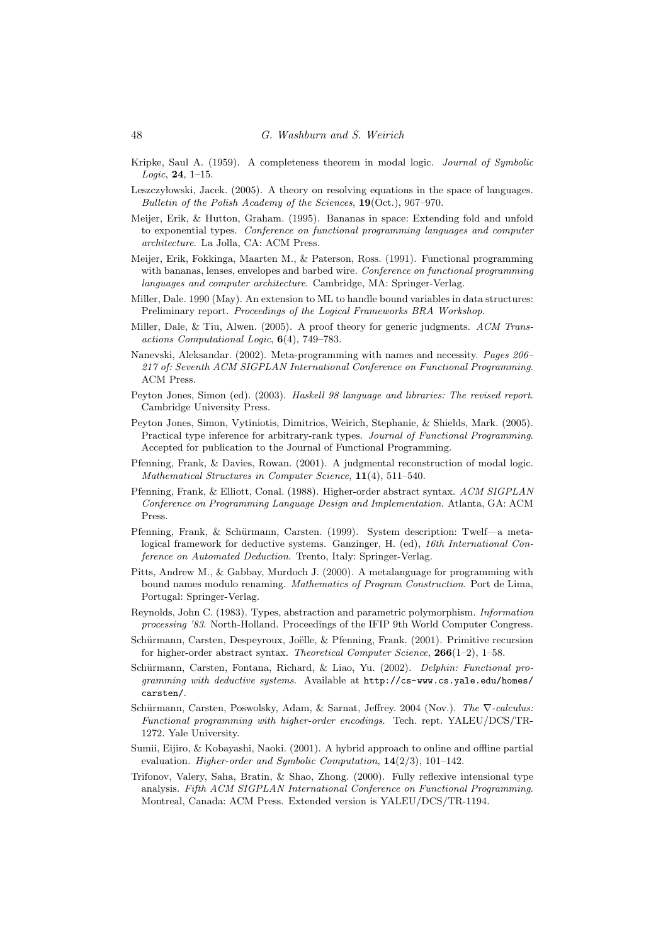- Kripke, Saul A. (1959). A completeness theorem in modal logic. Journal of Symbolic  $Logic, 24, 1-15.$
- Leszczy lowski, Jacek. (2005). A theory on resolving equations in the space of languages. Bulletin of the Polish Academy of the Sciences, 19(Oct.), 967–970.
- Meijer, Erik, & Hutton, Graham. (1995). Bananas in space: Extending fold and unfold to exponential types. Conference on functional programming languages and computer architecture. La Jolla, CA: ACM Press.
- Meijer, Erik, Fokkinga, Maarten M., & Paterson, Ross. (1991). Functional programming with bananas, lenses, envelopes and barbed wire. Conference on functional programming languages and computer architecture. Cambridge, MA: Springer-Verlag.
- Miller, Dale. 1990 (May). An extension to ML to handle bound variables in data structures: Preliminary report. Proceedings of the Logical Frameworks BRA Workshop.
- Miller, Dale, & Tiu, Alwen. (2005). A proof theory for generic judgments. ACM Transactions Computational Logic, 6(4), 749–783.
- Nanevski, Aleksandar. (2002). Meta-programming with names and necessity. Pages 206– 217 of: Seventh ACM SIGPLAN International Conference on Functional Programming. ACM Press.
- Peyton Jones, Simon (ed). (2003). Haskell 98 language and libraries: The revised report. Cambridge University Press.
- Peyton Jones, Simon, Vytiniotis, Dimitrios, Weirich, Stephanie, & Shields, Mark. (2005). Practical type inference for arbitrary-rank types. Journal of Functional Programming. Accepted for publication to the Journal of Functional Programming.
- Pfenning, Frank, & Davies, Rowan. (2001). A judgmental reconstruction of modal logic. Mathematical Structures in Computer Science, 11(4), 511–540.
- Pfenning, Frank, & Elliott, Conal. (1988). Higher-order abstract syntax. ACM SIGPLAN Conference on Programming Language Design and Implementation. Atlanta, GA: ACM Press.
- Pfenning, Frank, & Schürmann, Carsten. (1999). System description: Twelf—a metalogical framework for deductive systems. Ganzinger, H. (ed), 16th International Conference on Automated Deduction. Trento, Italy: Springer-Verlag.
- Pitts, Andrew M., & Gabbay, Murdoch J. (2000). A metalanguage for programming with bound names modulo renaming. Mathematics of Program Construction. Port de Lima, Portugal: Springer-Verlag.
- Reynolds, John C. (1983). Types, abstraction and parametric polymorphism. Information processing '83. North-Holland. Proceedings of the IFIP 9th World Computer Congress.
- Schürmann, Carsten, Despeyroux, Joëlle, & Pfenning, Frank. (2001). Primitive recursion for higher-order abstract syntax. Theoretical Computer Science, 266(1–2), 1–58.
- Schürmann, Carsten, Fontana, Richard, & Liao, Yu. (2002). Delphin: Functional programming with deductive systems. Available at http://cs-www.cs.yale.edu/homes/ carsten/.
- Schürmann, Carsten, Poswolsky, Adam, & Sarnat, Jeffrey. 2004 (Nov.). The  $\nabla$ -calculus: Functional programming with higher-order encodings. Tech. rept. YALEU/DCS/TR-1272. Yale University.
- Sumii, Eijiro, & Kobayashi, Naoki. (2001). A hybrid approach to online and offline partial evaluation. Higher-order and Symbolic Computation, 14(2/3), 101–142.
- Trifonov, Valery, Saha, Bratin, & Shao, Zhong. (2000). Fully reflexive intensional type analysis. Fifth ACM SIGPLAN International Conference on Functional Programming. Montreal, Canada: ACM Press. Extended version is YALEU/DCS/TR-1194.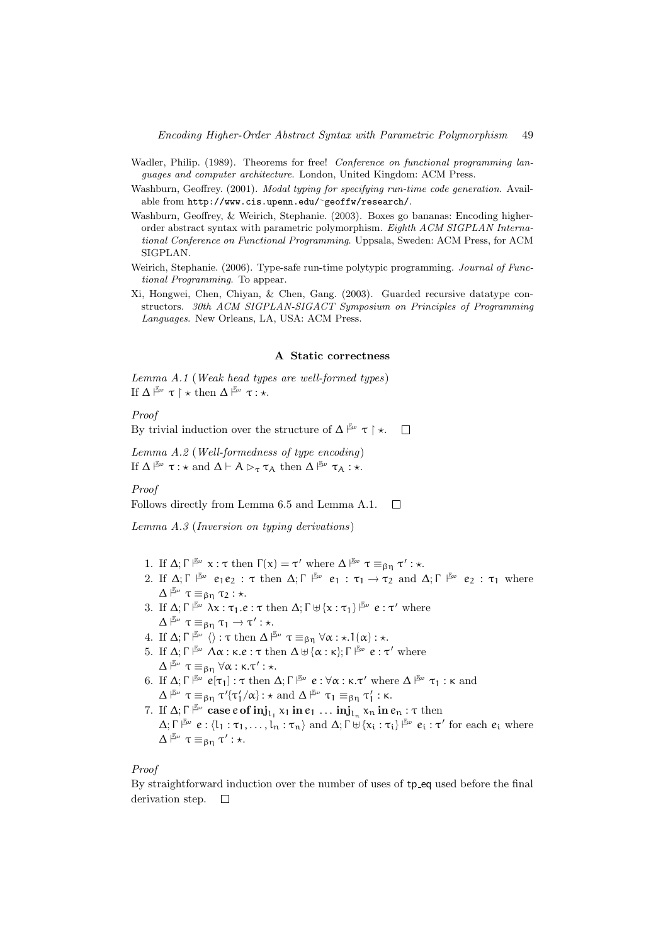- Wadler, Philip. (1989). Theorems for free! Conference on functional programming languages and computer architecture. London, United Kingdom: ACM Press.
- Washburn, Geoffrey. (2001). Modal typing for specifying run-time code generation. Available from http://www.cis.upenn.edu/<sup>∼</sup>geoffw/research/.
- Washburn, Geoffrey, & Weirich, Stephanie. (2003). Boxes go bananas: Encoding higherorder abstract syntax with parametric polymorphism. Eighth ACM SIGPLAN International Conference on Functional Programming. Uppsala, Sweden: ACM Press, for ACM SIGPLAN.
- Weirich, Stephanie. (2006). Type-safe run-time polytypic programming. *Journal of Func*tional Programming. To appear.
- Xi, Hongwei, Chen, Chiyan, & Chen, Gang. (2003). Guarded recursive datatype constructors. 30th ACM SIGPLAN-SIGACT Symposium on Principles of Programming Languages. New Orleans, LA, USA: ACM Press.

#### A Static correctness

Lemma A.1 (Weak head types are well-formed types) If  $\Delta \stackrel{\mathbb{F}_\omega}{\vdash} \tau \upharpoonright \star \text{ then } \Delta \stackrel{\mathbb{F}_\omega}{\vdash} \tau : \star.$ 

Proof

By trivial induction over the structure of  $\Delta \stackrel{\mathbb{F}_{\alpha}}{\sim} \tau \upharpoonright \star$ .  $\Box$ 

Lemma A.2 (Well-formedness of type encoding) If  $\Delta \stackrel{\mathbb{F}_\omega}{\vdash} \tau : \star \text{ and } \Delta \vdash A \triangleright_\tau \tau_A \text{ then } \Delta \stackrel{\mathbb{F}_\omega}{\vdash} \tau_A : \star.$ 

#### Proof

Follows directly from Lemma 6.5 and Lemma A.1.  $\Box$ 

Lemma A.3 (Inversion on typing derivations)

- 1. If  $\Delta; \Gamma \vDash_{\omega} \alpha : \tau \text{ then } \Gamma(\alpha) = \tau' \text{ where } \Delta \vDash_{\omega} \tau \equiv_{\beta \eta} \tau' : \star.$
- 2. If  $\Delta; \Gamma \xrightarrow{\mathbb{F}_{\omega}} e_1e_2 : \tau$  then  $\Delta; \Gamma \xrightarrow{\mathbb{F}_{\omega}} e_1 : \tau_1 \to \tau_2$  and  $\Delta; \Gamma \xrightarrow{\mathbb{F}_{\omega}} e_2 : \tau_1$  where  $\Delta \stackrel{\mathbb{F}_\omega}{\vdash} \tau \equiv_{\beta\eta} \tau_2 : \star.$
- 3. If  $\Delta; \Gamma \Vdash^{\mathbb{F}_{\omega}} \lambda \chi : \tau_1.e : \tau \text{ then } \Delta; \Gamma \uplus {\{\chi : \tau_1\}} \vDash^{\mathbb{F}_{\omega}} e : \tau' \text{ where}$  $\Delta \stackrel{\mathbb{F}_{\omega}}{\vdash} \tau \equiv_{\beta\eta} \tau_1 \rightarrow \tau': \star.$
- 4. If  $\Delta; \Gamma \Vdash^{\mathbb{F}_{\omega}} \langle \rangle : \tau \text{ then } \Delta \Vdash^{\mathbb{F}_{\omega}} \tau \equiv_{\beta \eta} \forall \alpha : \star.1(\alpha) : \star.$
- 5. If Δ; Γ $\stackrel{\mathbb{F}_{\omega}}{\longmapsto} \Lambda \alpha$ : κ.e : τ then  $\Delta \uplus {\alpha : \kappa};$  Γ $\stackrel{\mathbb{F}_{\omega}}{\longmapsto} e : \tau'$  where  $\Delta \stackrel{\mathbb{F}_\omega}{\vdash} \tau \equiv_{\beta\eta} \forall \alpha : \kappa.\tau' : \star.$
- 6. If  $\Delta; \Gamma \vDash_{\omega} e[\tau_1]: \tau \text{ then } \Delta; \Gamma \vDash_{\omega} e: \forall \alpha: \kappa. \tau' \text{ where } \Delta \vDash_{\omega} \tau_1: \kappa \text{ and }$  $\Delta \upharpoonright^{\mathbb{E}\omega} \tau \equiv_{\beta\eta} \tau' \{\tau'_1/\alpha\} : \star \text{ and } \Delta \upharpoonright^{\mathbb{E}\omega} \tau_1 \equiv_{\beta\eta} \tau'_1 : \kappa.$
- 7. If  $\Delta; \Gamma \vDash^{\mathbb{Z}\omega} \text{case } e \text{ of } \text{inj}_{\mathsf{L}_1} \times_1 \text{in } e_1 \dots \text{inj}_{\mathsf{L}_n} \times_n \text{in } e_n : \tau \text{ then}$  $\Delta; \Gamma \vDash_{\omega}^{\mathbb{F}_{\omega}} e: \langle l_1 : \tau_1, \ldots, l_n : \tau_n \rangle \text{ and } \Delta; \Gamma \uplus \{x_i : \tau_i\} \vDash_{\omega}^{\mathbb{F}_{\omega}} e_i : \tau' \text{ for each } e_i \text{ where }$  $\Delta \nightharpoonup^{\mathbb{E}_{\omega}} \tau \equiv_{\beta\eta} \tau' : \star.$

# Proof

By straightforward induction over the number of uses of tp eq used before the final derivation step.  $\square$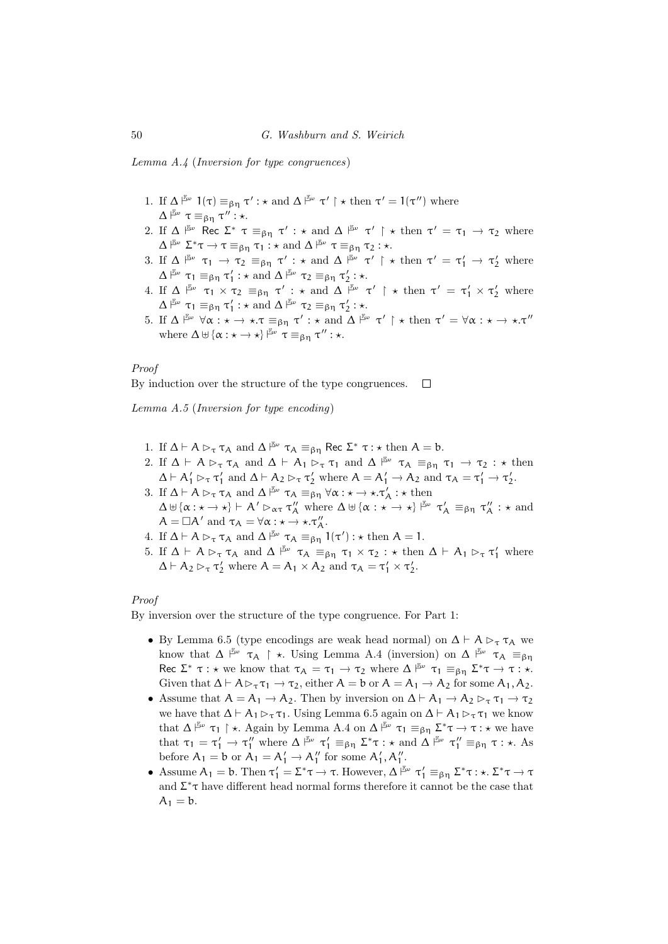Lemma A.4 (Inversion for type congruences)

- 1. If  $\Delta \nightharpoonup^{\mathbb{F}_{\omega}} 1(\tau) \equiv_{\beta\eta} \tau' : \star \text{ and } \Delta \nightharpoonup^{\mathbb{F}_{\omega}} \tau' \upharpoonright \star \text{ then } \tau' = 1(\tau'')$  where  $\Delta \stackrel{\mathbb{F}_\omega}{\sim} \tau \equiv_{\beta\eta} \tau'' : \star.$
- 2. If  $\Delta \vDash_{\omega} \text{Rec } \Sigma^* \tau \equiv_{\beta\eta} \tau' : \star \text{ and } \Delta \vDash_{\omega} \tau' \upharpoonright \star \text{ then } \tau' = \tau_1 \to \tau_2 \text{ where }$  $\Delta \nightharpoonup^{\mathbb{E}_{\omega}} \Sigma^* \tau \to \tau \equiv_{\beta\eta} \tau_1 : \star \text{ and } \Delta \nightharpoonup^{\mathbb{E}_{\omega}} \tau \equiv_{\beta\eta} \tau_2 : \star.$
- 3. If  $\Delta \xrightarrow{\mathbb{F}_{\text{ov}}} \tau_1 \to \tau_2 \equiv_{\beta\eta} \tau' : \star \text{ and } \Delta \xrightarrow{\mathbb{F}_{\text{ov}}} \tau' \upharpoonright \star \text{ then } \tau' = \tau'_1 \to \tau'_2 \text{ where}$  $\Delta \upharpoonright^{\mathbb{E}_{\omega}} \tau_1 \equiv_{\beta\eta} \tau_1': \star \text{ and } \Delta \upharpoonright^{\mathbb{E}_{\omega}} \tau_2 \equiv_{\beta\eta} \tau_2': \star.$
- 4. If  $\Delta \stackrel{\mathbb{F}_{\omega}}{\longrightarrow} \tau_1 \times \tau_2 \equiv_{\beta\eta} \tau' : \star \text{ and } \Delta \stackrel{\mathbb{F}_{\omega}}{\longrightarrow} \tau' \upharpoonright \star \text{ then } \tau' = \tau'_1 \times \tau'_2 \text{ where}$  $\Delta \upharpoonright^{\mathbb{E}_{\omega}} \tau_1 \equiv_{\beta\eta} \tau_1': \star \text{ and } \Delta \upharpoonright^{\mathbb{E}_{\omega}} \tau_2 \equiv_{\beta\eta} \tau_2': \star.$
- 5. If  $\Delta \stackrel{\mathbb{E}\omega}{\longrightarrow} \forall \alpha : \star \to \star \cdot \tau \equiv_{\beta\eta} \tau' : \star \text{ and } \Delta \stackrel{\mathbb{E}\omega}{\longrightarrow} \tau' \upharpoonright \star \text{ then } \tau' = \forall \alpha : \star \to \star \cdot \tau''$ where  $\Delta \uplus {\alpha : \star \to \star}$   $\downarrow^{\mathbb{F}_{\omega}} \tau \equiv_{\beta \eta} \tau'' : \star$ .

# Proof

By induction over the structure of the type congruences.  $\Box$ 

Lemma A.5 (Inversion for type encoding)

- 1. If  $\Delta \vdash A \rhd_{\tau} \tau_A$  and  $\Delta \rhd^{\mathbb{F}_{\omega}} \tau_A \equiv_{\beta\eta} \text{Rec } \Sigma^* \tau : \star \text{ then } A = b.$
- 2. If  $\Delta \vdash A \rhd_{\tau} \tau_A$  and  $\Delta \vdash A_1 \rhd_{\tau} \tau_1$  and  $\Delta \xrightarrow{\beta_{\omega}} \tau_A \equiv_{\beta_{\eta}} \tau_1 \rightarrow \tau_2 : \star \text{ then}$  $\Delta \vdash A'_1 \rhd_{\tau} \tau'_1$  and  $\Delta \vdash A_2 \rhd_{\tau} \tau'_2$  where  $A = A'_1 \rightarrow A_2$  and  $\tau_A = \tau'_1 \rightarrow \tau'_2$ .
- 3. If  $\Delta \vdash A \rhd_{\tau} \tau_A$  and  $\Delta \xrightarrow{\mathbb{F}_{\omega}} \tau_A \equiv_{\beta\eta} \forall \alpha : \star \to \star \tau'_A : \star \text{ then}$  $\Delta \uplus {\alpha : \star \to \star} \vdash A' \rhd_{\alpha \tau} \tau''_A$  where  $\Delta \uplus {\alpha : \star \to \star}$   $\stackrel{\mathbb{F}\omega}{\longrightarrow} \tau'_A \equiv_{\beta \eta} \tau''_A : \star \text{ and}$  $A = \Box A'$  and  $\tau_A = \forall \alpha : \star \to \star \cdot \tau''_A$ .
- 4. If  $\Delta \vdash A \rhd_{\tau} \tau_A$  and  $\Delta \rhd{\mathbb{F}}^{\omega}$   $\tau_A \equiv_{\beta\eta} 1(\tau') : \star \text{ then } A = 1$ .
- 5. If  $\Delta \vdash A \rhd_{\tau} \tau_A$  and  $\Delta \xrightarrow{\mathbb{F}_{\omega}} \tau_A \equiv_{\beta\eta} \tau_1 \times \tau_2 : \star \text{ then } \Delta \vdash A_1 \rhd_{\tau} \tau_1'$  where  $\Delta \vdash A_2 \rhd_{\tau} \tau'_2$  where  $A = A_1 \times A_2$  and  $\tau_A = \tau'_1 \times \tau'_2$ .

#### Proof

By inversion over the structure of the type congruence. For Part 1:

- By Lemma 6.5 (type encodings are weak head normal) on  $\Delta \vdash A \triangleright_{\tau} \tau_A$  we know that  $\Delta \stackrel{\mathbb{F}_{\omega}}{\sim} \tau_A \upharpoonright \star$ . Using Lemma A.4 (inversion) on  $\Delta \stackrel{\mathbb{F}_{\omega}}{\sim} \tau_A \equiv_{\beta\eta}$ Rec  $\Sigma^* \tau : \star$  we know that  $\tau_A = \tau_1 \to \tau_2$  where  $\Delta \rVert_{\infty}^{\mathbb{F}_{\omega}} \tau_1 \equiv_{\beta \eta} \Sigma^* \tau \to \tau : \star$ . Given that  $\Delta \vdash A \triangleright_{\tau} \tau_1 \rightarrow \tau_2$ , either  $A = b$  or  $A = A_1 \rightarrow A_2$  for some  $A_1, A_2$ .
- Assume that  $A = A_1 \rightarrow A_2$ . Then by inversion on  $\Delta \vdash A_1 \rightarrow A_2 \rhd_{\tau} \tau_1 \rightarrow \tau_2$ we have that  $\Delta \vdash A_1 \triangleright_{\tau} \tau_1$ . Using Lemma 6.5 again on  $\Delta \vdash A_1 \triangleright_{\tau} \tau_1$  we know that  $\Delta \stackrel{\mathbb{F}_{\omega}}{\sim} \tau_1 \upharpoonright \star$ . Again by Lemma A.4 on  $\Delta \stackrel{\mathbb{F}_{\omega}}{\sim} \tau_1 \equiv_{\beta \eta} \Sigma^* \tau \to \tau : \star$  we have that  $\tau_1 = \tau_1' \to \tau_1''$  where  $\Delta \stackrel{\mathbb{F}_{\omega}}{\longrightarrow} \tau_1' \equiv_{\beta\eta} \Sigma^* \tau : \star$  and  $\Delta \stackrel{\mathbb{F}_{\omega}}{\longrightarrow} \tau_1'' \equiv_{\beta\eta} \tau : \star$ . As before  $A_1 = b$  or  $A_1 = A'_1 \rightarrow A''_1$  for some  $A'_1, A''_1$ .
- Assume  $A_1 = b$ . Then  $\tau'_1 = \Sigma^* \tau \to \tau$ . However,  $\Delta \stackrel{\mathbb{F}_v}{\models} \tau'_1 \equiv_{\beta\eta} \Sigma^* \tau : \star \Sigma^* \tau \to \tau$ and  $\Sigma^* \tau$  have different head normal forms therefore it cannot be the case that  $A_1 = b$ .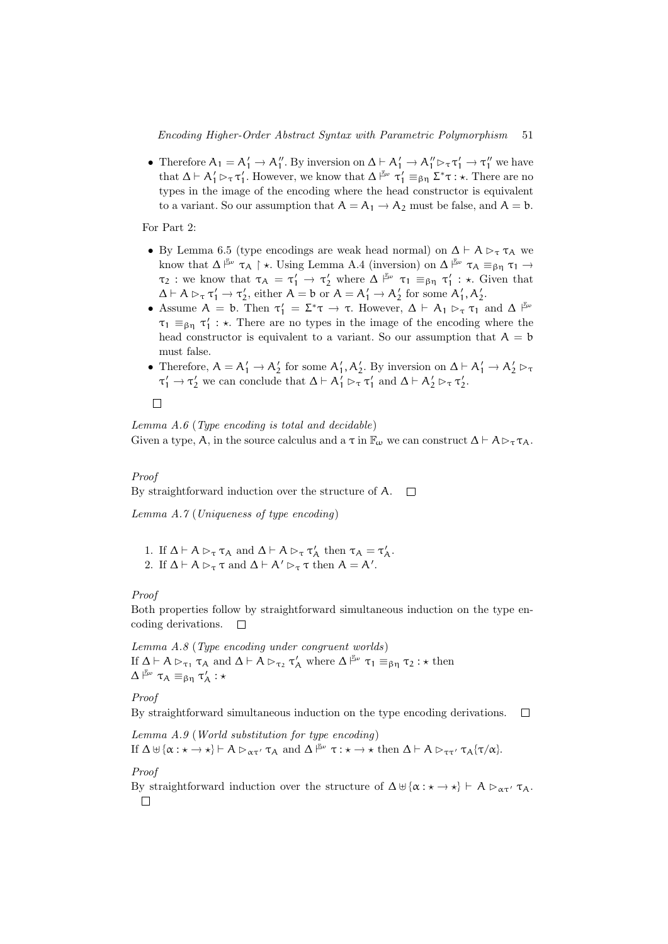• Therefore  $A_1 = A'_1 \rightarrow A''_1$ . By inversion on  $\Delta \vdash A'_1 \rightarrow A''_1 \rhd_{\tau} \tau'_1 \rightarrow \tau''_1$  we have that  $\Delta \vdash A'_1 \rhd_{\tau} \tau'_1$ . However, we know that  $\Delta \stackrel{\mathbb{F}_{\omega}}{\sim} \tau'_1 \equiv_{\beta\eta} \Sigma^* \tau : \star$ . There are no types in the image of the encoding where the head constructor is equivalent to a variant. So our assumption that  $A = A_1 \rightarrow A_2$  must be false, and  $A = b$ .

For Part 2:

- By Lemma 6.5 (type encodings are weak head normal) on  $\Delta \vdash A \rhd_{\tau} \tau_A$  we know that  $\Delta \stackrel{\mathbb{F}_{\scriptscriptstyle{\omega}}}{\longrightarrow} \tau_{\mathcal{A}} \upharpoonright \star$ . Using Lemma A.4 (inversion) on  $\Delta \stackrel{\mathbb{F}_{\scriptscriptstyle{\omega}}}{\longrightarrow} \tau_{\mathcal{A}} \equiv_{\beta\eta} \tau_1 \rightarrow$  $\tau_2$ : we know that  $\tau_A = \tau'_1 \to \tau'_2$  where  $\Delta \stackrel{\mathbb{F}_{\omega}}{\longrightarrow} \tau_1 \equiv_{\beta\eta} \tau'_1$ :  $\star$ . Given that  $\Delta \vdash A \rhd_{\tau} \tau_1' \to \tau_2',$  either  $A = b$  or  $A = A_1' \to A_2'$  for some  $A_1', A_2'$ .
- Assume  $A = b$ . Then  $\tau'_1 = \Sigma^* \tau \to \tau$ . However,  $\Delta \vdash A_1 \rhd_{\tau} \tau_1$  and  $\Delta \vdash^{\mathbb{Z}^n}$  $\tau_1 \equiv_{\beta\eta} \tau'_1$ : \*. There are no types in the image of the encoding where the head constructor is equivalent to a variant. So our assumption that  $A = b$ must false.
- Therefore,  $A = A'_1 \rightarrow A'_2$  for some  $A'_1, A'_2$ . By inversion on  $\Delta \vdash A'_1 \rightarrow A'_2 \rhd_{\tau}$  $\tau'_1 \to \tau'_2$  we can conclude that  $\Delta \vdash A'_1 \rhd_{\tau} \tau'_1$  and  $\Delta \vdash A'_2 \rhd_{\tau} \tau'_2$ .

#### $\Box$

Lemma  $A.6$  (Type encoding is total and decidable) Given a type, A, in the source calculus and a  $\tau$  in  $\mathbb{F}_{\omega}$  we can construct  $\Delta \vdash A \triangleright_{\tau} \tau_A$ .

#### Proof

By straightforward induction over the structure of A.  $\Box$ 

Lemma A.7 (Uniqueness of type encoding)

- 1. If  $\Delta \vdash A \rhd_{\tau} \tau_A$  and  $\Delta \vdash A \rhd_{\tau} \tau_A'$  then  $\tau_A = \tau_A'$ .
- 2. If  $\Delta \vdash A \rhd_{\tau} \tau$  and  $\Delta \vdash A' \rhd_{\tau} \tau$  then  $A = A'$ .

# Proof

Both properties follow by straightforward simultaneous induction on the type encoding derivations.  $\Box$ 

Lemma A.8 (Type encoding under congruent worlds) If  $\Delta \vdash A \rhd_{\tau_1} \tau_A$  and  $\Delta \vdash A \rhd_{\tau_2} \tau'_A$  where  $\Delta \stackrel{\mathbb{F}\omega}{\vdash} \tau_1 \equiv_{\beta\eta} \tau_2 : \star \text{ then}$  $\Delta \stackrel{\mathbb{F}_\omega}{\vdash} \tau_\mathcal{A} \equiv_{\beta\eta} \tau'_\mathcal{A} :\star$ 

# Proof

By straightforward simultaneous induction on the type encoding derivations.  $\Box$ 

Lemma A.9 (World substitution for type encoding) If  $\Delta \uplus {\alpha : \star \to \star} \vdash A \rhd_{\alpha\tau'} \tau_A$  and  $\Delta \xrightarrow{\mathbb{F}_{\alpha}} \tau : \star \to \star \text{ then } \Delta \vdash A \rhd_{\tau\tau'} \tau_A {\tau/\alpha}.$ 

# Proof

By straightforward induction over the structure of  $\Delta \uplus {\alpha : \star \to \star} \vdash A \rhd_{\alpha\tau'} \tau_A$ .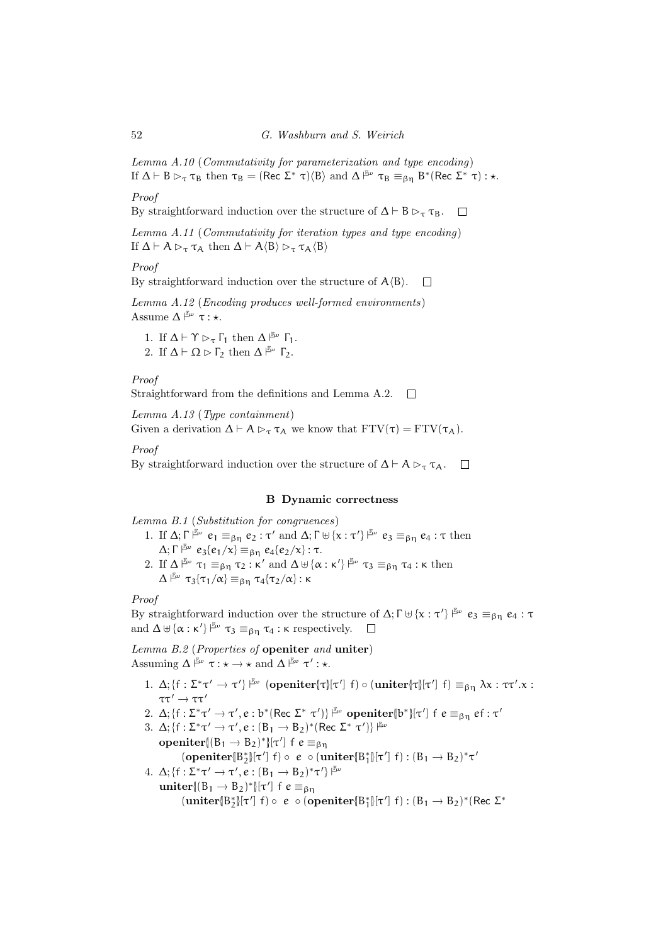Lemma A.10 (Commutativity for parameterization and type encoding) If  $\Delta \vdash B \rhd_{\tau} \tau_B$  then  $\tau_B = (\text{Rec } \Sigma^* \tau \setminus \langle B \rangle \text{ and } \Delta \rhd^{\mathbb{F}_{\omega}} \tau_B \equiv_{\beta \eta} B^* (\text{Rec } \Sigma^* \tau) : \star$ .

Proof

By straightforward induction over the structure of  $\Delta \vdash B \rhd_{\tau} \tau_B$ .  $\Box$ 

Lemma A.11 (Commutativity for iteration types and type encoding) If  $\Delta \vdash A \rhd_{\tau} \tau_A$  then  $\Delta \vdash A \langle B \rangle \rhd_{\tau} \tau_A \langle B \rangle$ 

### Proof

By straightforward induction over the structure of  $A\langle B\rangle$ .  $\Box$ 

Lemma A.12 (Encoding produces well-formed environments) Assume  $\Delta \nightharpoonup^{\mathbb{F}_{\omega}} \tau : \star.$ 

1. If  $\Delta \vdash \Upsilon \rhd_{\tau} \Gamma_1$  then  $\Delta \stackrel{\mathbb{F}_{\omega}}{\vdash} \Gamma_1$ . 2. If  $\Delta \vdash \Omega \triangleright \Gamma_2$  then  $\Delta \stackrel{\mathbb{F}_{\omega}}{\vdash} \Gamma_2$ .

Proof

Straightforward from the definitions and Lemma A.2.  $\Box$ 

Lemma A.13 (Type containment) Given a derivation  $\Delta \vdash A \rhd_{\tau} \tau_A$  we know that  $FTV(\tau) = FTV(\tau_A)$ .

Proof

By straightforward induction over the structure of  $\Delta \vdash A \rhd_{\tau} \tau_A$ .  $\Box$ 

# B Dynamic correctness

Lemma B.1 (Substitution for congruences)

- 1. If  $\Delta; \Gamma \vDash^{\mathbb{F}_{\omega}} e_1 \equiv_{\beta\eta} e_2 : \tau'$  and  $\Delta; \Gamma \uplus {\{x : \tau'\}} \vDash^{\mathbb{F}_{\omega}} e_3 \equiv_{\beta\eta} e_4 : \tau$  then  $\Delta; \Gamma \vDash \omega e_3\{e_1/x\} \equiv_{\beta\eta} e_4\{e_2/x\} : \tau.$
- 2. If  $\Delta \vDash_{\omega} \tau_1 \equiv_{\beta\eta} \tau_2 : \kappa'$  and  $\Delta \uplus {\alpha : \kappa'} \vDash_{\omega} \tau_3 \equiv_{\beta\eta} \tau_4 : \kappa$  then  $\Delta \stackrel{\mathbb{F}_\omega}{\vdash} \tau_3 \{\tau_1/\alpha\} \equiv_{\beta \eta} \tau_4 \{\tau_2/\alpha\}$ : κ

# Proof

By straightforward induction over the structure of  $\Delta; \Gamma \uplus {\{\mathbf{x} : \tau'\}}^{\mathbb{F}\omega}$   $e_3 \equiv_{\beta\eta} e_4 : \tau$ and  $\Delta \uplus {\alpha : \kappa'}$   $\stackrel{\mathbb{F}\omega}{\longrightarrow} \tau_3 \equiv_{\beta\eta} \tau_4 : \kappa$  respectively.

Lemma B.2 (Properties of openiter and uniter) Assuming  $\Delta \stackrel{\mathbb{F}_{\omega}}{\sim} \tau : \star \to \star \text{ and } \Delta \stackrel{\mathbb{F}_{\omega}}{\sim} \tau' : \star.$ 

- 1.  $\Delta$ ; { $f : \Sigma^* \tau' \to \tau'$ }  $\stackrel{\mathbb{F}_{\omega}}{\sim}$  (openiter{| $\tau$ }[ $\tau'$ ]  $f$ )  $\circ$  (uniter{| $\tau$ |[ $\tau'$ ]  $f$ )  $\equiv_{\beta\eta} \lambda x : \tau \tau' . x$ : ττ $\tau$  $\rightarrow$  ττ $\tau$
- 2.  $\Delta$ ; {f :  $\Sigma^* \tau' \to \tau'$ , e : b\* (Rec  $\Sigma^* \tau'$ )}  $\stackrel{\mathbb{F}_{\omega}}{\sim}$  openiter{b\*}[τ'] f e  $\equiv_{\beta\eta}$  ef : τ'
- 3.  $\Delta$ ; {f :  $\Sigma^* \tau' \to \tau'$ ,  $e : (B_1 \to B_2)^*$  (Rec  $\Sigma^* \tau'$ )}  $\mathbb{F}^{\omega}$ **openiter** $\{(\mathbf{B}_1 \rightarrow \mathbf{B}_2)^*\}[\tau']$  f  $e \equiv_{\beta\eta}$  $(\text{openiter}[\mathbf{B}_2^*][\tau'] \mid f) \circ e \circ (\text{uniter}[\mathbf{B}_1^*][\tau'] \mid f) : (\mathbf{B}_1 \to \mathbf{B}_2)^* \tau'$
- 4.  $\Delta$ ; {f :  $\Sigma^* \tau' \to \tau'$ ,  $e : (B_1 \to B_2)^* \tau'$ }  $\stackrel{\mathbb{F}_{\omega}}{\longrightarrow}$ uniter $[(B_1 \rightarrow B_2)^*][\tau']$  f  $e \equiv_{\beta\eta}$  $(\text{uniter}[\mathsf{B}_{2}^{*}][\tau'] \; \mathsf{f}) \circ \; e \; \circ (\text{openiter}[\mathsf{B}_{1}^{*}][\tau'] \; \mathsf{f}) : (\mathsf{B}_{1} \to \mathsf{B}_{2})^{*}(\text{Rec} \; \Sigma^{*})$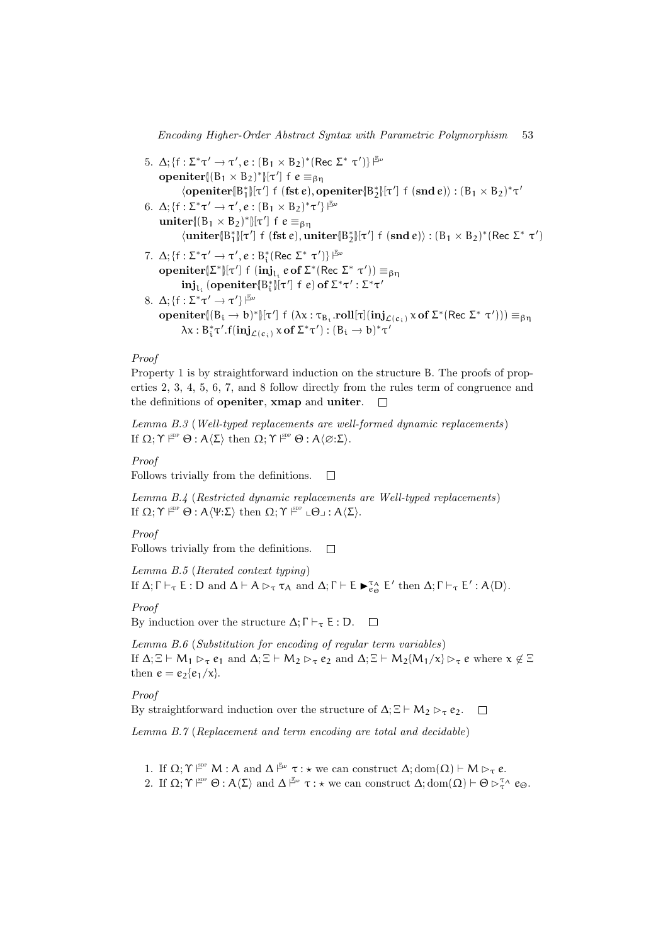5. Δ; { $f : \Sigma^* \tau' \to \tau', e : (B_1 \times B_2)^*$  (Rec  $\Sigma^* \tau'$ )}  $\mathbb{F}^w$ **openiter**{ $(B_1 \times B_2)^*$ }[ $\tau'$ ] f  $e \equiv_{\beta\eta}$  $\langle \textbf{openiter}[\mathbb{B}^*_1]\rangle[\tau']$  f (fst e),  $\textbf{openiter}[\mathbb{B}^*_2]\rangle[\tau']$  f  $(\textbf{snd } e)$ ):  $(\mathbb{B}_1 \times \mathbb{B}_2)^* \tau'$ 6.  $\Delta$ ; {f :  $\Sigma^* \tau' \to \tau'$ ,  $e$  :  $(B_1 \times B_2)^* \tau'$ }  $\stackrel{\mathbb{F}_{\omega}}{\longrightarrow}$ uniter $[(B_1 \times B_2)^*][\tau']$  f  $e \equiv_{\beta\eta}$  $\langle \textbf{uniter}[\mathbb{B}_1^*] \vert \tau'] \hspace{0.2cm} \text{f} \hspace{0.2cm} \text{(fst e)}, \textbf{uniter}[\mathbb{B}_2^*] \vert \tau'] \hspace{0.2cm} \text{f} \hspace{0.2cm} \text{(snd e)} \text{):} \hspace{0.2cm} (\mathbb{B}_1 \times \mathbb{B}_2)^*(\text{Rec } \Sigma^* \hspace{0.2cm} \tau')$ 7.  $\Delta$ ; {f :  $\Sigma^* \tau' \rightarrow \tau'$ , e :  $B_i^*$  (Rec  $\Sigma^* \tau'$ )}  $\overline{F}$  $\mathbf{openiter}[\Sigma^*][\tau']\neq (\mathbf{inj}_{L_i} e\mathbf{of }\Sigma^*(\text{Rec }\Sigma^*\tau'))\equiv_{\beta\eta}$  $\mathrm{inj}_{\mathrm{L}_{\mathrm{i}}}$  (openiter $\{\mathbb{B}^*_{\mathrm{i}}\}$ [τ'] f e) of  $\mathsf{\Sigma}^*\tau'$  :  $\mathsf{\Sigma}^*\tau'$ 8.  $\Delta$ ; {f :  $\Sigma^* \tau' \rightarrow \tau'$ }  $\stackrel{\mathbb{F}_{\omega}}{\longleftarrow}$ **openiter**{(B<sub>i</sub> → b)\*}[τ'] f (λx : τ<sub>B<sub>i</sub></sub> roll[τ](inj<sub>*L*(c<sub>i</sub>)</sub> x of Σ\*(Rec Σ\* τ'))) ≡<sub>βη</sub>  $\lambda x : B_i^* \tau'.f(i\mathbf{n} \mathbf{j}_{\mathcal{L}(c_i)} \times \mathbf{of} \Sigma^* \tau') : (B_i \to b)^* \tau'$ 

#### Proof

Property 1 is by straightforward induction on the structure B. The proofs of properties 2, 3, 4, 5, 6, 7, and 8 follow directly from the rules term of congruence and the definitions of openiter, xmap and uniter.  $\Box$ 

Lemma B.3 (Well-typed replacements are well-formed dynamic replacements) If  $\Omega; \Upsilon \vDash^{\text{sp}} \Theta : A\langle \Sigma \rangle$  then  $\Omega; \Upsilon \vDash^{\text{sp}} \Theta : A\langle \emptyset : \Sigma \rangle$ .

Proof

Follows trivially from the definitions.  $\Box$ 

Lemma B.4 (Restricted dynamic replacements are Well-typed replacements) If  $\Omega; \Upsilon \rvert^{\text{\tiny SDP}} \Theta : A \langle \Psi : \Sigma \rangle$  then  $\Omega; \Upsilon \rvert^{\text{\tiny SDP}} \Leftrightarrow A \langle \Sigma \rangle$ .

Proof

Follows trivially from the definitions.  $\Box$ 

Lemma B.5 (Iterated context typing)

If  $\Delta; \Gamma \vdash_{\tau} E : D$  and  $\Delta \vdash A \rhd_{\tau} \tau_A$  and  $\Delta; \Gamma \vdash E \blacktriangleright_{e_{\Theta}}^{\tau_A} E'$  then  $\Delta; \Gamma \vdash_{\tau} E' : A \langle D \rangle$ .

Proof

By induction over the structure  $\Delta; \Gamma \vdash_{\tau} E : D. \square$ 

Lemma B.6 (Substitution for encoding of regular term variables) If  $\Delta$ ;  $\Xi \vdash M_1 \rhd_{\tau} e_1$  and  $\Delta$ ;  $\Xi \vdash M_2 \rhd_{\tau} e_2$  and  $\Delta$ ;  $\Xi \vdash M_2 \{M_1/\chi\} \rhd_{\tau} e$  where  $\chi \notin \Xi$ then  $e = e_2{e_1/x}$ .

Proof

By straightforward induction over the structure of  $\Delta$ ;  $\Xi \vdash M_2 \rhd_{\tau} e_2$ .  $\Box$ 

Lemma B.7 (Replacement and term encoding are total and decidable)

- 1. If  $\Omega; \Upsilon \vDash^{\mathbb{P}^p} M : A$  and  $\Delta \vDash^{\mathbb{F}^p} \tau : \star$  we can construct  $\Delta; dom(\Omega) \vdash M \rhd_{\tau} e$ .
- 2. If  $\Omega; \Upsilon \vDash^{\text{op}} \Theta : A\langle \Sigma \rangle$  and  $\Delta \vDash^{\text{co}} \tau : \star$  we can construct  $\Delta; dom(\Omega) \vdash \Theta \rhd^{\tau_{A}}_{\tau} e_{\Theta}$ .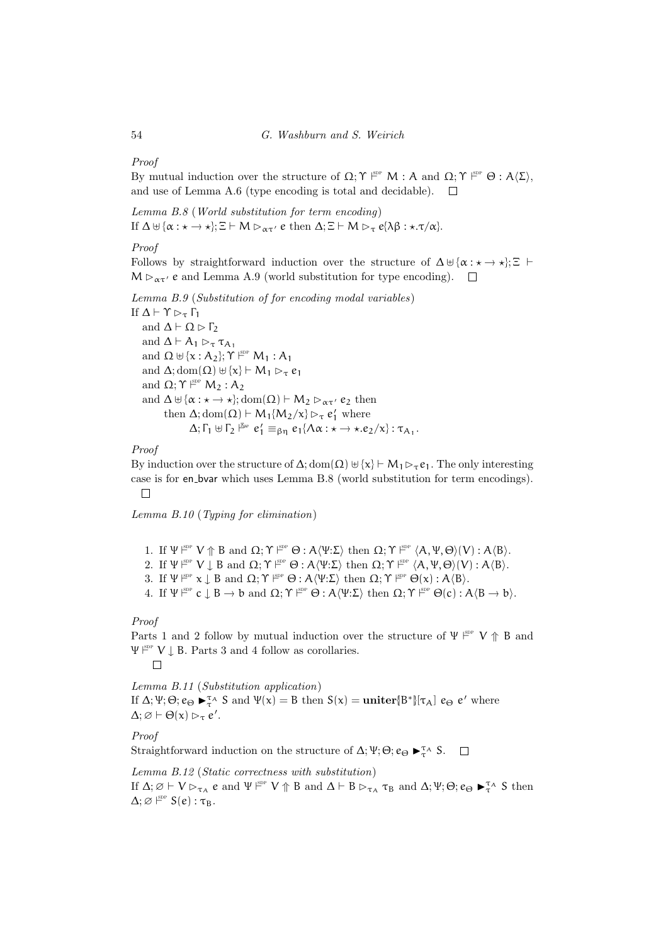Proof

By mutual induction over the structure of  $\Omega; \Upsilon \vDash^{\text{sp}} M : A$  and  $\Omega; \Upsilon \vDash^{\text{sp}} \Theta : A\langle \Sigma \rangle$ , and use of Lemma A.6 (type encoding is total and decidable).  $\Box$ 

Lemma B.8 (World substitution for term encoding) If  $\Delta \uplus {\alpha : \star \to \star}; \Xi \vdash M \rhd_{\alpha \tau'} e$  then  $\Delta; \Xi \vdash M \rhd_{\tau} e(\lambda \beta : \star. \tau/\alpha).$ 

#### Proof

Follows by straightforward induction over the structure of  $\Delta \uplus {\alpha : \star \to \star}; \Xi \vdash$  $M \triangleright_{\alpha \tau'} e$  and Lemma A.9 (world substitution for type encoding).  $\Box$ 

Lemma B.9 (Substitution of for encoding modal variables)

If  $Δ$   $\vdash$   $γ$   $\triangleright$ <sub>τ</sub> Γ<sub>1</sub> and  $\Delta \vdash \Omega \triangleright \Gamma_2$ and  $\Delta \vdash A_1 \rhd_{\tau} \tau_{A_1}$ and  $\Omega \uplus {\x : A_2}; \Upsilon \vDash^{\text{sp}} M_1 : A_1$ and  $\Delta$ ; dom $(\Omega) \uplus {\mathbf{x}} \vdash M_1 \rhd_{\tau} e_1$ and  $\Omega; \Upsilon \vDash^{\text{\tiny\text{SDP}}\mathsf{}} M_2 : A_2$ and  $\Delta \uplus {\alpha : \star \to \star}; \text{dom}(\Omega) \vdash M_2 \rhd_{\alpha \tau'} e_2$  then then  $\Delta$ ; dom $(\Omega) \vdash M_1\{M_2/x\} \rhd_{\tau} e'_1$  where  $\Delta; \Gamma_1 \uplus \Gamma_2 \stackrel{\mathbb{F}_\omega}{\models} e_1' \equiv_{\beta\eta} e_1\{\Lambda\alpha : \star \to \star.e_2/\chi\} : \tau_{\mathcal{A}_1}.$ 

# Proof

By induction over the structure of  $\Delta$ ; dom $(\Omega) \cup \{x\} \vdash M_1 \triangleright_{\tau} e_1$ . The only interesting case is for en bvar which uses Lemma B.8 (world substitution for term encodings).  $\Box$ 

Lemma B.10 (Typing for elimination)

1. If  $\Psi \nightharpoonup^{\text{SDP}} V \Uparrow^{\text{B}} B$  and  $\Omega; \Upsilon \nightharpoonup^{\text{SDP}} \Theta : A \langle \Psi : \Sigma \rangle$  then  $\Omega; \Upsilon \nightharpoonup^{\text{SDP}} (A, \Psi, \Theta)(V) : A \langle B \rangle$ .

- 2. If  $\Psi \xrightarrow{\text{gpp}} V \downarrow B$  and  $\Omega; \Upsilon \xrightarrow{\text{gpp}} \Theta : A \langle \Psi : \Sigma \rangle$  then  $\Omega; \Upsilon \xrightarrow{\text{gpp}} \langle A, \Psi, \Theta \rangle(V) : A \langle B \rangle$ .
- 3. If  $\Psi \nightharpoonup^{\text{SDP}} x \downarrow B$  and  $\Omega; \Upsilon \nightharpoonup^{\text{SDP}} \Theta : A \langle \Psi : \Sigma \rangle$  then  $\Omega; \Upsilon \nightharpoonup^{\text{SDP}} \Theta(x) : A \langle B \rangle$ .
- 4. If  $\Psi^{\text{sep}} c \downarrow B \to b$  and  $\Omega; \Upsilon^{\text{sep}} \Theta : A \langle \Psi : \Sigma \rangle$  then  $\Omega; \Upsilon^{\text{sep}} \Theta(c) : A \langle B \to b \rangle$ .

# Proof

Parts 1 and 2 follow by mutual induction over the structure of  $\Psi \vDash^{\text{sp}} V \uparrow B$  and  $\Psi \xrightarrow{\text{gpp}} V \downarrow B$ . Parts 3 and 4 follow as corollaries.

Lemma B.11 (Substitution application) If  $\Delta; \Psi; \Theta; e_{\Theta} \blacktriangleright_{\tau}^{\tau_{A}} S$  and  $\Psi(x) = B$  then  $S(x) =$ **uniter**{ $B^*$ } [ $\tau_{A}$ ]  $e_{\Theta} e'$  where  $\Delta; \varnothing \vdash \Theta(\mathsf{x}) \vartriangleright_{\tau} \mathsf{e}'.$ 

Proof

Straightforward induction on the structure of  $\Delta$ ;  $\Psi$ ;  $\Theta$ ;  $e_{\Theta} \blacktriangleright_{\tau}^{\tau_{A}} S$ .

Lemma B.12 (Static correctness with substitution) If  $\Delta; \varnothing \vdash V \rhd_{\tau_A} e$  and  $\Psi \vdash^{\text{sp}} V \Uparrow B$  and  $\Delta \vdash B \rhd_{\tau_A} \tau_B$  and  $\Delta; \Psi; \Theta; e_{\Theta} \blacktriangleright^{\tau_A}_{\tau} S$  then  $\Delta; \varnothing \stackrel{\scriptscriptstyle{\mathrm{SDP}}}{\vdash} \mathsf{S}(e) : \tau_{\mathrm{B}}.$